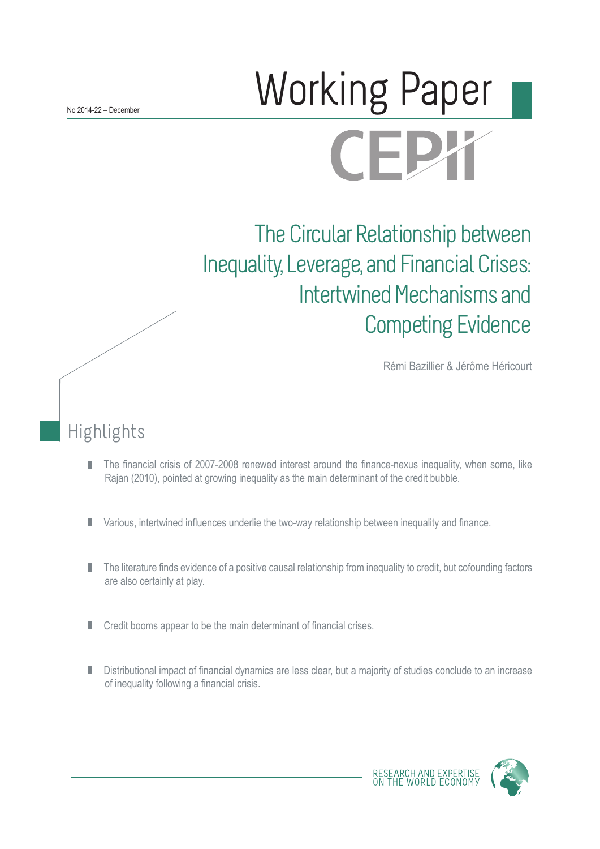# **Morking Paper CEPX**

The Circular Relationship between Inequality, Leverage, and Financial Crises: Intertwined Mechanisms and Competing Evidence

Rémi Bazillier & Jérôme Héricourt

## Highlights

- The financial crisis of 2007-2008 renewed interest around the finance-nexus inequality, when some, like П Rajan (2010), pointed at growing inequality as the main determinant of the credit bubble.
- Various, intertwined influences underlie the two-way relationship between inequality and finance. П
- The literature finds evidence of a positive causal relationship from inequality to credit, but cofounding factors П are also certainly at play.
- Credit booms appear to be the main determinant of financial crises.
- Distributional impact of financial dynamics are less clear, but a majority of studies conclude to an increase of inequality following a financial crisis.



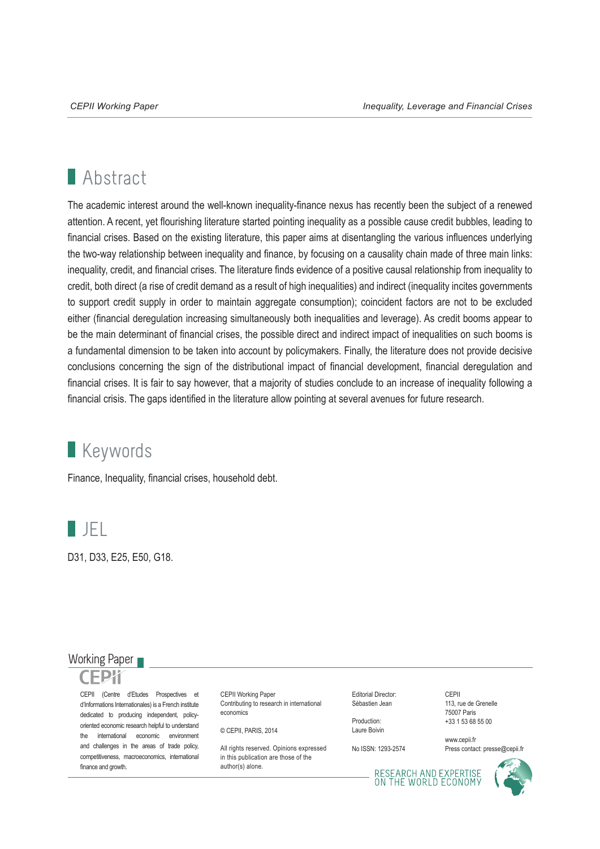## **Abstract**

The academic interest around the well-known inequality-finance nexus has recently been the subject of a renewed attention. A recent, yet flourishing literature started pointing inequality as a possible cause credit bubbles, leading to financial crises. Based on the existing literature, this paper aims at disentangling the various influences underlying the two-way relationship between inequality and finance, by focusing on a causality chain made of three main links: inequality, credit, and financial crises. The literature finds evidence of a positive causal relationship from inequality to credit, both direct (a rise of credit demand as a result of high inequalities) and indirect (inequality incites governments to support credit supply in order to maintain aggregate consumption); coincident factors are not to be excluded either (financial deregulation increasing simultaneously both inequalities and leverage). As credit booms appear to be the main determinant of financial crises, the possible direct and indirect impact of inequalities on such booms is a fundamental dimension to be taken into account by policymakers. Finally, the literature does not provide decisive conclusions concerning the sign of the distributional impact of financial development, financial deregulation and financial crises. It is fair to say however, that a majority of studies conclude to an increase of inequality following a financial crisis. The gaps identified in the literature allow pointing at several avenues for future research.

## **Keywords**

Finance, Inequality, financial crises, household debt.



D31, D33, E25, E50, G18.

### Working Paper

CEPII (Centre d'Etudes Prospectives et d'Informations Internationales) is a French institute dedicated to producing independent, policyoriented economic research helpful to understand the international economic environment and challenges in the areas of trade policy, competitiveness, macroeconomics, international finance and growth.

CEPII Working Paper Contributing to research in international economics

© CEPII, PARIS, 2014

All rights reserved. Opinions expressed. in this publication are those of the author(s) alone.

Editorial Director: Sébastien Jean

Production: Laure Boivin

No ISSN: 1293-2574

CEPII 113, rue de Grenelle 75007 Paris +33 1 53 68 55 00

www.cepii.fr Press contact: presse@cepii.fr

RESEARCH AND EXPERTISE<br>ON THE WORLD ECONOMY

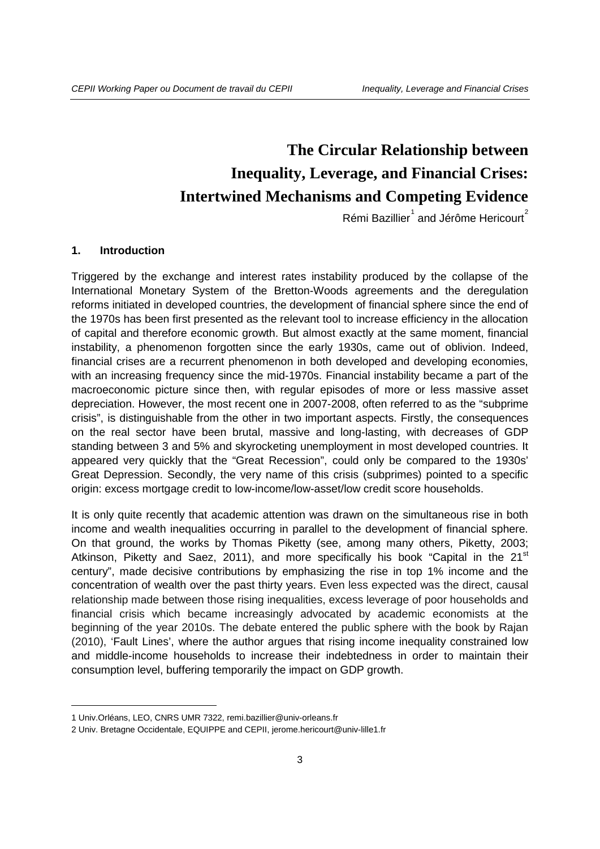## **The Circular Relationship between Inequality, Leverage, and Financial Crises: Intertwined Mechanisms and Competing Evidence**

Rémi Bazillier $^{1}$  $^{1}$  $^{1}$  and Jérôme Hericourt $^{2}$  $^{2}$  $^{2}$ 

#### **1. Introduction**

Triggered by the exchange and interest rates instability produced by the collapse of the International Monetary System of the Bretton-Woods agreements and the deregulation reforms initiated in developed countries, the development of financial sphere since the end of the 1970s has been first presented as the relevant tool to increase efficiency in the allocation of capital and therefore economic growth. But almost exactly at the same moment, financial instability, a phenomenon forgotten since the early 1930s, came out of oblivion. Indeed, financial crises are a recurrent phenomenon in both developed and developing economies, with an increasing frequency since the mid-1970s. Financial instability became a part of the macroeconomic picture since then, with regular episodes of more or less massive asset depreciation. However, the most recent one in 2007-2008, often referred to as the "subprime crisis", is distinguishable from the other in two important aspects. Firstly, the consequences on the real sector have been brutal, massive and long-lasting, with decreases of GDP standing between 3 and 5% and skyrocketing unemployment in most developed countries. It appeared very quickly that the "Great Recession", could only be compared to the 1930s' Great Depression. Secondly, the very name of this crisis (subprimes) pointed to a specific origin: excess mortgage credit to low-income/low-asset/low credit score households.

It is only quite recently that academic attention was drawn on the simultaneous rise in both income and wealth inequalities occurring in parallel to the development of financial sphere. On that ground, the works by Thomas Piketty (see, among many others, Piketty, 2003; Atkinson, Piketty and Saez, 2011), and more specifically his book "Capital in the  $21<sup>st</sup>$ century", made decisive contributions by emphasizing the rise in top 1% income and the concentration of wealth over the past thirty years. Even less expected was the direct, causal relationship made between those rising inequalities, excess leverage of poor households and financial crisis which became increasingly advocated by academic economists at the beginning of the year 2010s. The debate entered the public sphere with the book by Rajan (2010), 'Fault Lines', where the author argues that rising income inequality constrained low and middle-income households to increase their indebtedness in order to maintain their consumption level, buffering temporarily the impact on GDP growth.

-

<span id="page-2-0"></span><sup>1</sup> Univ.Orléans, LEO, CNRS UMR 7322, [remi.bazillier@univ-orleans.fr](mailto:remi.bazillier@univ-orleans.fr)

<span id="page-2-1"></span><sup>2</sup> Univ. Bretagne Occidentale, EQUIPPE and CEPII, [jerome.hericourt@univ-lille1.fr](mailto:jerome.hericourt@univ-lille1.fr)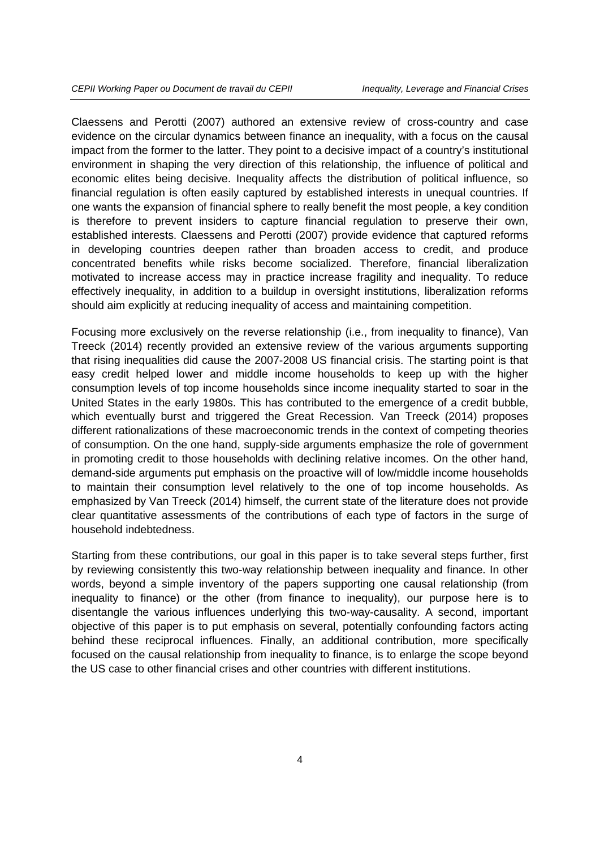Claessens and Perotti (2007) authored an extensive review of cross-country and case evidence on the circular dynamics between finance an inequality, with a focus on the causal impact from the former to the latter. They point to a decisive impact of a country's institutional environment in shaping the very direction of this relationship, the influence of political and economic elites being decisive. Inequality affects the distribution of political influence, so financial regulation is often easily captured by established interests in unequal countries. If one wants the expansion of financial sphere to really benefit the most people, a key condition is therefore to prevent insiders to capture financial regulation to preserve their own, established interests. Claessens and Perotti (2007) provide evidence that captured reforms in developing countries deepen rather than broaden access to credit, and produce concentrated benefits while risks become socialized. Therefore, financial liberalization motivated to increase access may in practice increase fragility and inequality. To reduce effectively inequality, in addition to a buildup in oversight institutions, liberalization reforms should aim explicitly at reducing inequality of access and maintaining competition.

Focusing more exclusively on the reverse relationship (i.e., from inequality to finance), Van Treeck (2014) recently provided an extensive review of the various arguments supporting that rising inequalities did cause the 2007-2008 US financial crisis. The starting point is that easy credit helped lower and middle income households to keep up with the higher consumption levels of top income households since income inequality started to soar in the United States in the early 1980s. This has contributed to the emergence of a credit bubble, which eventually burst and triggered the Great Recession. Van Treeck (2014) proposes different rationalizations of these macroeconomic trends in the context of competing theories of consumption. On the one hand, supply-side arguments emphasize the role of government in promoting credit to those households with declining relative incomes. On the other hand, demand-side arguments put emphasis on the proactive will of low/middle income households to maintain their consumption level relatively to the one of top income households. As emphasized by Van Treeck (2014) himself, the current state of the literature does not provide clear quantitative assessments of the contributions of each type of factors in the surge of household indebtedness.

Starting from these contributions, our goal in this paper is to take several steps further, first by reviewing consistently this two-way relationship between inequality and finance. In other words, beyond a simple inventory of the papers supporting one causal relationship (from inequality to finance) or the other (from finance to inequality), our purpose here is to disentangle the various influences underlying this two-way-causality. A second, important objective of this paper is to put emphasis on several, potentially confounding factors acting behind these reciprocal influences. Finally, an additional contribution, more specifically focused on the causal relationship from inequality to finance, is to enlarge the scope beyond the US case to other financial crises and other countries with different institutions.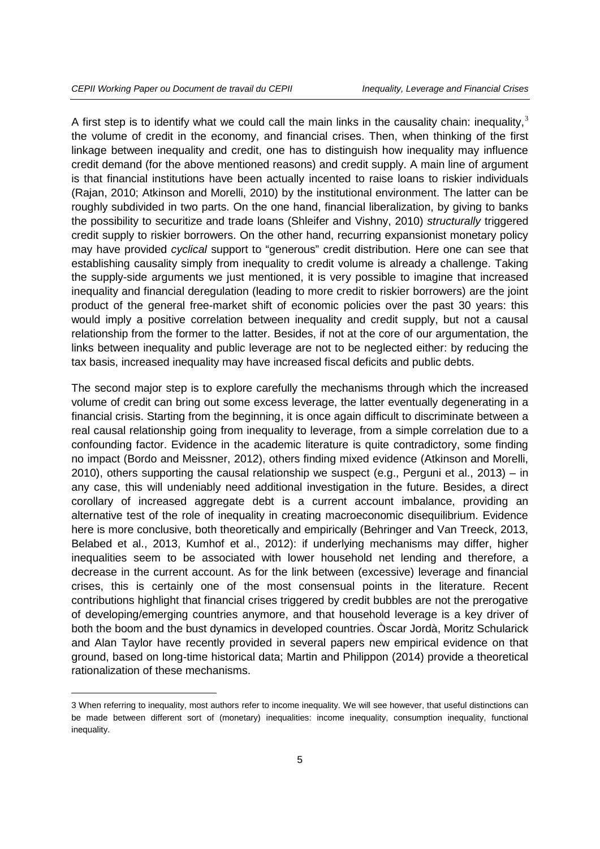-

A first step is to identify what we could call the main links in the causality chain: inequality,  $3$ the volume of credit in the economy, and financial crises. Then, when thinking of the first linkage between inequality and credit, one has to distinguish how inequality may influence credit demand (for the above mentioned reasons) and credit supply. A main line of argument is that financial institutions have been actually incented to raise loans to riskier individuals (Rajan, 2010; Atkinson and Morelli, 2010) by the institutional environment. The latter can be roughly subdivided in two parts. On the one hand, financial liberalization, by giving to banks the possibility to securitize and trade loans (Shleifer and Vishny, 2010) *structurally* triggered credit supply to riskier borrowers. On the other hand, recurring expansionist monetary policy may have provided *cyclical* support to "generous" credit distribution. Here one can see that establishing causality simply from inequality to credit volume is already a challenge. Taking the supply-side arguments we just mentioned, it is very possible to imagine that increased inequality and financial deregulation (leading to more credit to riskier borrowers) are the joint product of the general free-market shift of economic policies over the past 30 years: this would imply a positive correlation between inequality and credit supply, but not a causal relationship from the former to the latter. Besides, if not at the core of our argumentation, the links between inequality and public leverage are not to be neglected either: by reducing the tax basis, increased inequality may have increased fiscal deficits and public debts.

The second major step is to explore carefully the mechanisms through which the increased volume of credit can bring out some excess leverage, the latter eventually degenerating in a financial crisis. Starting from the beginning, it is once again difficult to discriminate between a real causal relationship going from inequality to leverage, from a simple correlation due to a confounding factor. Evidence in the academic literature is quite contradictory, some finding no impact (Bordo and Meissner, 2012), others finding mixed evidence (Atkinson and Morelli, 2010), others supporting the causal relationship we suspect (e.g., Perguni et al., 2013) – in any case, this will undeniably need additional investigation in the future. Besides, a direct corollary of increased aggregate debt is a current account imbalance, providing an alternative test of the role of inequality in creating macroeconomic disequilibrium. Evidence here is more conclusive, both theoretically and empirically (Behringer and Van Treeck, 2013, Belabed et al., 2013, Kumhof et al., 2012): if underlying mechanisms may differ, higher inequalities seem to be associated with lower household net lending and therefore, a decrease in the current account. As for the link between (excessive) leverage and financial crises, this is certainly one of the most consensual points in the literature. Recent contributions highlight that financial crises triggered by credit bubbles are not the prerogative of developing/emerging countries anymore, and that household leverage is a key driver of both the boom and the bust dynamics in developed countries. Òscar Jordà, Moritz Schularick and Alan Taylor have recently provided in several papers new empirical evidence on that ground, based on long-time historical data; Martin and Philippon (2014) provide a theoretical rationalization of these mechanisms.

<span id="page-4-0"></span><sup>3</sup> When referring to inequality, most authors refer to income inequality. We will see however, that useful distinctions can be made between different sort of (monetary) inequalities: income inequality, consumption inequality, functional inequality.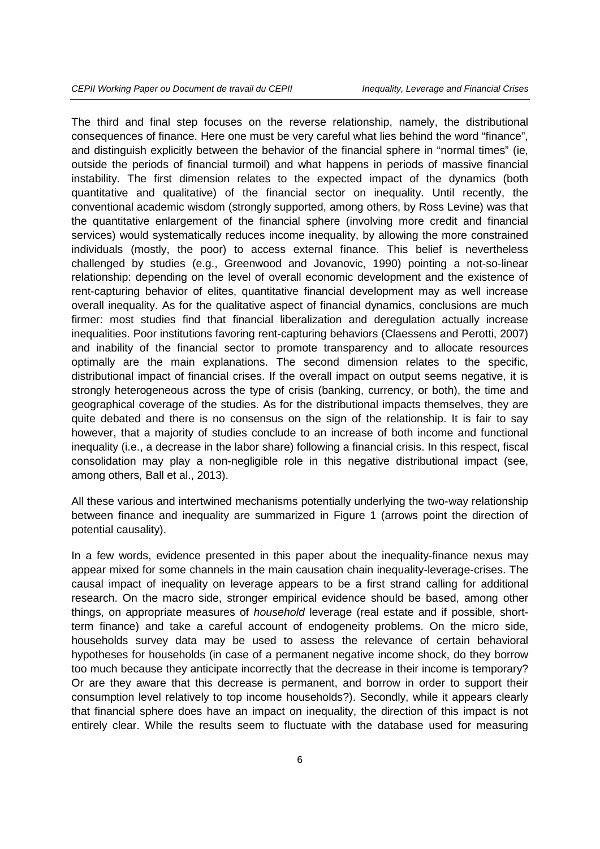The third and final step focuses on the reverse relationship, namely, the distributional consequences of finance. Here one must be very careful what lies behind the word "finance", and distinguish explicitly between the behavior of the financial sphere in "normal times" (ie, outside the periods of financial turmoil) and what happens in periods of massive financial instability. The first dimension relates to the expected impact of the dynamics (both quantitative and qualitative) of the financial sector on inequality. Until recently, the conventional academic wisdom (strongly supported, among others, by Ross Levine) was that the quantitative enlargement of the financial sphere (involving more credit and financial services) would systematically reduces income inequality, by allowing the more constrained individuals (mostly, the poor) to access external finance. This belief is nevertheless challenged by studies (e.g., Greenwood and Jovanovic, 1990) pointing a not-so-linear relationship: depending on the level of overall economic development and the existence of rent-capturing behavior of elites, quantitative financial development may as well increase overall inequality. As for the qualitative aspect of financial dynamics, conclusions are much firmer: most studies find that financial liberalization and deregulation actually increase inequalities. Poor institutions favoring rent-capturing behaviors (Claessens and Perotti, 2007) and inability of the financial sector to promote transparency and to allocate resources optimally are the main explanations. The second dimension relates to the specific, distributional impact of financial crises. If the overall impact on output seems negative, it is strongly heterogeneous across the type of crisis (banking, currency, or both), the time and geographical coverage of the studies. As for the distributional impacts themselves, they are quite debated and there is no consensus on the sign of the relationship. It is fair to say however, that a majority of studies conclude to an increase of both income and functional inequality (i.e., a decrease in the labor share) following a financial crisis. In this respect, fiscal consolidation may play a non-negligible role in this negative distributional impact (see, among others, Ball et al., 2013).

All these various and intertwined mechanisms potentially underlying the two-way relationship between finance and inequality are summarized in Figure 1 (arrows point the direction of potential causality).

In a few words, evidence presented in this paper about the inequality-finance nexus may appear mixed for some channels in the main causation chain inequality-leverage-crises. The causal impact of inequality on leverage appears to be a first strand calling for additional research. On the macro side, stronger empirical evidence should be based, among other things, on appropriate measures of *household* leverage (real estate and if possible, shortterm finance) and take a careful account of endogeneity problems. On the micro side, households survey data may be used to assess the relevance of certain behavioral hypotheses for households (in case of a permanent negative income shock, do they borrow too much because they anticipate incorrectly that the decrease in their income is temporary? Or are they aware that this decrease is permanent, and borrow in order to support their consumption level relatively to top income households?). Secondly, while it appears clearly that financial sphere does have an impact on inequality, the direction of this impact is not entirely clear. While the results seem to fluctuate with the database used for measuring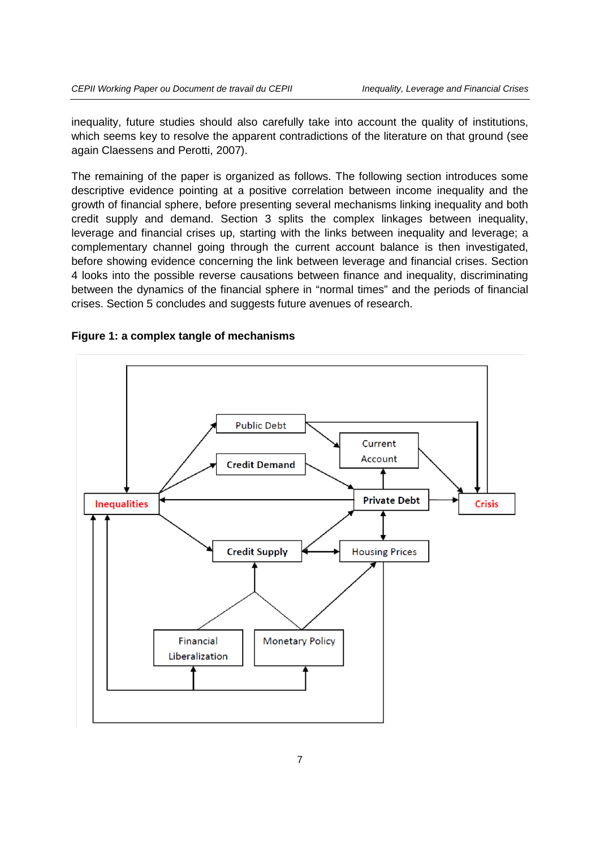inequality, future studies should also carefully take into account the quality of institutions, which seems key to resolve the apparent contradictions of the literature on that ground (see again Claessens and Perotti, 2007).

The remaining of the paper is organized as follows. The following section introduces some descriptive evidence pointing at a positive correlation between income inequality and the growth of financial sphere, before presenting several mechanisms linking inequality and both credit supply and demand. Section 3 splits the complex linkages between inequality, leverage and financial crises up, starting with the links between inequality and leverage; a complementary channel going through the current account balance is then investigated, before showing evidence concerning the link between leverage and financial crises. Section 4 looks into the possible reverse causations between finance and inequality, discriminating between the dynamics of the financial sphere in "normal times" and the periods of financial crises. Section 5 concludes and suggests future avenues of research.



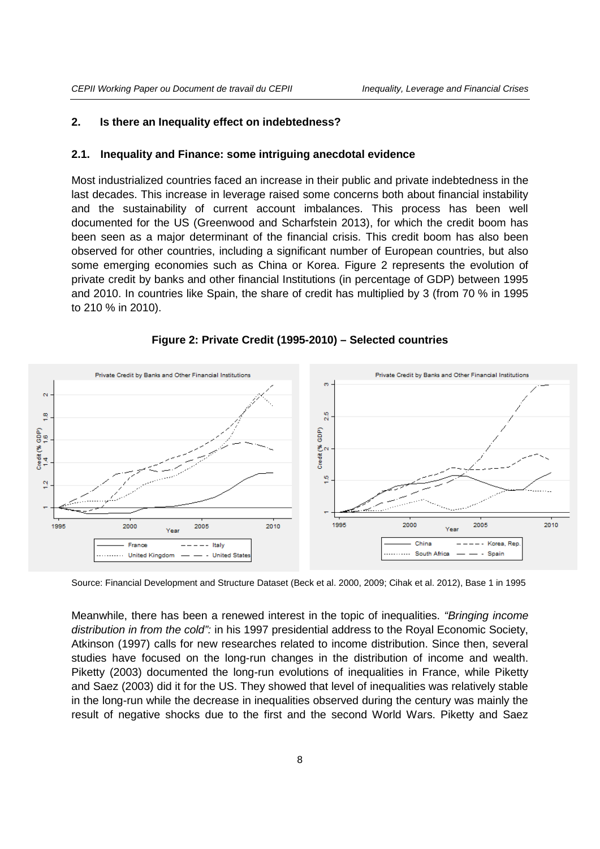#### **2. Is there an Inequality effect on indebtedness?**

#### **2.1. Inequality and Finance: some intriguing anecdotal evidence**

Most industrialized countries faced an increase in their public and private indebtedness in the last decades. This increase in leverage raised some concerns both about financial instability and the sustainability of current account imbalances. This process has been well documented for the US (Greenwood and Scharfstein 2013), for which the credit boom has been seen as a major determinant of the financial crisis. This credit boom has also been observed for other countries, including a significant number of European countries, but also some emerging economies such as China or Korea. Figure 2 represents the evolution of private credit by banks and other financial Institutions (in percentage of GDP) between 1995 and 2010. In countries like Spain, the share of credit has multiplied by 3 (from 70 % in 1995 to 210 % in 2010).



#### **Figure 2: Private Credit (1995-2010) – Selected countries**

Source: Financial Development and Structure Dataset (Beck et al. 2000, 2009; Cihak et al. 2012), Base 1 in 1995

Meanwhile, there has been a renewed interest in the topic of inequalities. *"Bringing income distribution in from the cold":* in his 1997 presidential address to the Royal Economic Society, Atkinson (1997) calls for new researches related to income distribution. Since then, several studies have focused on the long-run changes in the distribution of income and wealth. Piketty (2003) documented the long-run evolutions of inequalities in France, while Piketty and Saez (2003) did it for the US. They showed that level of inequalities was relatively stable in the long-run while the decrease in inequalities observed during the century was mainly the result of negative shocks due to the first and the second World Wars. Piketty and Saez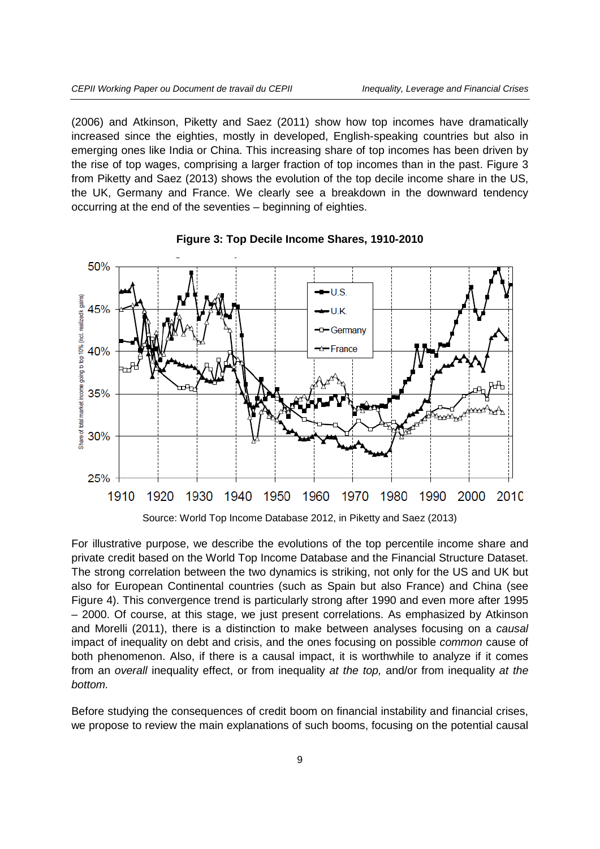(2006) and Atkinson, Piketty and Saez (2011) show how top incomes have dramatically increased since the eighties, mostly in developed, English-speaking countries but also in emerging ones like India or China. This increasing share of top incomes has been driven by the rise of top wages, comprising a larger fraction of top incomes than in the past. Figure 3 from Piketty and Saez (2013) shows the evolution of the top decile income share in the US, the UK, Germany and France. We clearly see a breakdown in the downward tendency occurring at the end of the seventies – beginning of eighties.





For illustrative purpose, we describe the evolutions of the top percentile income share and private credit based on the World Top Income Database and the Financial Structure Dataset. The strong correlation between the two dynamics is striking, not only for the US and UK but also for European Continental countries (such as Spain but also France) and China (see Figure 4). This convergence trend is particularly strong after 1990 and even more after 1995 – 2000. Of course, at this stage, we just present correlations. As emphasized by Atkinson and Morelli (2011), there is a distinction to make between analyses focusing on a *causal* impact of inequality on debt and crisis, and the ones focusing on possible *common* cause of both phenomenon. Also, if there is a causal impact, it is worthwhile to analyze if it comes from an *overall* inequality effect, or from inequality *at the top,* and/or from inequality *at the bottom.* 

Before studying the consequences of credit boom on financial instability and financial crises, we propose to review the main explanations of such booms, focusing on the potential causal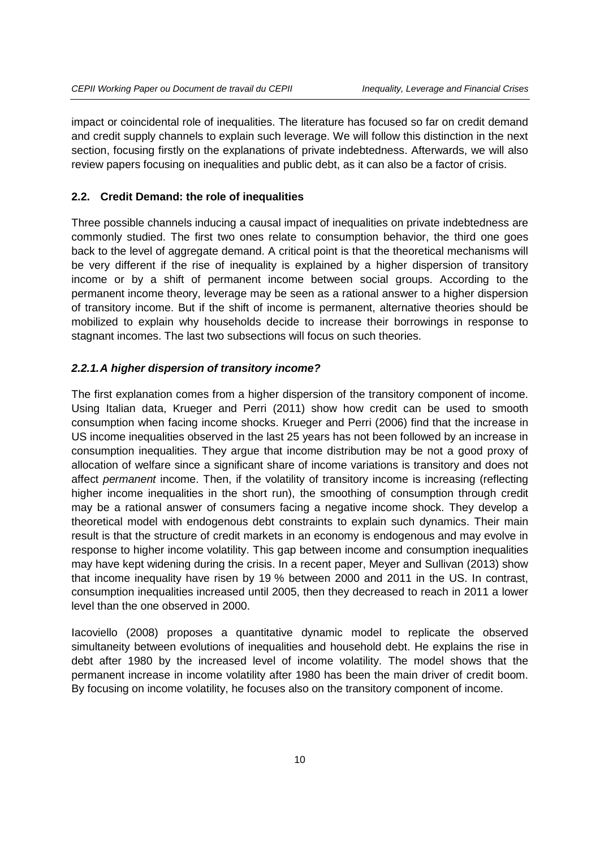impact or coincidental role of inequalities. The literature has focused so far on credit demand and credit supply channels to explain such leverage. We will follow this distinction in the next section, focusing firstly on the explanations of private indebtedness. Afterwards, we will also review papers focusing on inequalities and public debt, as it can also be a factor of crisis.

#### **2.2. Credit Demand: the role of inequalities**

Three possible channels inducing a causal impact of inequalities on private indebtedness are commonly studied. The first two ones relate to consumption behavior, the third one goes back to the level of aggregate demand. A critical point is that the theoretical mechanisms will be very different if the rise of inequality is explained by a higher dispersion of transitory income or by a shift of permanent income between social groups. According to the permanent income theory, leverage may be seen as a rational answer to a higher dispersion of transitory income. But if the shift of income is permanent, alternative theories should be mobilized to explain why households decide to increase their borrowings in response to stagnant incomes. The last two subsections will focus on such theories.

#### *2.2.1.A higher dispersion of transitory income?*

The first explanation comes from a higher dispersion of the transitory component of income. Using Italian data, Krueger and Perri (2011) show how credit can be used to smooth consumption when facing income shocks. Krueger and Perri (2006) find that the increase in US income inequalities observed in the last 25 years has not been followed by an increase in consumption inequalities. They argue that income distribution may be not a good proxy of allocation of welfare since a significant share of income variations is transitory and does not affect *permanent* income. Then, if the volatility of transitory income is increasing (reflecting higher income inequalities in the short run), the smoothing of consumption through credit may be a rational answer of consumers facing a negative income shock. They develop a theoretical model with endogenous debt constraints to explain such dynamics. Their main result is that the structure of credit markets in an economy is endogenous and may evolve in response to higher income volatility. This gap between income and consumption inequalities may have kept widening during the crisis. In a recent paper, Meyer and Sullivan (2013) show that income inequality have risen by 19 % between 2000 and 2011 in the US. In contrast, consumption inequalities increased until 2005, then they decreased to reach in 2011 a lower level than the one observed in 2000.

Iacoviello (2008) proposes a quantitative dynamic model to replicate the observed simultaneity between evolutions of inequalities and household debt. He explains the rise in debt after 1980 by the increased level of income volatility. The model shows that the permanent increase in income volatility after 1980 has been the main driver of credit boom. By focusing on income volatility, he focuses also on the transitory component of income.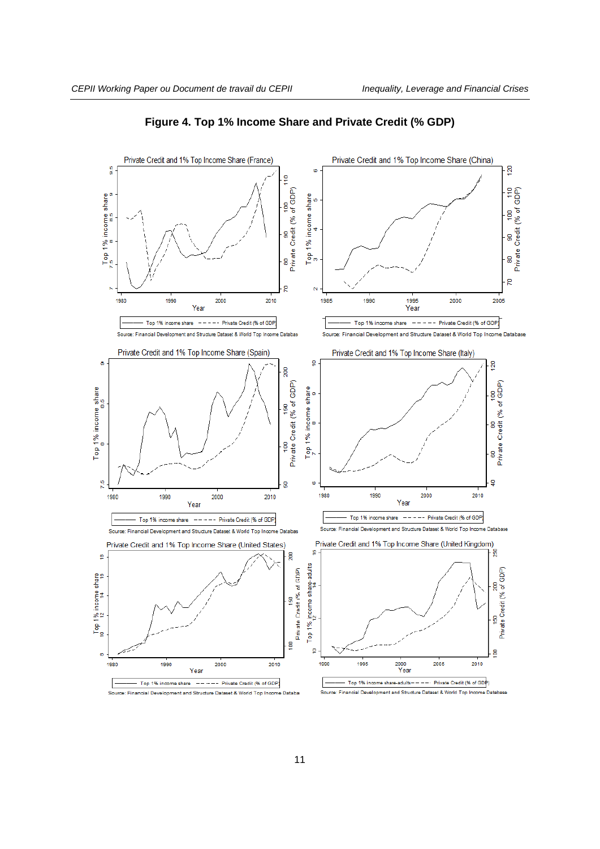

**Figure 4. Top 1% Income Share and Private Credit (% GDP)**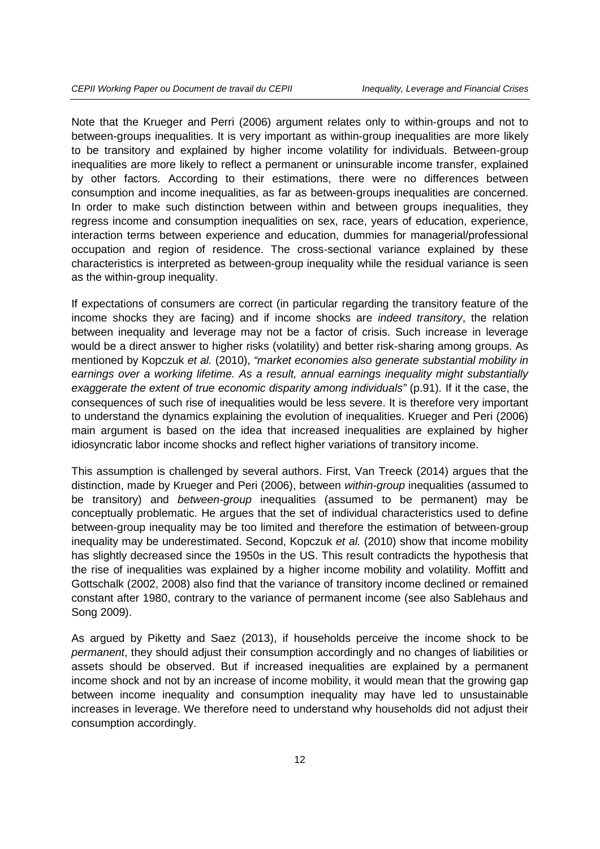Note that the Krueger and Perri (2006) argument relates only to within-groups and not to between-groups inequalities. It is very important as within-group inequalities are more likely to be transitory and explained by higher income volatility for individuals. Between-group inequalities are more likely to reflect a permanent or uninsurable income transfer, explained by other factors. According to their estimations, there were no differences between consumption and income inequalities, as far as between-groups inequalities are concerned. In order to make such distinction between within and between groups inequalities, they regress income and consumption inequalities on sex, race, years of education, experience, interaction terms between experience and education, dummies for managerial/professional occupation and region of residence. The cross-sectional variance explained by these characteristics is interpreted as between-group inequality while the residual variance is seen as the within-group inequality.

If expectations of consumers are correct (in particular regarding the transitory feature of the income shocks they are facing) and if income shocks are *indeed transitory*, the relation between inequality and leverage may not be a factor of crisis. Such increase in leverage would be a direct answer to higher risks (volatility) and better risk-sharing among groups. As mentioned by Kopczuk *et al.* (2010), *"market economies also generate substantial mobility in earnings over a working lifetime. As a result, annual earnings inequality might substantially exaggerate the extent of true economic disparity among individuals"* (p.91)*.* If it the case, the consequences of such rise of inequalities would be less severe. It is therefore very important to understand the dynamics explaining the evolution of inequalities. Krueger and Peri (2006) main argument is based on the idea that increased inequalities are explained by higher idiosyncratic labor income shocks and reflect higher variations of transitory income.

This assumption is challenged by several authors. First, Van Treeck (2014) argues that the distinction, made by Krueger and Peri (2006), between *within-group* inequalities (assumed to be transitory) and *between-group* inequalities (assumed to be permanent) may be conceptually problematic. He argues that the set of individual characteristics used to define between-group inequality may be too limited and therefore the estimation of between-group inequality may be underestimated. Second, Kopczuk *et al.* (2010) show that income mobility has slightly decreased since the 1950s in the US. This result contradicts the hypothesis that the rise of inequalities was explained by a higher income mobility and volatility. Moffitt and Gottschalk (2002, 2008) also find that the variance of transitory income declined or remained constant after 1980, contrary to the variance of permanent income (see also Sablehaus and Song 2009).

As argued by Piketty and Saez (2013), if households perceive the income shock to be *permanent*, they should adjust their consumption accordingly and no changes of liabilities or assets should be observed. But if increased inequalities are explained by a permanent income shock and not by an increase of income mobility, it would mean that the growing gap between income inequality and consumption inequality may have led to unsustainable increases in leverage. We therefore need to understand why households did not adjust their consumption accordingly.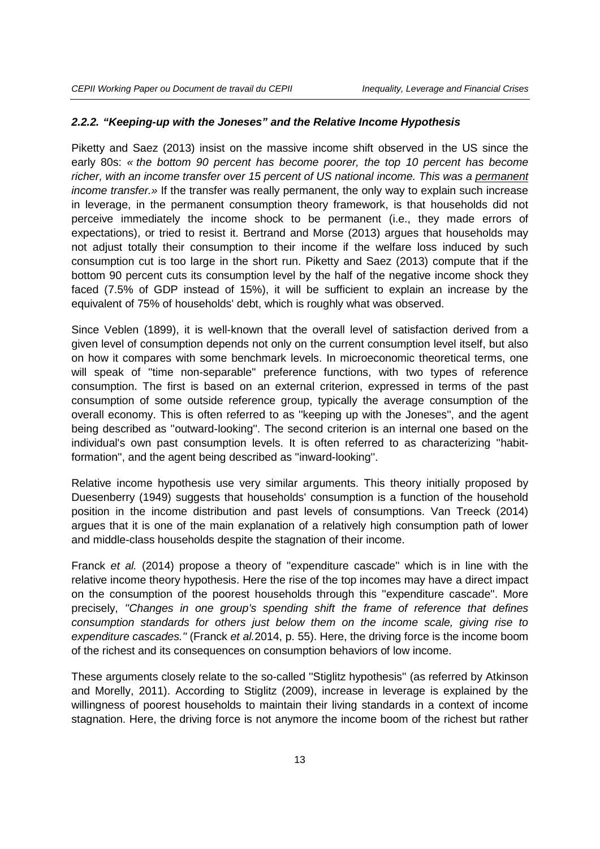#### *2.2.2. "Keeping-up with the Joneses" and the Relative Income Hypothesis*

Piketty and Saez (2013) insist on the massive income shift observed in the US since the early 80s: *« the bottom 90 percent has become poorer, the top 10 percent has become richer, with an income transfer over 15 percent of US national income. This was a permanent income transfer.»* If the transfer was really permanent, the only way to explain such increase in leverage, in the permanent consumption theory framework, is that households did not perceive immediately the income shock to be permanent (i.e., they made errors of expectations), or tried to resist it. Bertrand and Morse (2013) argues that households may not adjust totally their consumption to their income if the welfare loss induced by such consumption cut is too large in the short run. Piketty and Saez (2013) compute that if the bottom 90 percent cuts its consumption level by the half of the negative income shock they faced (7.5% of GDP instead of 15%), it will be sufficient to explain an increase by the equivalent of 75% of households' debt, which is roughly what was observed.

Since Veblen (1899), it is well-known that the overall level of satisfaction derived from a given level of consumption depends not only on the current consumption level itself, but also on how it compares with some benchmark levels. In microeconomic theoretical terms, one will speak of ''time non-separable'' preference functions, with two types of reference consumption. The first is based on an external criterion, expressed in terms of the past consumption of some outside reference group, typically the average consumption of the overall economy. This is often referred to as ''keeping up with the Joneses'', and the agent being described as ''outward-looking''. The second criterion is an internal one based on the individual's own past consumption levels. It is often referred to as characterizing ''habitformation'', and the agent being described as ''inward-looking''.

Relative income hypothesis use very similar arguments. This theory initially proposed by Duesenberry (1949) suggests that households' consumption is a function of the household position in the income distribution and past levels of consumptions. Van Treeck (2014) argues that it is one of the main explanation of a relatively high consumption path of lower and middle-class households despite the stagnation of their income.

Franck *et al.* (2014) propose a theory of ''expenditure cascade'' which is in line with the relative income theory hypothesis. Here the rise of the top incomes may have a direct impact on the consumption of the poorest households through this ''expenditure cascade''. More precisely, *''Changes in one group's spending shift the frame of reference that defines consumption standards for others just below them on the income scale, giving rise to expenditure cascades.''* (Franck *et al.*2014, p. 55). Here, the driving force is the income boom of the richest and its consequences on consumption behaviors of low income.

These arguments closely relate to the so-called ''Stiglitz hypothesis'' (as referred by Atkinson and Morelly, 2011). According to Stiglitz (2009), increase in leverage is explained by the willingness of poorest households to maintain their living standards in a context of income stagnation. Here, the driving force is not anymore the income boom of the richest but rather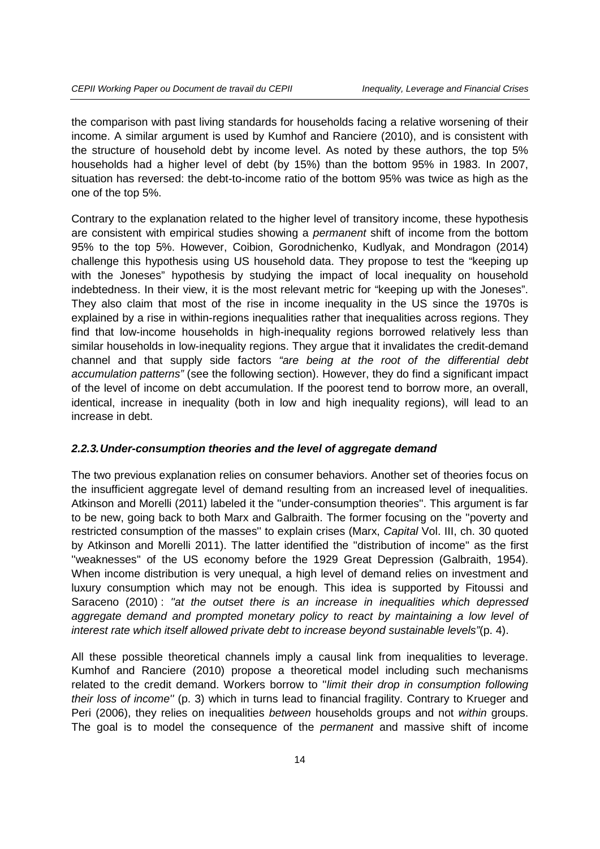the comparison with past living standards for households facing a relative worsening of their income. A similar argument is used by Kumhof and Ranciere (2010), and is consistent with the structure of household debt by income level. As noted by these authors, the top 5% households had a higher level of debt (by 15%) than the bottom 95% in 1983. In 2007, situation has reversed: the debt-to-income ratio of the bottom 95% was twice as high as the one of the top 5%.

Contrary to the explanation related to the higher level of transitory income, these hypothesis are consistent with empirical studies showing a *permanent* shift of income from the bottom 95% to the top 5%. However, Coibion, Gorodnichenko, Kudlyak, and Mondragon (2014) challenge this hypothesis using US household data. They propose to test the "keeping up with the Joneses" hypothesis by studying the impact of local inequality on household indebtedness. In their view, it is the most relevant metric for "keeping up with the Joneses". They also claim that most of the rise in income inequality in the US since the 1970s is explained by a rise in within-regions inequalities rather that inequalities across regions. They find that low-income households in high-inequality regions borrowed relatively less than similar households in low-inequality regions. They argue that it invalidates the credit-demand channel and that supply side factors *"are being at the root of the differential debt accumulation patterns"* (see the following section). However, they do find a significant impact of the level of income on debt accumulation. If the poorest tend to borrow more, an overall, identical, increase in inequality (both in low and high inequality regions), will lead to an increase in debt.

#### *2.2.3.Under-consumption theories and the level of aggregate demand*

The two previous explanation relies on consumer behaviors. Another set of theories focus on the insufficient aggregate level of demand resulting from an increased level of inequalities. Atkinson and Morelli (2011) labeled it the ''under-consumption theories''. This argument is far to be new, going back to both Marx and Galbraith. The former focusing on the ''poverty and restricted consumption of the masses'' to explain crises (Marx, *Capital* Vol. III, ch. 30 quoted by Atkinson and Morelli 2011). The latter identified the ''distribution of income'' as the first ''weaknesses'' of the US economy before the 1929 Great Depression (Galbraith, 1954). When income distribution is very unequal, a high level of demand relies on investment and luxury consumption which may not be enough. This idea is supported by Fitoussi and Saraceno (2010) : *''at the outset there is an increase in inequalities which depressed*  aggregate demand and prompted monetary policy to react by maintaining a low level of *interest rate which itself allowed private debt to increase beyond sustainable levels"*(p. 4).

All these possible theoretical channels imply a causal link from inequalities to leverage. Kumhof and Ranciere (2010) propose a theoretical model including such mechanisms related to the credit demand. Workers borrow to ''*limit their drop in consumption following their loss of income''* (p. 3) which in turns lead to financial fragility. Contrary to Krueger and Peri (2006), they relies on inequalities *between* households groups and not *within* groups. The goal is to model the consequence of the *permanent* and massive shift of income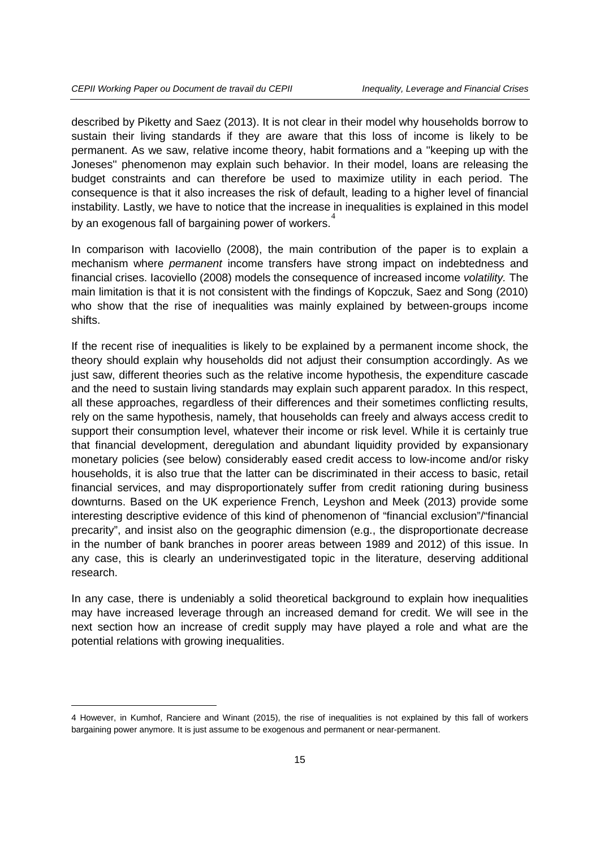described by Piketty and Saez (2013). It is not clear in their model why households borrow to sustain their living standards if they are aware that this loss of income is likely to be permanent. As we saw, relative income theory, habit formations and a ''keeping up with the Joneses'' phenomenon may explain such behavior. In their model, loans are releasing the budget constraints and can therefore be used to maximize utility in each period. The consequence is that it also increases the risk of default, leading to a higher level of financial instability. Lastly, we have to notice that the increase in inequalities is explained in this model by an exogenous fall of bargaining power of workers.<sup>[4](#page-14-0)</sup>

In comparison with Iacoviello (2008), the main contribution of the paper is to explain a mechanism where *permanent* income transfers have strong impact on indebtedness and financial crises. Iacoviello (2008) models the consequence of increased income *volatility.* The main limitation is that it is not consistent with the findings of Kopczuk, Saez and Song (2010) who show that the rise of inequalities was mainly explained by between-groups income shifts.

If the recent rise of inequalities is likely to be explained by a permanent income shock, the theory should explain why households did not adjust their consumption accordingly. As we just saw, different theories such as the relative income hypothesis, the expenditure cascade and the need to sustain living standards may explain such apparent paradox. In this respect, all these approaches, regardless of their differences and their sometimes conflicting results, rely on the same hypothesis, namely, that households can freely and always access credit to support their consumption level, whatever their income or risk level. While it is certainly true that financial development, deregulation and abundant liquidity provided by expansionary monetary policies (see below) considerably eased credit access to low-income and/or risky households, it is also true that the latter can be discriminated in their access to basic, retail financial services, and may disproportionately suffer from credit rationing during business downturns. Based on the UK experience French, Leyshon and Meek (2013) provide some interesting descriptive evidence of this kind of phenomenon of "financial exclusion"/"financial precarity", and insist also on the geographic dimension (e.g., the disproportionate decrease in the number of bank branches in poorer areas between 1989 and 2012) of this issue. In any case, this is clearly an underinvestigated topic in the literature, deserving additional research.

In any case, there is undeniably a solid theoretical background to explain how inequalities may have increased leverage through an increased demand for credit. We will see in the next section how an increase of credit supply may have played a role and what are the potential relations with growing inequalities.

-

<span id="page-14-0"></span><sup>4</sup> However, in Kumhof, Ranciere and Winant (2015), the rise of inequalities is not explained by this fall of workers bargaining power anymore. It is just assume to be exogenous and permanent or near-permanent.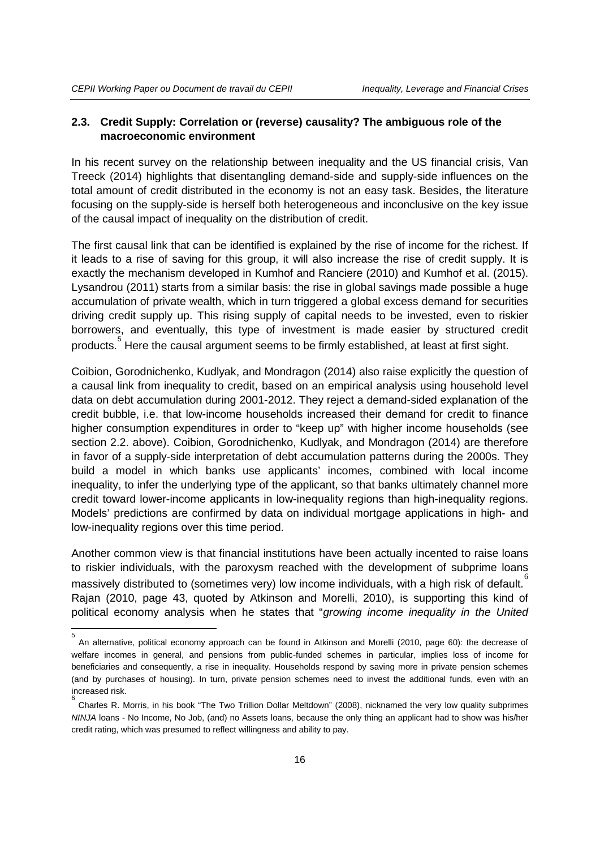5

#### **2.3. Credit Supply: Correlation or (reverse) causality? The ambiguous role of the macroeconomic environment**

In his recent survey on the relationship between inequality and the US financial crisis, Van Treeck (2014) highlights that disentangling demand-side and supply-side influences on the total amount of credit distributed in the economy is not an easy task. Besides, the literature focusing on the supply-side is herself both heterogeneous and inconclusive on the key issue of the causal impact of inequality on the distribution of credit.

The first causal link that can be identified is explained by the rise of income for the richest. If it leads to a rise of saving for this group, it will also increase the rise of credit supply. It is exactly the mechanism developed in Kumhof and Ranciere (2010) and Kumhof et al. (2015). Lysandrou (2011) starts from a similar basis: the rise in global savings made possible a huge accumulation of private wealth, which in turn triggered a global excess demand for securities driving credit supply up. This rising supply of capital needs to be invested, even to riskier borrowers, and eventually, this type of investment is made easier by structured credit products. $\mathring{\text{}}$  Here the causal argument seems to be firmly established, at least at first sight.

Coibion, Gorodnichenko, Kudlyak, and Mondragon (2014) also raise explicitly the question of a causal link from inequality to credit, based on an empirical analysis using household level data on debt accumulation during 2001-2012. They reject a demand-sided explanation of the credit bubble, i.e. that low-income households increased their demand for credit to finance higher consumption expenditures in order to "keep up" with higher income households (see section 2.2. above). Coibion, Gorodnichenko, Kudlyak, and Mondragon (2014) are therefore in favor of a supply-side interpretation of debt accumulation patterns during the 2000s. They build a model in which banks use applicants' incomes, combined with local income inequality, to infer the underlying type of the applicant, so that banks ultimately channel more credit toward lower-income applicants in low-inequality regions than high-inequality regions. Models' predictions are confirmed by data on individual mortgage applications in high- and low-inequality regions over this time period.

Another common view is that financial institutions have been actually incented to raise loans to riskier individuals, with the paroxysm reached with the development of subprime loans massively distributed to (sometimes very) low income individuals, with a high risk of default.  $\overset{6}{\,}$  $\overset{6}{\,}$  $\overset{6}{\,}$ Rajan (2010, page 43, quoted by Atkinson and Morelli, 2010), is supporting this kind of political economy analysis when he states that "*growing income inequality in the United* 

<span id="page-15-0"></span>An alternative, political economy approach can be found in Atkinson and Morelli (2010, page 60): the decrease of welfare incomes in general, and pensions from public-funded schemes in particular, implies loss of income for beneficiaries and consequently, a rise in inequality. Households respond by saving more in private pension schemes (and by purchases of housing). In turn, private pension schemes need to invest the additional funds, even with an increased risk.

<span id="page-15-1"></span><sup>6</sup> Charles R. Morris, in his book "The Two Trillion Dollar Meltdown" (2008), nicknamed the very low quality subprimes *NINJA* loans - No Income, No Job, (and) no Assets loans, because the only thing an applicant had to show was his/her credit rating, which was presumed to reflect willingness and ability to pay.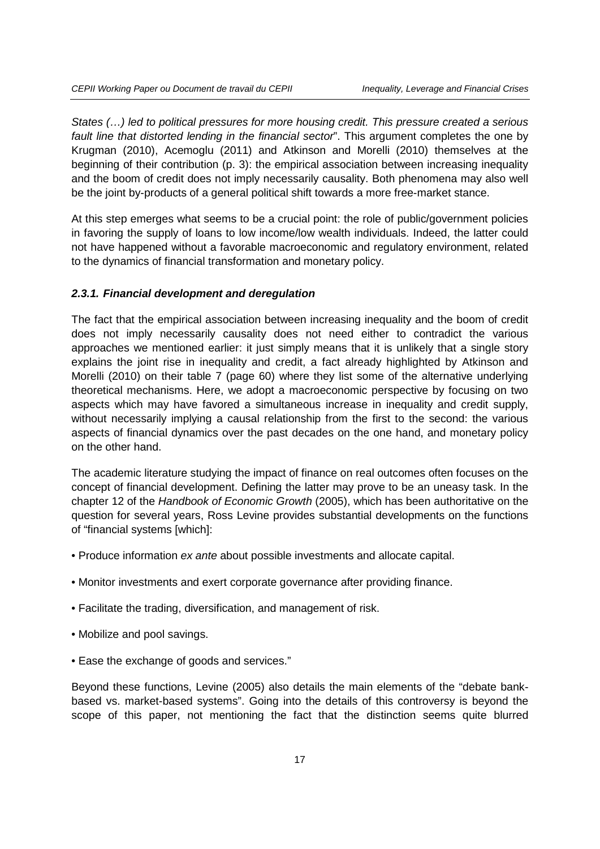*States (…) led to political pressures for more housing credit. This pressure created a serious fault line that distorted lending in the financial sector*". This argument completes the one by Krugman (2010), Acemoglu (2011) and Atkinson and Morelli (2010) themselves at the beginning of their contribution (p. 3): the empirical association between increasing inequality and the boom of credit does not imply necessarily causality. Both phenomena may also well be the joint by-products of a general political shift towards a more free-market stance.

At this step emerges what seems to be a crucial point: the role of public/government policies in favoring the supply of loans to low income/low wealth individuals. Indeed, the latter could not have happened without a favorable macroeconomic and regulatory environment, related to the dynamics of financial transformation and monetary policy.

#### *2.3.1. Financial development and deregulation*

The fact that the empirical association between increasing inequality and the boom of credit does not imply necessarily causality does not need either to contradict the various approaches we mentioned earlier: it just simply means that it is unlikely that a single story explains the joint rise in inequality and credit, a fact already highlighted by Atkinson and Morelli (2010) on their table 7 (page 60) where they list some of the alternative underlying theoretical mechanisms. Here, we adopt a macroeconomic perspective by focusing on two aspects which may have favored a simultaneous increase in inequality and credit supply, without necessarily implying a causal relationship from the first to the second: the various aspects of financial dynamics over the past decades on the one hand, and monetary policy on the other hand.

The academic literature studying the impact of finance on real outcomes often focuses on the concept of financial development. Defining the latter may prove to be an uneasy task. In the chapter 12 of the *Handbook of Economic Growth* (2005), which has been authoritative on the question for several years, Ross Levine provides substantial developments on the functions of "financial systems [which]:

- Produce information *ex ante* about possible investments and allocate capital.
- Monitor investments and exert corporate governance after providing finance.
- Facilitate the trading, diversification, and management of risk.
- Mobilize and pool savings.
- Ease the exchange of goods and services."

Beyond these functions, Levine (2005) also details the main elements of the "debate bankbased vs. market-based systems". Going into the details of this controversy is beyond the scope of this paper, not mentioning the fact that the distinction seems quite blurred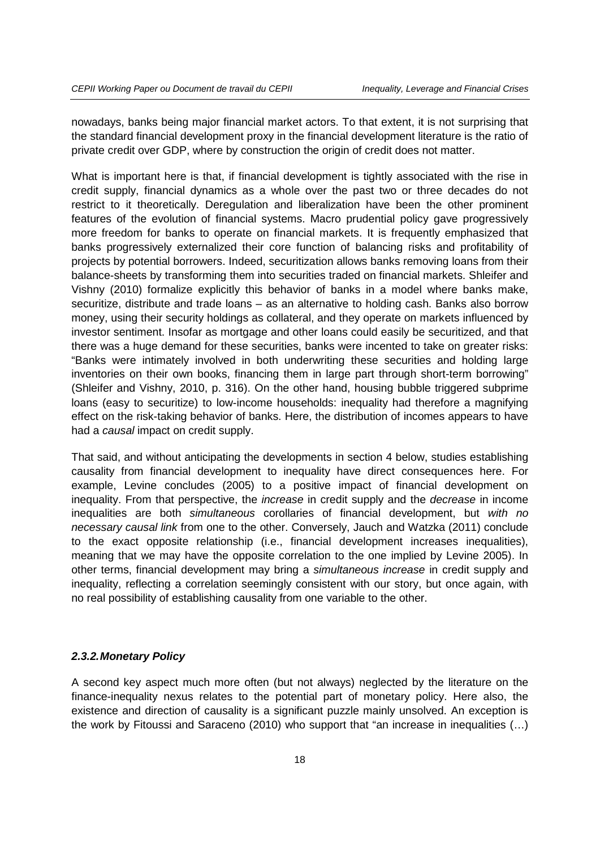nowadays, banks being major financial market actors. To that extent, it is not surprising that the standard financial development proxy in the financial development literature is the ratio of private credit over GDP, where by construction the origin of credit does not matter.

What is important here is that, if financial development is tightly associated with the rise in credit supply, financial dynamics as a whole over the past two or three decades do not restrict to it theoretically. Deregulation and liberalization have been the other prominent features of the evolution of financial systems. Macro prudential policy gave progressively more freedom for banks to operate on financial markets. It is frequently emphasized that banks progressively externalized their core function of balancing risks and profitability of projects by potential borrowers. Indeed, securitization allows banks removing loans from their balance-sheets by transforming them into securities traded on financial markets. Shleifer and Vishny (2010) formalize explicitly this behavior of banks in a model where banks make, securitize, distribute and trade loans – as an alternative to holding cash. Banks also borrow money, using their security holdings as collateral, and they operate on markets influenced by investor sentiment. Insofar as mortgage and other loans could easily be securitized, and that there was a huge demand for these securities, banks were incented to take on greater risks: "Banks were intimately involved in both underwriting these securities and holding large inventories on their own books, financing them in large part through short-term borrowing" (Shleifer and Vishny, 2010, p. 316). On the other hand, housing bubble triggered subprime loans (easy to securitize) to low-income households: inequality had therefore a magnifying effect on the risk-taking behavior of banks. Here, the distribution of incomes appears to have had a *causal* impact on credit supply.

That said, and without anticipating the developments in section 4 below, studies establishing causality from financial development to inequality have direct consequences here. For example, Levine concludes (2005) to a positive impact of financial development on inequality. From that perspective, the *increase* in credit supply and the *decrease* in income inequalities are both *simultaneous* corollaries of financial development, but *with no necessary causal link* from one to the other. Conversely, Jauch and Watzka (2011) conclude to the exact opposite relationship (i.e., financial development increases inequalities), meaning that we may have the opposite correlation to the one implied by Levine 2005). In other terms, financial development may bring a *simultaneous increase* in credit supply and inequality, reflecting a correlation seemingly consistent with our story, but once again, with no real possibility of establishing causality from one variable to the other.

#### *2.3.2.Monetary Policy*

A second key aspect much more often (but not always) neglected by the literature on the finance-inequality nexus relates to the potential part of monetary policy. Here also, the existence and direction of causality is a significant puzzle mainly unsolved. An exception is the work by Fitoussi and Saraceno (2010) who support that "an increase in inequalities (…)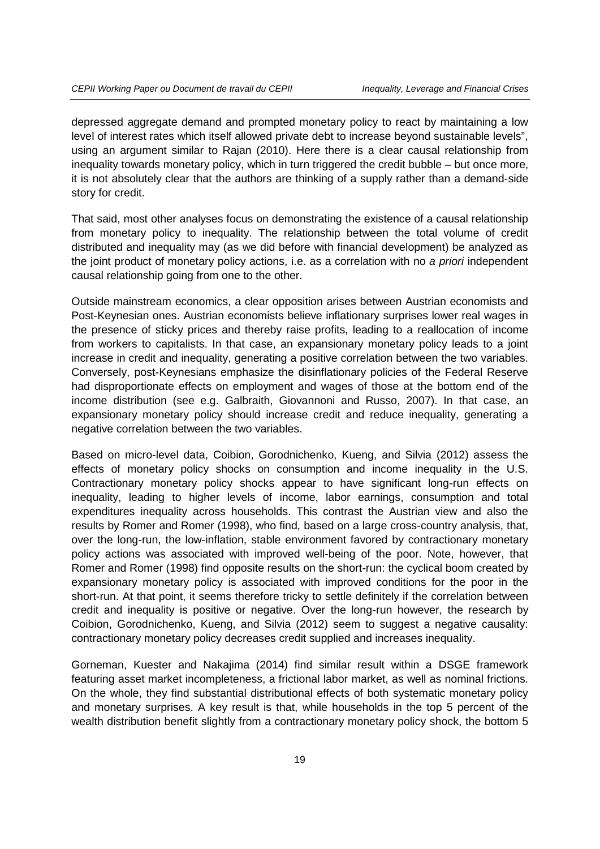depressed aggregate demand and prompted monetary policy to react by maintaining a low level of interest rates which itself allowed private debt to increase beyond sustainable levels", using an argument similar to Rajan (2010). Here there is a clear causal relationship from inequality towards monetary policy, which in turn triggered the credit bubble – but once more, it is not absolutely clear that the authors are thinking of a supply rather than a demand-side story for credit.

That said, most other analyses focus on demonstrating the existence of a causal relationship from monetary policy to inequality. The relationship between the total volume of credit distributed and inequality may (as we did before with financial development) be analyzed as the joint product of monetary policy actions, i.e. as a correlation with no *a priori* independent causal relationship going from one to the other.

Outside mainstream economics, a clear opposition arises between Austrian economists and Post-Keynesian ones. Austrian economists believe inflationary surprises lower real wages in the presence of sticky prices and thereby raise profits, leading to a reallocation of income from workers to capitalists. In that case, an expansionary monetary policy leads to a joint increase in credit and inequality, generating a positive correlation between the two variables. Conversely, post-Keynesians emphasize the disinflationary policies of the Federal Reserve had disproportionate effects on employment and wages of those at the bottom end of the income distribution (see e.g. Galbraith, Giovannoni and Russo, 2007). In that case, an expansionary monetary policy should increase credit and reduce inequality, generating a negative correlation between the two variables.

Based on micro-level data, Coibion, Gorodnichenko, Kueng, and Silvia (2012) assess the effects of monetary policy shocks on consumption and income inequality in the U.S. Contractionary monetary policy shocks appear to have significant long-run effects on inequality, leading to higher levels of income, labor earnings, consumption and total expenditures inequality across households. This contrast the Austrian view and also the results by Romer and Romer (1998), who find, based on a large cross-country analysis, that, over the long-run, the low-inflation, stable environment favored by contractionary monetary policy actions was associated with improved well-being of the poor. Note, however, that Romer and Romer (1998) find opposite results on the short-run: the cyclical boom created by expansionary monetary policy is associated with improved conditions for the poor in the short-run. At that point, it seems therefore tricky to settle definitely if the correlation between credit and inequality is positive or negative. Over the long-run however, the research by Coibion, Gorodnichenko, Kueng, and Silvia (2012) seem to suggest a negative causality: contractionary monetary policy decreases credit supplied and increases inequality.

Gorneman, Kuester and Nakajima (2014) find similar result within a DSGE framework featuring asset market incompleteness, a frictional labor market, as well as nominal frictions. On the whole, they find substantial distributional effects of both systematic monetary policy and monetary surprises. A key result is that, while households in the top 5 percent of the wealth distribution benefit slightly from a contractionary monetary policy shock, the bottom 5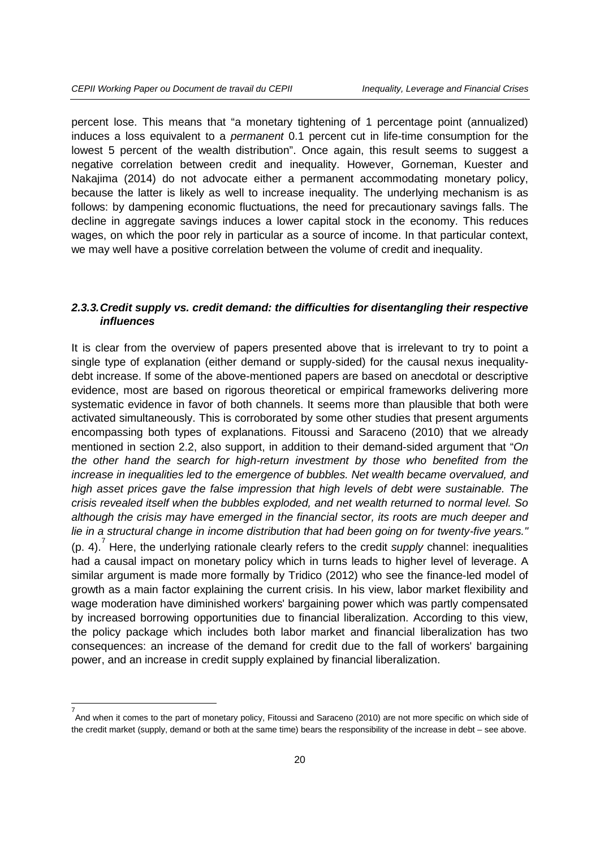percent lose. This means that "a monetary tightening of 1 percentage point (annualized) induces a loss equivalent to a *permanent* 0.1 percent cut in life-time consumption for the lowest 5 percent of the wealth distribution". Once again, this result seems to suggest a negative correlation between credit and inequality. However, Gorneman, Kuester and Nakajima (2014) do not advocate either a permanent accommodating monetary policy, because the latter is likely as well to increase inequality. The underlying mechanism is as follows: by dampening economic fluctuations, the need for precautionary savings falls. The decline in aggregate savings induces a lower capital stock in the economy. This reduces wages, on which the poor rely in particular as a source of income. In that particular context, we may well have a positive correlation between the volume of credit and inequality.

#### *2.3.3.Credit supply vs. credit demand: the difficulties for disentangling their respective influences*

It is clear from the overview of papers presented above that is irrelevant to try to point a single type of explanation (either demand or supply-sided) for the causal nexus inequalitydebt increase. If some of the above-mentioned papers are based on anecdotal or descriptive evidence, most are based on rigorous theoretical or empirical frameworks delivering more systematic evidence in favor of both channels. It seems more than plausible that both were activated simultaneously. This is corroborated by some other studies that present arguments encompassing both types of explanations. Fitoussi and Saraceno (2010) that we already mentioned in section 2.2, also support, in addition to their demand-sided argument that "*On the other hand the search for high-return investment by those who benefited from the increase in inequalities led to the emergence of bubbles. Net wealth became overvalued, and high asset prices gave the false impression that high levels of debt were sustainable. The crisis revealed itself when the bubbles exploded, and net wealth returned to normal level. So although the crisis may have emerged in the financial sector, its roots are much deeper and lie in a structural change in income distribution that had been going on for twenty-five years.''*  (p. 4).<sup>[7](#page-19-0)</sup> Here, the underlying rationale clearly refers to the credit *supply* channel: inequalities had a causal impact on monetary policy which in turns leads to higher level of leverage. A similar argument is made more formally by Tridico (2012) who see the finance-led model of growth as a main factor explaining the current crisis. In his view, labor market flexibility and wage moderation have diminished workers' bargaining power which was partly compensated by increased borrowing opportunities due to financial liberalization. According to this view, the policy package which includes both labor market and financial liberalization has two consequences: an increase of the demand for credit due to the fall of workers' bargaining power, and an increase in credit supply explained by financial liberalization.

<span id="page-19-0"></span><sup>—&</sup>lt;br>7 And when it comes to the part of monetary policy, Fitoussi and Saraceno (2010) are not more specific on which side of the credit market (supply, demand or both at the same time) bears the responsibility of the increase in debt – see above.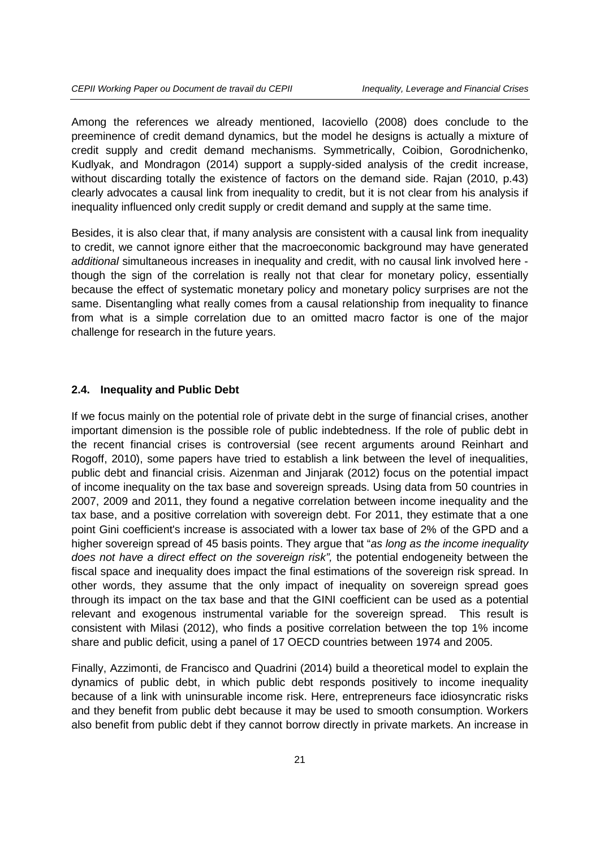Among the references we already mentioned, Iacoviello (2008) does conclude to the preeminence of credit demand dynamics, but the model he designs is actually a mixture of credit supply and credit demand mechanisms. Symmetrically, Coibion, Gorodnichenko, Kudlyak, and Mondragon (2014) support a supply-sided analysis of the credit increase, without discarding totally the existence of factors on the demand side. Rajan (2010, p.43) clearly advocates a causal link from inequality to credit, but it is not clear from his analysis if inequality influenced only credit supply or credit demand and supply at the same time.

Besides, it is also clear that, if many analysis are consistent with a causal link from inequality to credit, we cannot ignore either that the macroeconomic background may have generated *additional* simultaneous increases in inequality and credit, with no causal link involved here though the sign of the correlation is really not that clear for monetary policy, essentially because the effect of systematic monetary policy and monetary policy surprises are not the same. Disentangling what really comes from a causal relationship from inequality to finance from what is a simple correlation due to an omitted macro factor is one of the major challenge for research in the future years.

#### **2.4. Inequality and Public Debt**

If we focus mainly on the potential role of private debt in the surge of financial crises, another important dimension is the possible role of public indebtedness. If the role of public debt in the recent financial crises is controversial (see recent arguments around Reinhart and Rogoff, 2010), some papers have tried to establish a link between the level of inequalities, public debt and financial crisis. Aizenman and Jinjarak (2012) focus on the potential impact of income inequality on the tax base and sovereign spreads. Using data from 50 countries in 2007, 2009 and 2011, they found a negative correlation between income inequality and the tax base, and a positive correlation with sovereign debt. For 2011, they estimate that a one point Gini coefficient's increase is associated with a lower tax base of 2% of the GPD and a higher sovereign spread of 45 basis points. They argue that "*as long as the income inequality does not have a direct effect on the sovereign risk",* the potential endogeneity between the fiscal space and inequality does impact the final estimations of the sovereign risk spread. In other words, they assume that the only impact of inequality on sovereign spread goes through its impact on the tax base and that the GINI coefficient can be used as a potential relevant and exogenous instrumental variable for the sovereign spread. This result is consistent with Milasi (2012), who finds a positive correlation between the top 1% income share and public deficit, using a panel of 17 OECD countries between 1974 and 2005.

Finally, Azzimonti, de Francisco and Quadrini (2014) build a theoretical model to explain the dynamics of public debt, in which public debt responds positively to income inequality because of a link with uninsurable income risk. Here, entrepreneurs face idiosyncratic risks and they benefit from public debt because it may be used to smooth consumption. Workers also benefit from public debt if they cannot borrow directly in private markets. An increase in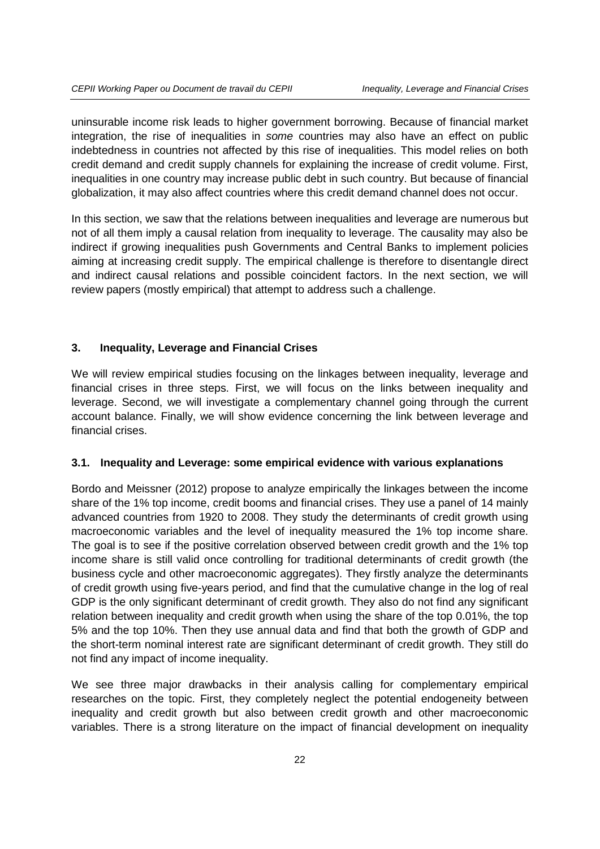uninsurable income risk leads to higher government borrowing. Because of financial market integration, the rise of inequalities in *some* countries may also have an effect on public indebtedness in countries not affected by this rise of inequalities. This model relies on both credit demand and credit supply channels for explaining the increase of credit volume. First, inequalities in one country may increase public debt in such country. But because of financial globalization, it may also affect countries where this credit demand channel does not occur.

In this section, we saw that the relations between inequalities and leverage are numerous but not of all them imply a causal relation from inequality to leverage. The causality may also be indirect if growing inequalities push Governments and Central Banks to implement policies aiming at increasing credit supply. The empirical challenge is therefore to disentangle direct and indirect causal relations and possible coincident factors. In the next section, we will review papers (mostly empirical) that attempt to address such a challenge.

#### **3. Inequality, Leverage and Financial Crises**

We will review empirical studies focusing on the linkages between inequality, leverage and financial crises in three steps. First, we will focus on the links between inequality and leverage. Second, we will investigate a complementary channel going through the current account balance. Finally, we will show evidence concerning the link between leverage and financial crises.

#### **3.1. Inequality and Leverage: some empirical evidence with various explanations**

Bordo and Meissner (2012) propose to analyze empirically the linkages between the income share of the 1% top income, credit booms and financial crises. They use a panel of 14 mainly advanced countries from 1920 to 2008. They study the determinants of credit growth using macroeconomic variables and the level of inequality measured the 1% top income share. The goal is to see if the positive correlation observed between credit growth and the 1% top income share is still valid once controlling for traditional determinants of credit growth (the business cycle and other macroeconomic aggregates). They firstly analyze the determinants of credit growth using five-years period, and find that the cumulative change in the log of real GDP is the only significant determinant of credit growth. They also do not find any significant relation between inequality and credit growth when using the share of the top 0.01%, the top 5% and the top 10%. Then they use annual data and find that both the growth of GDP and the short-term nominal interest rate are significant determinant of credit growth. They still do not find any impact of income inequality.

We see three major drawbacks in their analysis calling for complementary empirical researches on the topic. First, they completely neglect the potential endogeneity between inequality and credit growth but also between credit growth and other macroeconomic variables. There is a strong literature on the impact of financial development on inequality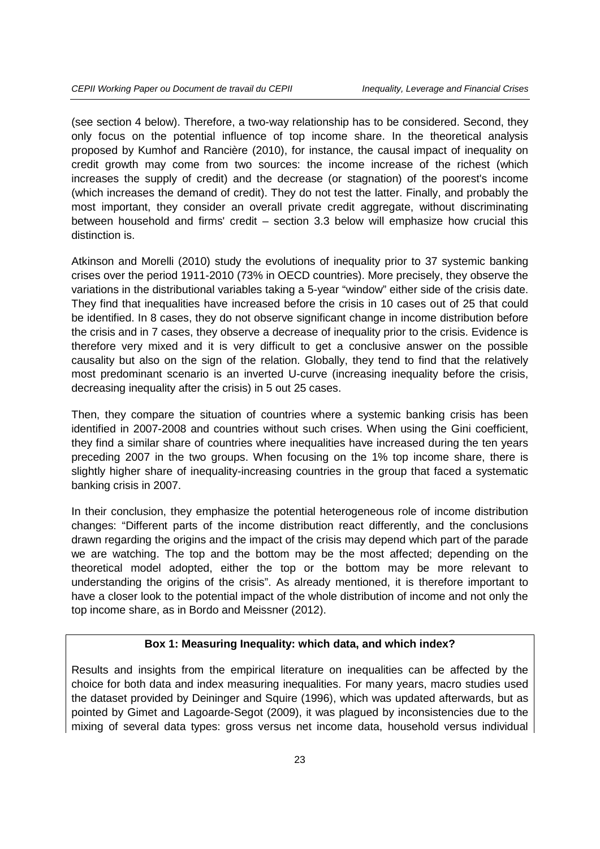(see section 4 below). Therefore, a two-way relationship has to be considered. Second, they only focus on the potential influence of top income share. In the theoretical analysis proposed by Kumhof and Rancière (2010), for instance, the causal impact of inequality on credit growth may come from two sources: the income increase of the richest (which increases the supply of credit) and the decrease (or stagnation) of the poorest's income (which increases the demand of credit). They do not test the latter. Finally, and probably the most important, they consider an overall private credit aggregate, without discriminating between household and firms' credit – section 3.3 below will emphasize how crucial this distinction is.

Atkinson and Morelli (2010) study the evolutions of inequality prior to 37 systemic banking crises over the period 1911-2010 (73% in OECD countries). More precisely, they observe the variations in the distributional variables taking a 5-year "window" either side of the crisis date. They find that inequalities have increased before the crisis in 10 cases out of 25 that could be identified. In 8 cases, they do not observe significant change in income distribution before the crisis and in 7 cases, they observe a decrease of inequality prior to the crisis. Evidence is therefore very mixed and it is very difficult to get a conclusive answer on the possible causality but also on the sign of the relation. Globally, they tend to find that the relatively most predominant scenario is an inverted U-curve (increasing inequality before the crisis, decreasing inequality after the crisis) in 5 out 25 cases.

Then, they compare the situation of countries where a systemic banking crisis has been identified in 2007-2008 and countries without such crises. When using the Gini coefficient, they find a similar share of countries where inequalities have increased during the ten years preceding 2007 in the two groups. When focusing on the 1% top income share, there is slightly higher share of inequality-increasing countries in the group that faced a systematic banking crisis in 2007.

In their conclusion, they emphasize the potential heterogeneous role of income distribution changes: "Different parts of the income distribution react differently, and the conclusions drawn regarding the origins and the impact of the crisis may depend which part of the parade we are watching. The top and the bottom may be the most affected; depending on the theoretical model adopted, either the top or the bottom may be more relevant to understanding the origins of the crisis". As already mentioned, it is therefore important to have a closer look to the potential impact of the whole distribution of income and not only the top income share, as in Bordo and Meissner (2012).

#### **Box 1: Measuring Inequality: which data, and which index?**

Results and insights from the empirical literature on inequalities can be affected by the choice for both data and index measuring inequalities. For many years, macro studies used the dataset provided by Deininger and Squire (1996), which was updated afterwards, but as pointed by Gimet and Lagoarde-Segot (2009), it was plagued by inconsistencies due to the mixing of several data types: gross versus net income data, household versus individual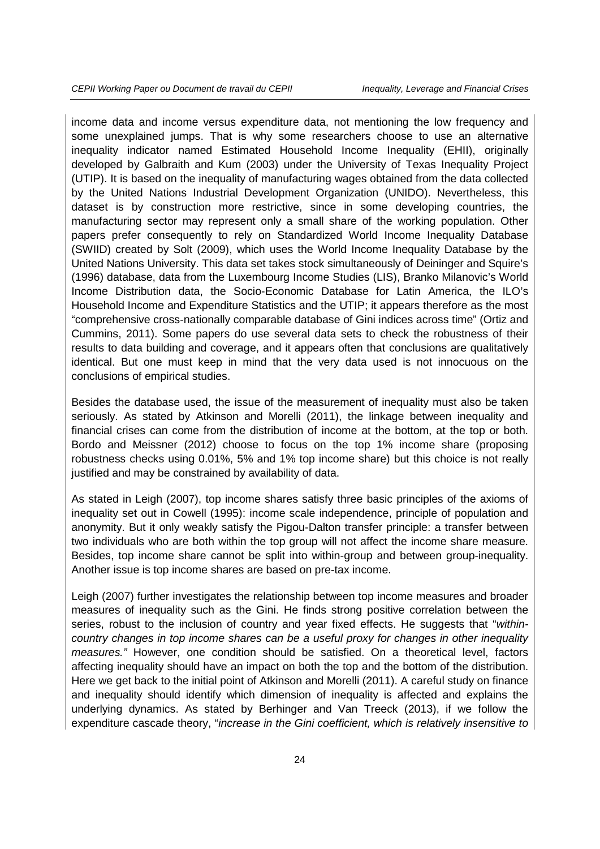income data and income versus expenditure data, not mentioning the low frequency and some unexplained jumps. That is why some researchers choose to use an alternative inequality indicator named Estimated Household Income Inequality (EHII), originally developed by Galbraith and Kum (2003) under the University of Texas Inequality Project (UTIP). It is based on the inequality of manufacturing wages obtained from the data collected by the United Nations Industrial Development Organization (UNIDO). Nevertheless, this dataset is by construction more restrictive, since in some developing countries, the manufacturing sector may represent only a small share of the working population. Other papers prefer consequently to rely on Standardized World Income Inequality Database (SWIID) created by Solt (2009), which uses the World Income Inequality Database by the United Nations University. This data set takes stock simultaneously of Deininger and Squire's (1996) database, data from the Luxembourg Income Studies (LIS), Branko Milanovic's World Income Distribution data, the Socio-Economic Database for Latin America, the ILO's Household Income and Expenditure Statistics and the UTIP; it appears therefore as the most "comprehensive cross-nationally comparable database of Gini indices across time" (Ortiz and Cummins, 2011). Some papers do use several data sets to check the robustness of their results to data building and coverage, and it appears often that conclusions are qualitatively identical. But one must keep in mind that the very data used is not innocuous on the conclusions of empirical studies.

Besides the database used, the issue of the measurement of inequality must also be taken seriously. As stated by Atkinson and Morelli (2011), the linkage between inequality and financial crises can come from the distribution of income at the bottom, at the top or both. Bordo and Meissner (2012) choose to focus on the top 1% income share (proposing robustness checks using 0.01%, 5% and 1% top income share) but this choice is not really justified and may be constrained by availability of data.

As stated in Leigh (2007), top income shares satisfy three basic principles of the axioms of inequality set out in Cowell (1995): income scale independence, principle of population and anonymity. But it only weakly satisfy the Pigou-Dalton transfer principle: a transfer between two individuals who are both within the top group will not affect the income share measure. Besides, top income share cannot be split into within-group and between group-inequality. Another issue is top income shares are based on pre-tax income.

Leigh (2007) further investigates the relationship between top income measures and broader measures of inequality such as the Gini. He finds strong positive correlation between the series, robust to the inclusion of country and year fixed effects. He suggests that "*withincountry changes in top income shares can be a useful proxy for changes in other inequality measures."* However, one condition should be satisfied. On a theoretical level, factors affecting inequality should have an impact on both the top and the bottom of the distribution. Here we get back to the initial point of Atkinson and Morelli (2011). A careful study on finance and inequality should identify which dimension of inequality is affected and explains the underlying dynamics. As stated by Berhinger and Van Treeck (2013), if we follow the expenditure cascade theory, "*increase in the Gini coefficient, which is relatively insensitive to*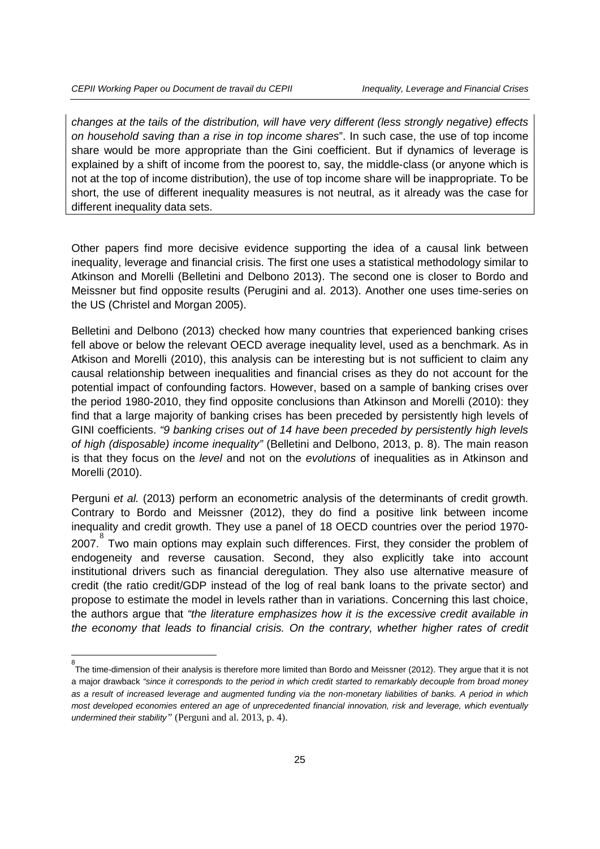-<br>8

*changes at the tails of the distribution, will have very different (less strongly negative) effects on household saving than a rise in top income shares*". In such case, the use of top income share would be more appropriate than the Gini coefficient. But if dynamics of leverage is explained by a shift of income from the poorest to, say, the middle-class (or anyone which is not at the top of income distribution), the use of top income share will be inappropriate. To be short, the use of different inequality measures is not neutral, as it already was the case for different inequality data sets.

Other papers find more decisive evidence supporting the idea of a causal link between inequality, leverage and financial crisis. The first one uses a statistical methodology similar to Atkinson and Morelli (Belletini and Delbono 2013). The second one is closer to Bordo and Meissner but find opposite results (Perugini and al. 2013). Another one uses time-series on the US (Christel and Morgan 2005).

Belletini and Delbono (2013) checked how many countries that experienced banking crises fell above or below the relevant OECD average inequality level, used as a benchmark. As in Atkison and Morelli (2010), this analysis can be interesting but is not sufficient to claim any causal relationship between inequalities and financial crises as they do not account for the potential impact of confounding factors. However, based on a sample of banking crises over the period 1980-2010, they find opposite conclusions than Atkinson and Morelli (2010): they find that a large majority of banking crises has been preceded by persistently high levels of GINI coefficients. *"9 banking crises out of 14 have been preceded by persistently high levels of high (disposable) income inequality"* (Belletini and Delbono, 2013, p. 8). The main reason is that they focus on the *level* and not on the *evolutions* of inequalities as in Atkinson and Morelli (2010).

Perguni *et al.* (2013) perform an econometric analysis of the determinants of credit growth. Contrary to Bordo and Meissner (2012), they do find a positive link between income inequality and credit growth. They use a panel of 18 OECD countries over the period 1970- 2007. [8](#page-24-0) Two main options may explain such differences. First, they consider the problem of endogeneity and reverse causation. Second, they also explicitly take into account institutional drivers such as financial deregulation. They also use alternative measure of credit (the ratio credit/GDP instead of the log of real bank loans to the private sector) and propose to estimate the model in levels rather than in variations. Concerning this last choice, the authors argue that *"the literature emphasizes how it is the excessive credit available in the economy that leads to financial crisis. On the contrary, whether higher rates of credit* 

<span id="page-24-0"></span>The time-dimension of their analysis is therefore more limited than Bordo and Meissner (2012). They argue that it is not a major drawback *"since it corresponds to the period in which credit started to remarkably decouple from broad money as a result of increased leverage and augmented funding via the non-monetary liabilities of banks. A period in which most developed economies entered an age of unprecedented financial innovation, risk and leverage, which eventually undermined their stability"* (Perguni and al. 2013, p. 4).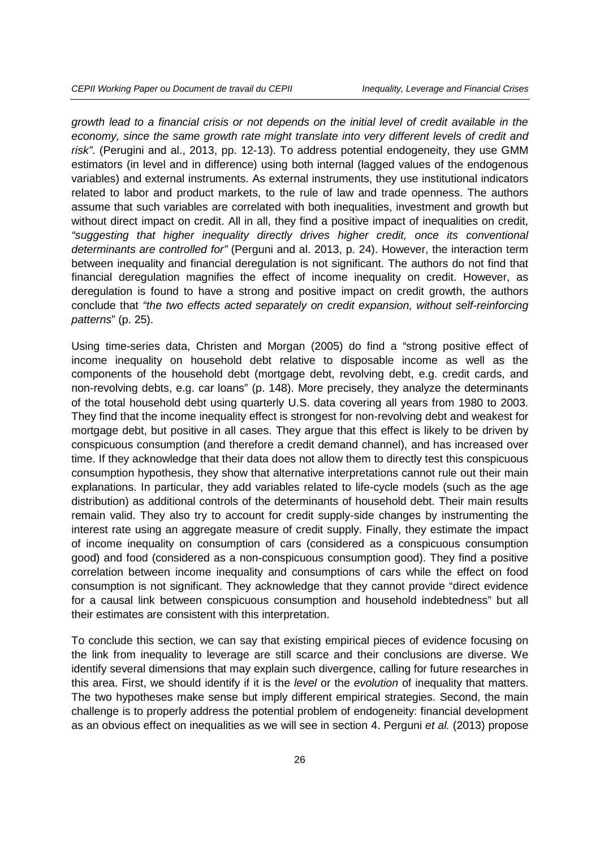*growth lead to a financial crisis or not depends on the initial level of credit available in the economy, since the same growth rate might translate into very different levels of credit and risk"*. (Perugini and al., 2013, pp. 12-13). To address potential endogeneity, they use GMM estimators (in level and in difference) using both internal (lagged values of the endogenous variables) and external instruments. As external instruments, they use institutional indicators related to labor and product markets, to the rule of law and trade openness. The authors assume that such variables are correlated with both inequalities, investment and growth but without direct impact on credit. All in all, they find a positive impact of inequalities on credit, *"suggesting that higher inequality directly drives higher credit, once its conventional determinants are controlled for"* (Perguni and al. 2013, p. 24). However, the interaction term between inequality and financial deregulation is not significant. The authors do not find that financial deregulation magnifies the effect of income inequality on credit. However, as deregulation is found to have a strong and positive impact on credit growth, the authors conclude that *"the two effects acted separately on credit expansion, without self-reinforcing patterns*" (p. 25).

Using time-series data, Christen and Morgan (2005) do find a "strong positive effect of income inequality on household debt relative to disposable income as well as the components of the household debt (mortgage debt, revolving debt, e.g. credit cards, and non-revolving debts, e.g. car loans" (p. 148). More precisely, they analyze the determinants of the total household debt using quarterly U.S. data covering all years from 1980 to 2003. They find that the income inequality effect is strongest for non-revolving debt and weakest for mortgage debt, but positive in all cases. They argue that this effect is likely to be driven by conspicuous consumption (and therefore a credit demand channel), and has increased over time. If they acknowledge that their data does not allow them to directly test this conspicuous consumption hypothesis, they show that alternative interpretations cannot rule out their main explanations. In particular, they add variables related to life-cycle models (such as the age distribution) as additional controls of the determinants of household debt. Their main results remain valid. They also try to account for credit supply-side changes by instrumenting the interest rate using an aggregate measure of credit supply. Finally, they estimate the impact of income inequality on consumption of cars (considered as a conspicuous consumption good) and food (considered as a non-conspicuous consumption good). They find a positive correlation between income inequality and consumptions of cars while the effect on food consumption is not significant. They acknowledge that they cannot provide "direct evidence for a causal link between conspicuous consumption and household indebtedness" but all their estimates are consistent with this interpretation.

To conclude this section, we can say that existing empirical pieces of evidence focusing on the link from inequality to leverage are still scarce and their conclusions are diverse. We identify several dimensions that may explain such divergence, calling for future researches in this area. First, we should identify if it is the *level* or the *evolution* of inequality that matters. The two hypotheses make sense but imply different empirical strategies. Second, the main challenge is to properly address the potential problem of endogeneity: financial development as an obvious effect on inequalities as we will see in section 4. Perguni *et al.* (2013) propose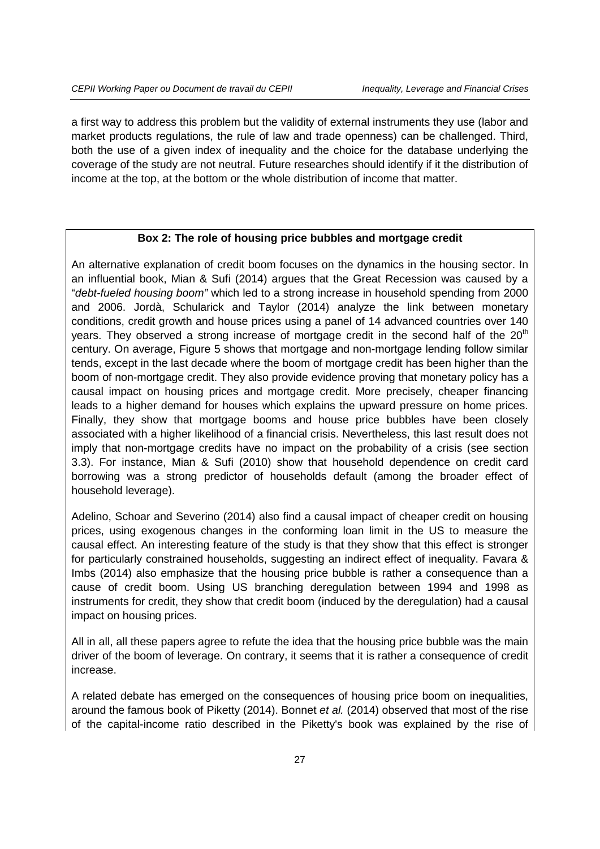a first way to address this problem but the validity of external instruments they use (labor and market products regulations, the rule of law and trade openness) can be challenged. Third, both the use of a given index of inequality and the choice for the database underlying the coverage of the study are not neutral. Future researches should identify if it the distribution of income at the top, at the bottom or the whole distribution of income that matter.

#### **Box 2: The role of housing price bubbles and mortgage credit**

An alternative explanation of credit boom focuses on the dynamics in the housing sector. In an influential book, Mian & Sufi (2014) argues that the Great Recession was caused by a "*debt-fueled housing boom"* which led to a strong increase in household spending from 2000 and 2006. Jordà, Schularick and Taylor (2014) analyze the link between monetary conditions, credit growth and house prices using a panel of 14 advanced countries over 140 years. They observed a strong increase of mortgage credit in the second half of the  $20<sup>th</sup>$ century. On average, Figure 5 shows that mortgage and non-mortgage lending follow similar tends, except in the last decade where the boom of mortgage credit has been higher than the boom of non-mortgage credit. They also provide evidence proving that monetary policy has a causal impact on housing prices and mortgage credit. More precisely, cheaper financing leads to a higher demand for houses which explains the upward pressure on home prices. Finally, they show that mortgage booms and house price bubbles have been closely associated with a higher likelihood of a financial crisis. Nevertheless, this last result does not imply that non-mortgage credits have no impact on the probability of a crisis (see section 3.3). For instance, Mian & Sufi (2010) show that household dependence on credit card borrowing was a strong predictor of households default (among the broader effect of household leverage).

Adelino, Schoar and Severino (2014) also find a causal impact of cheaper credit on housing prices, using exogenous changes in the conforming loan limit in the US to measure the causal effect. An interesting feature of the study is that they show that this effect is stronger for particularly constrained households, suggesting an indirect effect of inequality. Favara & Imbs (2014) also emphasize that the housing price bubble is rather a consequence than a cause of credit boom. Using US branching deregulation between 1994 and 1998 as instruments for credit, they show that credit boom (induced by the deregulation) had a causal impact on housing prices.

All in all, all these papers agree to refute the idea that the housing price bubble was the main driver of the boom of leverage. On contrary, it seems that it is rather a consequence of credit increase.

A related debate has emerged on the consequences of housing price boom on inequalities, around the famous book of Piketty (2014). Bonnet *et al.* (2014) observed that most of the rise of the capital-income ratio described in the Piketty's book was explained by the rise of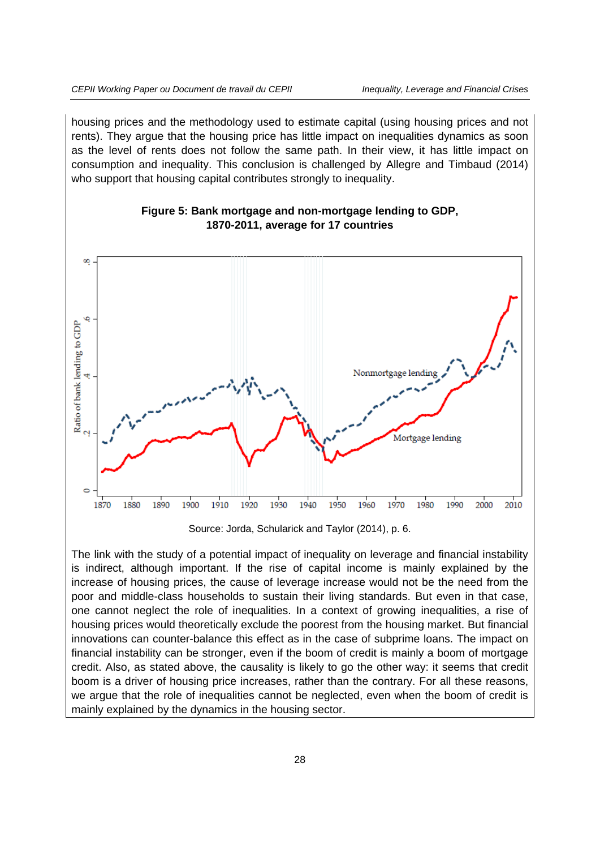housing prices and the methodology used to estimate capital (using housing prices and not rents). They argue that the housing price has little impact on inequalities dynamics as soon as the level of rents does not follow the same path. In their view, it has little impact on consumption and inequality. This conclusion is challenged by Allegre and Timbaud (2014) who support that housing capital contributes strongly to inequality.



#### **Figure 5: Bank mortgage and non-mortgage lending to GDP, 1870-2011, average for 17 countries**

The link with the study of a potential impact of inequality on leverage and financial instability is indirect, although important. If the rise of capital income is mainly explained by the increase of housing prices, the cause of leverage increase would not be the need from the poor and middle-class households to sustain their living standards. But even in that case, one cannot neglect the role of inequalities. In a context of growing inequalities, a rise of housing prices would theoretically exclude the poorest from the housing market. But financial innovations can counter-balance this effect as in the case of subprime loans. The impact on financial instability can be stronger, even if the boom of credit is mainly a boom of mortgage credit. Also, as stated above, the causality is likely to go the other way: it seems that credit boom is a driver of housing price increases, rather than the contrary. For all these reasons, we argue that the role of inequalities cannot be neglected, even when the boom of credit is mainly explained by the dynamics in the housing sector.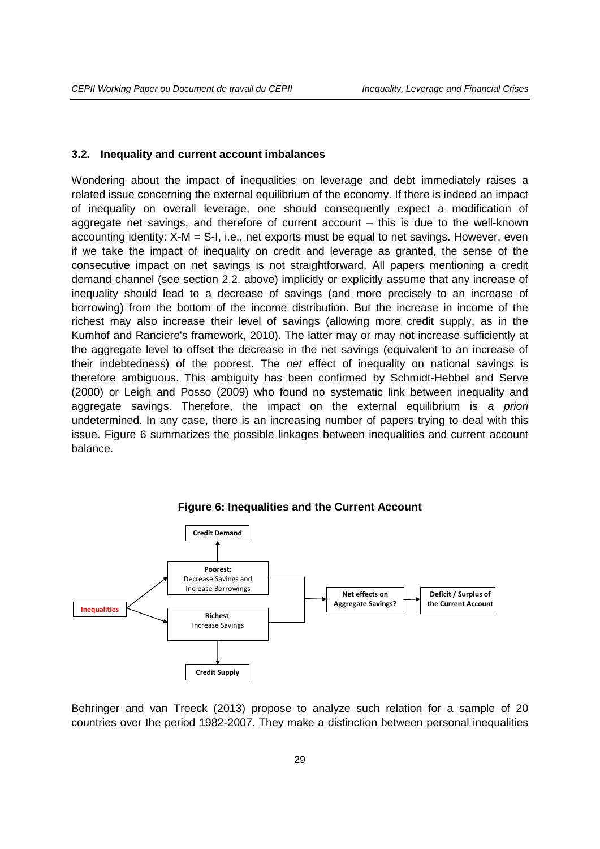#### **3.2. Inequality and current account imbalances**

Wondering about the impact of inequalities on leverage and debt immediately raises a related issue concerning the external equilibrium of the economy. If there is indeed an impact of inequality on overall leverage, one should consequently expect a modification of aggregate net savings, and therefore of current account – this is due to the well-known accounting identity: X-M = S-I, i.e., net exports must be equal to net savings. However, even if we take the impact of inequality on credit and leverage as granted, the sense of the consecutive impact on net savings is not straightforward. All papers mentioning a credit demand channel (see section 2.2. above) implicitly or explicitly assume that any increase of inequality should lead to a decrease of savings (and more precisely to an increase of borrowing) from the bottom of the income distribution. But the increase in income of the richest may also increase their level of savings (allowing more credit supply, as in the Kumhof and Ranciere's framework, 2010). The latter may or may not increase sufficiently at the aggregate level to offset the decrease in the net savings (equivalent to an increase of their indebtedness) of the poorest. The *net* effect of inequality on national savings is therefore ambiguous. This ambiguity has been confirmed by Schmidt-Hebbel and Serve (2000) or Leigh and Posso (2009) who found no systematic link between inequality and aggregate savings. Therefore, the impact on the external equilibrium is *a priori* undetermined. In any case, there is an increasing number of papers trying to deal with this issue. Figure 6 summarizes the possible linkages between inequalities and current account balance.



**Figure 6: Inequalities and the Current Account**

Behringer and van Treeck (2013) propose to analyze such relation for a sample of 20 countries over the period 1982-2007. They make a distinction between personal inequalities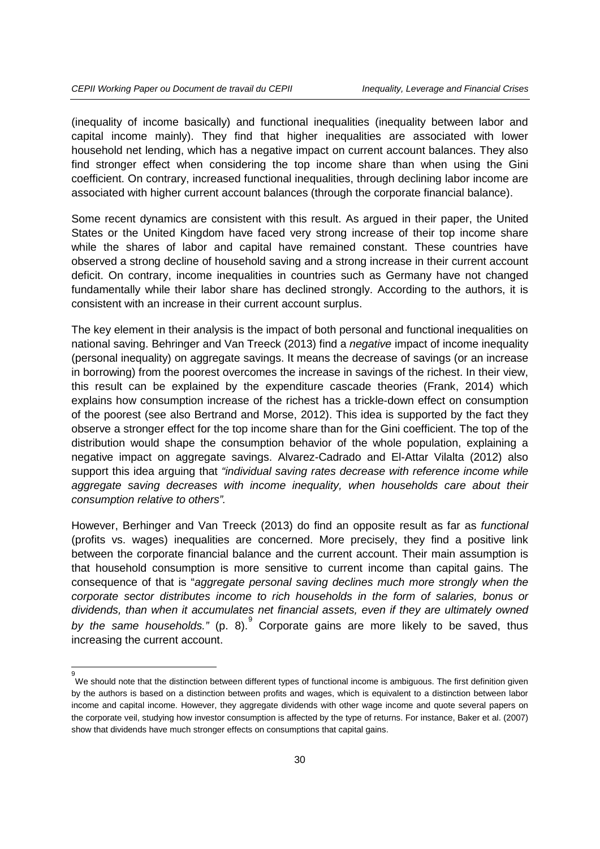(inequality of income basically) and functional inequalities (inequality between labor and capital income mainly). They find that higher inequalities are associated with lower household net lending, which has a negative impact on current account balances. They also find stronger effect when considering the top income share than when using the Gini coefficient. On contrary, increased functional inequalities, through declining labor income are associated with higher current account balances (through the corporate financial balance).

Some recent dynamics are consistent with this result. As argued in their paper, the United States or the United Kingdom have faced very strong increase of their top income share while the shares of labor and capital have remained constant. These countries have observed a strong decline of household saving and a strong increase in their current account deficit. On contrary, income inequalities in countries such as Germany have not changed fundamentally while their labor share has declined strongly. According to the authors, it is consistent with an increase in their current account surplus.

The key element in their analysis is the impact of both personal and functional inequalities on national saving. Behringer and Van Treeck (2013) find a *negative* impact of income inequality (personal inequality) on aggregate savings. It means the decrease of savings (or an increase in borrowing) from the poorest overcomes the increase in savings of the richest. In their view, this result can be explained by the expenditure cascade theories (Frank, 2014) which explains how consumption increase of the richest has a trickle-down effect on consumption of the poorest (see also Bertrand and Morse, 2012). This idea is supported by the fact they observe a stronger effect for the top income share than for the Gini coefficient. The top of the distribution would shape the consumption behavior of the whole population, explaining a negative impact on aggregate savings. Alvarez-Cadrado and El-Attar Vilalta (2012) also support this idea arguing that *"individual saving rates decrease with reference income while*  aggregate saving decreases with income inequality, when households care about their *consumption relative to others".*

However, Berhinger and Van Treeck (2013) do find an opposite result as far as *functional*  (profits vs. wages) inequalities are concerned. More precisely, they find a positive link between the corporate financial balance and the current account. Their main assumption is that household consumption is more sensitive to current income than capital gains. The consequence of that is "*aggregate personal saving declines much more strongly when the corporate sector distributes income to rich households in the form of salaries, bonus or dividends, than when it accumulates net financial assets, even if they are ultimately owned*  by the same households." (p. 8). Corporate gains are more likely to be saved, thus increasing the current account.

<span id="page-29-0"></span><sup>–&</sup>lt;br>9 We should note that the distinction between different types of functional income is ambiguous. The first definition given by the authors is based on a distinction between profits and wages, which is equivalent to a distinction between labor income and capital income. However, they aggregate dividends with other wage income and quote several papers on the corporate veil, studying how investor consumption is affected by the type of returns. For instance, Baker et al. (2007) show that dividends have much stronger effects on consumptions that capital gains.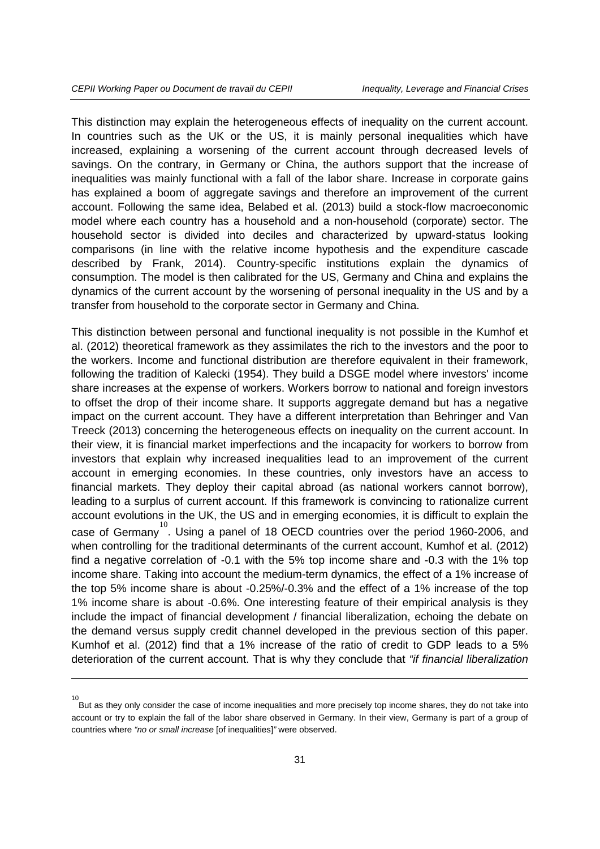-

This distinction may explain the heterogeneous effects of inequality on the current account. In countries such as the UK or the US, it is mainly personal inequalities which have increased, explaining a worsening of the current account through decreased levels of savings. On the contrary, in Germany or China, the authors support that the increase of inequalities was mainly functional with a fall of the labor share. Increase in corporate gains has explained a boom of aggregate savings and therefore an improvement of the current account. Following the same idea, Belabed et al. (2013) build a stock-flow macroeconomic model where each country has a household and a non-household (corporate) sector. The household sector is divided into deciles and characterized by upward-status looking comparisons (in line with the relative income hypothesis and the expenditure cascade described by Frank, 2014). Country-specific institutions explain the dynamics of consumption. The model is then calibrated for the US, Germany and China and explains the dynamics of the current account by the worsening of personal inequality in the US and by a transfer from household to the corporate sector in Germany and China.

This distinction between personal and functional inequality is not possible in the Kumhof et al. (2012) theoretical framework as they assimilates the rich to the investors and the poor to the workers. Income and functional distribution are therefore equivalent in their framework, following the tradition of Kalecki (1954). They build a DSGE model where investors' income share increases at the expense of workers. Workers borrow to national and foreign investors to offset the drop of their income share. It supports aggregate demand but has a negative impact on the current account. They have a different interpretation than Behringer and Van Treeck (2013) concerning the heterogeneous effects on inequality on the current account. In their view, it is financial market imperfections and the incapacity for workers to borrow from investors that explain why increased inequalities lead to an improvement of the current account in emerging economies. In these countries, only investors have an access to financial markets. They deploy their capital abroad (as national workers cannot borrow), leading to a surplus of current account. If this framework is convincing to rationalize current account evolutions in the UK, the US and in emerging economies, it is difficult to explain the case of Germany<sup>[10](#page-30-0)</sup>. Using a panel of 18 OECD countries over the period 1960-2006, and when controlling for the traditional determinants of the current account, Kumhof et al. (2012) find a negative correlation of -0.1 with the 5% top income share and -0.3 with the 1% top income share. Taking into account the medium-term dynamics, the effect of a 1% increase of the top 5% income share is about -0.25%/-0.3% and the effect of a 1% increase of the top 1% income share is about -0.6%. One interesting feature of their empirical analysis is they include the impact of financial development / financial liberalization, echoing the debate on the demand versus supply credit channel developed in the previous section of this paper. Kumhof et al. (2012) find that a 1% increase of the ratio of credit to GDP leads to a 5% deterioration of the current account. That is why they conclude that *"if financial liberalization* 

<span id="page-30-0"></span><sup>10</sup> But as they only consider the case of income inequalities and more precisely top income shares, they do not take into account or try to explain the fall of the labor share observed in Germany. In their view, Germany is part of a group of countries where *"no or small increase* [of inequalities]*"* were observed.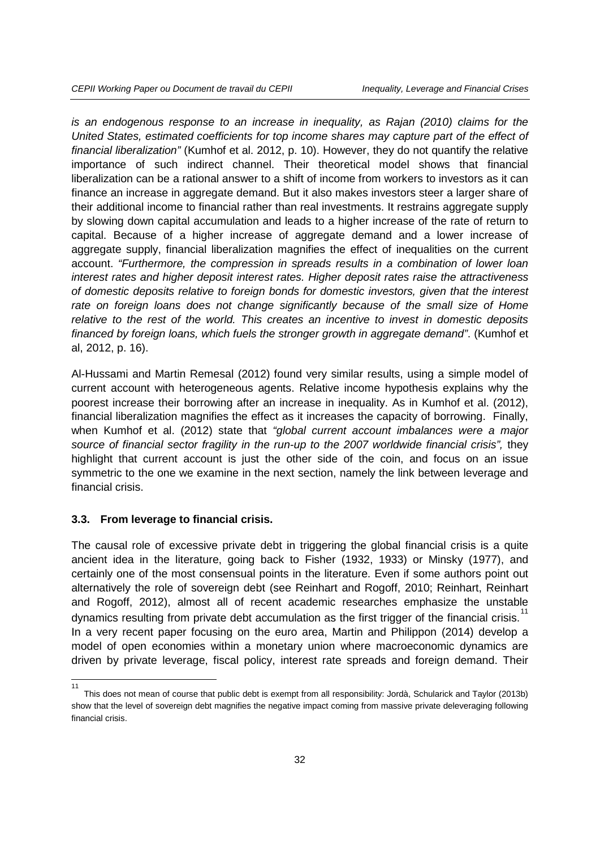*is an endogenous response to an increase in inequality, as Rajan (2010) claims for the United States, estimated coefficients for top income shares may capture part of the effect of financial liberalization"* (Kumhof et al. 2012, p. 10). However, they do not quantify the relative importance of such indirect channel. Their theoretical model shows that financial liberalization can be a rational answer to a shift of income from workers to investors as it can finance an increase in aggregate demand. But it also makes investors steer a larger share of their additional income to financial rather than real investments. It restrains aggregate supply by slowing down capital accumulation and leads to a higher increase of the rate of return to capital. Because of a higher increase of aggregate demand and a lower increase of aggregate supply, financial liberalization magnifies the effect of inequalities on the current account. *"Furthermore, the compression in spreads results in a combination of lower loan interest rates and higher deposit interest rates. Higher deposit rates raise the attractiveness of domestic deposits relative to foreign bonds for domestic investors, given that the interest*  rate on foreign loans does not change significantly because of the small size of Home *relative to the rest of the world. This creates an incentive to invest in domestic deposits financed by foreign loans, which fuels the stronger growth in aggregate demand"*. (Kumhof et al, 2012, p. 16).

Al-Hussami and Martin Remesal (2012) found very similar results, using a simple model of current account with heterogeneous agents. Relative income hypothesis explains why the poorest increase their borrowing after an increase in inequality. As in Kumhof et al. (2012), financial liberalization magnifies the effect as it increases the capacity of borrowing. Finally, when Kumhof et al. (2012) state that *"global current account imbalances were a major*  source of financial sector fragility in the run-up to the 2007 worldwide financial crisis", they highlight that current account is just the other side of the coin, and focus on an issue symmetric to the one we examine in the next section, namely the link between leverage and financial crisis.

#### **3.3. From leverage to financial crisis.**

The causal role of excessive private debt in triggering the global financial crisis is a quite ancient idea in the literature, going back to Fisher (1932, 1933) or Minsky (1977), and certainly one of the most consensual points in the literature. Even if some authors point out alternatively the role of sovereign debt (see Reinhart and Rogoff, 2010; Reinhart, Reinhart and Rogoff, 2012), almost all of recent academic researches emphasize the unstable dynamics resulting from private debt accumulation as the first trigger of the financial crisis.<sup>[11](#page-31-0)</sup> In a very recent paper focusing on the euro area, Martin and Philippon (2014) develop a model of open economies within a monetary union where macroeconomic dynamics are driven by private leverage, fiscal policy, interest rate spreads and foreign demand. Their

<span id="page-31-0"></span> <sup>11</sup> This does not mean of course that public debt is exempt from all responsibility: Jordà, Schularick and Taylor (2013b) show that the level of sovereign debt magnifies the negative impact coming from massive private deleveraging following financial crisis.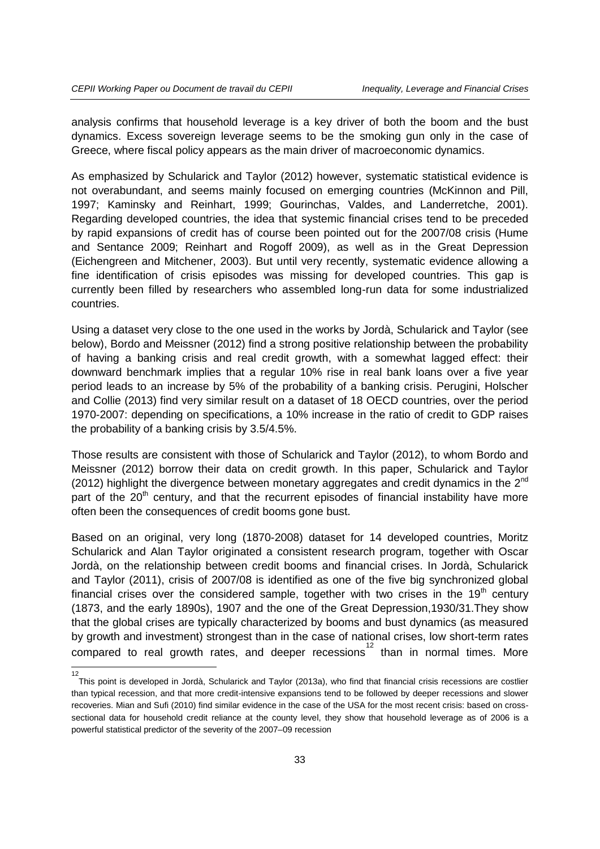analysis confirms that household leverage is a key driver of both the boom and the bust dynamics. Excess sovereign leverage seems to be the smoking gun only in the case of Greece, where fiscal policy appears as the main driver of macroeconomic dynamics.

As emphasized by Schularick and Taylor (2012) however, systematic statistical evidence is not overabundant, and seems mainly focused on emerging countries (McKinnon and Pill, 1997; Kaminsky and Reinhart, 1999; Gourinchas, Valdes, and Landerretche, 2001). Regarding developed countries, the idea that systemic financial crises tend to be preceded by rapid expansions of credit has of course been pointed out for the 2007/08 crisis (Hume and Sentance 2009; Reinhart and Rogoff 2009), as well as in the Great Depression (Eichengreen and Mitchener, 2003). But until very recently, systematic evidence allowing a fine identification of crisis episodes was missing for developed countries. This gap is currently been filled by researchers who assembled long-run data for some industrialized countries.

Using a dataset very close to the one used in the works by Jordà, Schularick and Taylor (see below), Bordo and Meissner (2012) find a strong positive relationship between the probability of having a banking crisis and real credit growth, with a somewhat lagged effect: their downward benchmark implies that a regular 10% rise in real bank loans over a five year period leads to an increase by 5% of the probability of a banking crisis. Perugini, Holscher and Collie (2013) find very similar result on a dataset of 18 OECD countries, over the period 1970-2007: depending on specifications, a 10% increase in the ratio of credit to GDP raises the probability of a banking crisis by 3.5/4.5%.

Those results are consistent with those of Schularick and Taylor (2012), to whom Bordo and Meissner (2012) borrow their data on credit growth. In this paper, Schularick and Taylor (2012) highlight the divergence between monetary aggregates and credit dynamics in the  $2^{nd}$ part of the  $20<sup>th</sup>$  century, and that the recurrent episodes of financial instability have more often been the consequences of credit booms gone bust.

Based on an original, very long (1870-2008) dataset for 14 developed countries, Moritz Schularick and Alan Taylor originated a consistent research program, together with Oscar Jordà, on the relationship between credit booms and financial crises. In Jordà, Schularick and Taylor (2011), crisis of 2007/08 is identified as one of the five big synchronized global financial crises over the considered sample, together with two crises in the  $19<sup>th</sup>$  century (1873, and the early 1890s), 1907 and the one of the Great Depression,1930/31.They show that the global crises are typically characterized by booms and bust dynamics (as measured by growth and investment) strongest than in the case of national crises, low short-term rates compared to real growth rates, and deeper recessions<sup>[12](#page-32-0)</sup> than in normal times. More

<span id="page-32-0"></span> $\frac{1}{12}$ This point is developed in Jordà, Schularick and Taylor (2013a), who find that financial crisis recessions are costlier than typical recession, and that more credit-intensive expansions tend to be followed by deeper recessions and slower recoveries. Mian and Sufi (2010) find similar evidence in the case of the USA for the most recent crisis: based on crosssectional data for household credit reliance at the county level, they show that household leverage as of 2006 is a powerful statistical predictor of the severity of the 2007–09 recession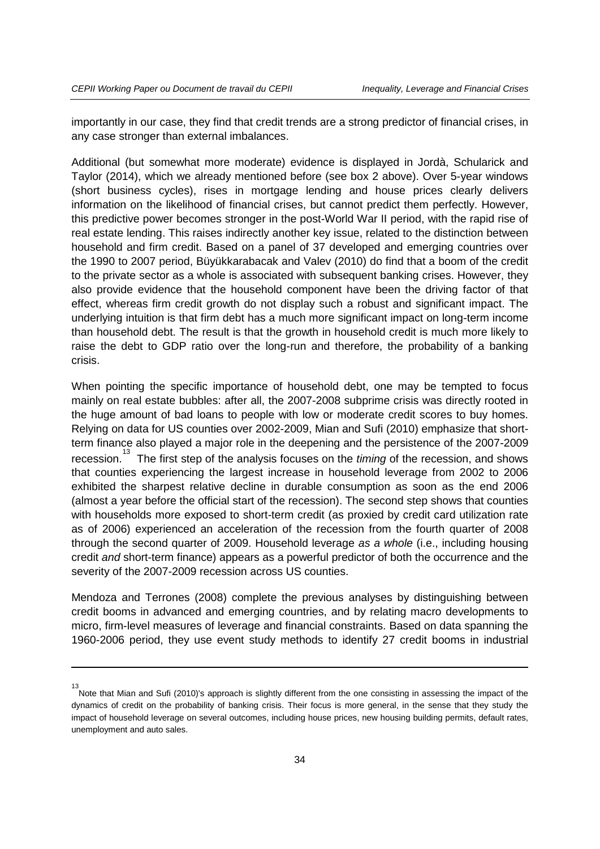-13

importantly in our case, they find that credit trends are a strong predictor of financial crises, in any case stronger than external imbalances.

Additional (but somewhat more moderate) evidence is displayed in Jordà, Schularick and Taylor (2014), which we already mentioned before (see box 2 above). Over 5-year windows (short business cycles), rises in mortgage lending and house prices clearly delivers information on the likelihood of financial crises, but cannot predict them perfectly. However, this predictive power becomes stronger in the post-World War II period, with the rapid rise of real estate lending. This raises indirectly another key issue, related to the distinction between household and firm credit. Based on a panel of 37 developed and emerging countries over the 1990 to 2007 period, Büyükkarabacak and Valev (2010) do find that a boom of the credit to the private sector as a whole is associated with subsequent banking crises. However, they also provide evidence that the household component have been the driving factor of that effect, whereas firm credit growth do not display such a robust and significant impact. The underlying intuition is that firm debt has a much more significant impact on long-term income than household debt. The result is that the growth in household credit is much more likely to raise the debt to GDP ratio over the long-run and therefore, the probability of a banking crisis.

When pointing the specific importance of household debt, one may be tempted to focus mainly on real estate bubbles: after all, the 2007-2008 subprime crisis was directly rooted in the huge amount of bad loans to people with low or moderate credit scores to buy homes. Relying on data for US counties over 2002-2009, Mian and Sufi (2010) emphasize that shortterm finance also played a major role in the deepening and the persistence of the 2007-2009 recession. [13](#page-33-0) The first step of the analysis focuses on the *timing* of the recession, and shows that counties experiencing the largest increase in household leverage from 2002 to 2006 exhibited the sharpest relative decline in durable consumption as soon as the end 2006 (almost a year before the official start of the recession). The second step shows that counties with households more exposed to short-term credit (as proxied by credit card utilization rate as of 2006) experienced an acceleration of the recession from the fourth quarter of 2008 through the second quarter of 2009. Household leverage *as a whole* (i.e., including housing credit *and* short-term finance) appears as a powerful predictor of both the occurrence and the severity of the 2007-2009 recession across US counties.

Mendoza and Terrones (2008) complete the previous analyses by distinguishing between credit booms in advanced and emerging countries, and by relating macro developments to micro, firm-level measures of leverage and financial constraints. Based on data spanning the 1960-2006 period, they use event study methods to identify 27 credit booms in industrial

<span id="page-33-0"></span>Note that Mian and Sufi (2010)'s approach is slightly different from the one consisting in assessing the impact of the dynamics of credit on the probability of banking crisis. Their focus is more general, in the sense that they study the impact of household leverage on several outcomes, including house prices, new housing building permits, default rates, unemployment and auto sales.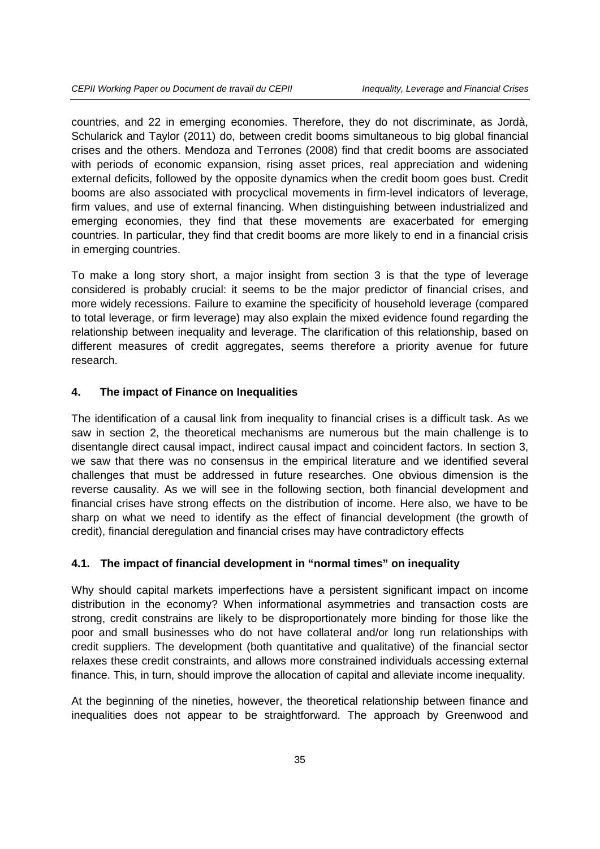countries, and 22 in emerging economies. Therefore, they do not discriminate, as Jordà, Schularick and Taylor (2011) do, between credit booms simultaneous to big global financial crises and the others. Mendoza and Terrones (2008) find that credit booms are associated with periods of economic expansion, rising asset prices, real appreciation and widening external deficits, followed by the opposite dynamics when the credit boom goes bust. Credit booms are also associated with procyclical movements in firm-level indicators of leverage, firm values, and use of external financing. When distinguishing between industrialized and emerging economies, they find that these movements are exacerbated for emerging countries. In particular, they find that credit booms are more likely to end in a financial crisis in emerging countries.

To make a long story short, a major insight from section 3 is that the type of leverage considered is probably crucial: it seems to be the major predictor of financial crises, and more widely recessions. Failure to examine the specificity of household leverage (compared to total leverage, or firm leverage) may also explain the mixed evidence found regarding the relationship between inequality and leverage. The clarification of this relationship, based on different measures of credit aggregates, seems therefore a priority avenue for future research.

#### **4. The impact of Finance on Inequalities**

The identification of a causal link from inequality to financial crises is a difficult task. As we saw in section 2, the theoretical mechanisms are numerous but the main challenge is to disentangle direct causal impact, indirect causal impact and coincident factors. In section 3, we saw that there was no consensus in the empirical literature and we identified several challenges that must be addressed in future researches. One obvious dimension is the reverse causality. As we will see in the following section, both financial development and financial crises have strong effects on the distribution of income. Here also, we have to be sharp on what we need to identify as the effect of financial development (the growth of credit), financial deregulation and financial crises may have contradictory effects

#### **4.1. The impact of financial development in "normal times" on inequality**

Why should capital markets imperfections have a persistent significant impact on income distribution in the economy? When informational asymmetries and transaction costs are strong, credit constrains are likely to be disproportionately more binding for those like the poor and small businesses who do not have collateral and/or long run relationships with credit suppliers. The development (both quantitative and qualitative) of the financial sector relaxes these credit constraints, and allows more constrained individuals accessing external finance. This, in turn, should improve the allocation of capital and alleviate income inequality.

At the beginning of the nineties, however, the theoretical relationship between finance and inequalities does not appear to be straightforward. The approach by Greenwood and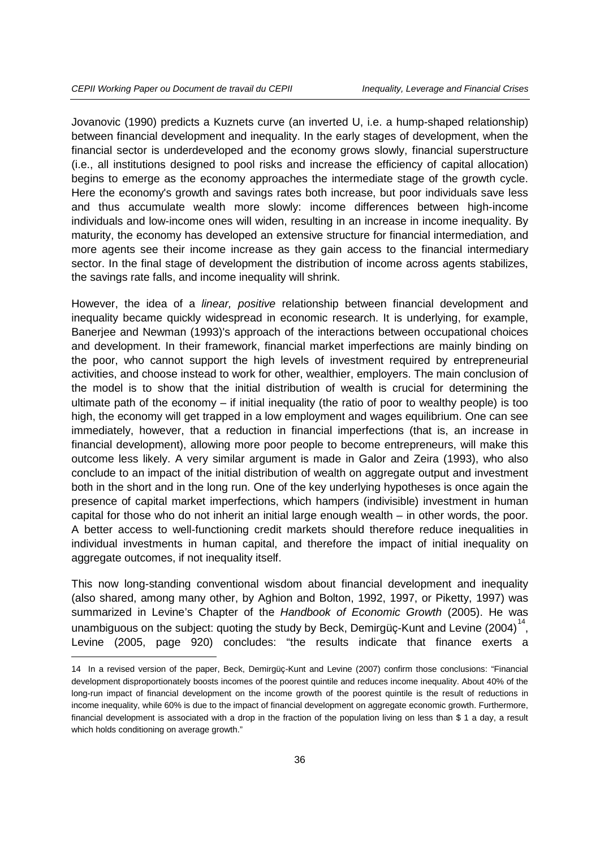-

Jovanovic (1990) predicts a Kuznets curve (an inverted U, i.e. a hump-shaped relationship) between financial development and inequality. In the early stages of development, when the financial sector is underdeveloped and the economy grows slowly, financial superstructure (i.e., all institutions designed to pool risks and increase the efficiency of capital allocation) begins to emerge as the economy approaches the intermediate stage of the growth cycle. Here the economy's growth and savings rates both increase, but poor individuals save less and thus accumulate wealth more slowly: income differences between high-income individuals and low-income ones will widen, resulting in an increase in income inequality. By maturity, the economy has developed an extensive structure for financial intermediation, and more agents see their income increase as they gain access to the financial intermediary sector. In the final stage of development the distribution of income across agents stabilizes, the savings rate falls, and income inequality will shrink.

However, the idea of a *linear, positive* relationship between financial development and inequality became quickly widespread in economic research. It is underlying, for example, Banerjee and Newman (1993)'s approach of the interactions between occupational choices and development. In their framework, financial market imperfections are mainly binding on the poor, who cannot support the high levels of investment required by entrepreneurial activities, and choose instead to work for other, wealthier, employers. The main conclusion of the model is to show that the initial distribution of wealth is crucial for determining the ultimate path of the economy  $-$  if initial inequality (the ratio of poor to wealthy people) is too high, the economy will get trapped in a low employment and wages equilibrium. One can see immediately, however, that a reduction in financial imperfections (that is, an increase in financial development), allowing more poor people to become entrepreneurs, will make this outcome less likely. A very similar argument is made in Galor and Zeira (1993), who also conclude to an impact of the initial distribution of wealth on aggregate output and investment both in the short and in the long run. One of the key underlying hypotheses is once again the presence of capital market imperfections, which hampers (indivisible) investment in human capital for those who do not inherit an initial large enough wealth – in other words, the poor. A better access to well-functioning credit markets should therefore reduce inequalities in individual investments in human capital, and therefore the impact of initial inequality on aggregate outcomes, if not inequality itself.

This now long-standing conventional wisdom about financial development and inequality (also shared, among many other, by Aghion and Bolton, 1992, 1997, or Piketty, 1997) was summarized in Levine's Chapter of the *Handbook of Economic Growth* (2005). He was unambiguous on the subject: quoting the study by Beck, Demirgüç-Kunt and Levine (2004)<sup>[14](#page-35-0)</sup>, Levine (2005, page 920) concludes: "the results indicate that finance exerts a

<span id="page-35-0"></span><sup>14</sup> In a revised version of the paper, Beck, Demirgüç-Kunt and Levine (2007) confirm those conclusions: "Financial development disproportionately boosts incomes of the poorest quintile and reduces income inequality. About 40% of the long-run impact of financial development on the income growth of the poorest quintile is the result of reductions in income inequality, while 60% is due to the impact of financial development on aggregate economic growth. Furthermore, financial development is associated with a drop in the fraction of the population living on less than \$ 1 a day, a result which holds conditioning on average growth."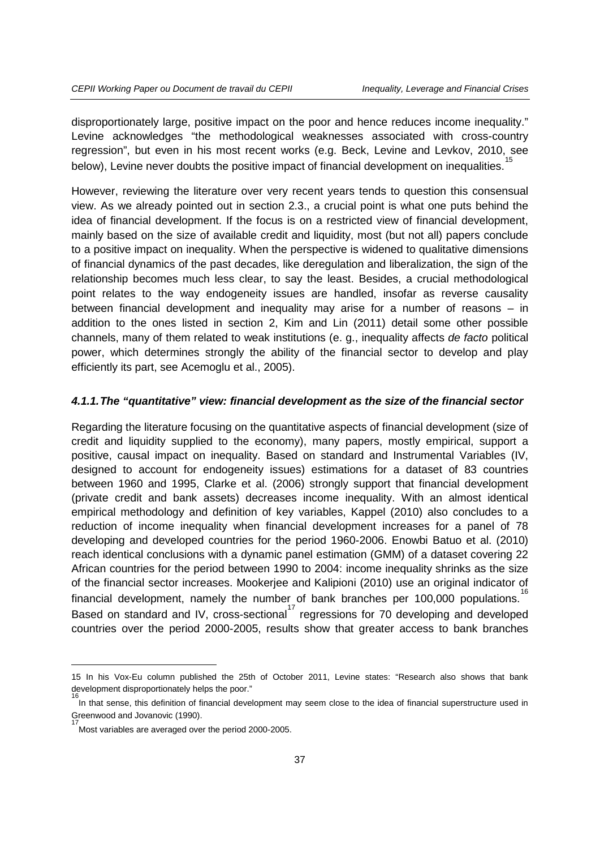disproportionately large, positive impact on the poor and hence reduces income inequality." Levine acknowledges "the methodological weaknesses associated with cross-country regression", but even in his most recent works (e.g. Beck, Levine and Levkov, 2010, see below), Levine never doubts the positive impact of financial development on inequalities.

However, reviewing the literature over very recent years tends to question this consensual view. As we already pointed out in section 2.3., a crucial point is what one puts behind the idea of financial development. If the focus is on a restricted view of financial development, mainly based on the size of available credit and liquidity, most (but not all) papers conclude to a positive impact on inequality. When the perspective is widened to qualitative dimensions of financial dynamics of the past decades, like deregulation and liberalization, the sign of the relationship becomes much less clear, to say the least. Besides, a crucial methodological point relates to the way endogeneity issues are handled, insofar as reverse causality between financial development and inequality may arise for a number of reasons – in addition to the ones listed in section 2, Kim and Lin (2011) detail some other possible channels, many of them related to weak institutions (e. g., inequality affects *de facto* political power, which determines strongly the ability of the financial sector to develop and play efficiently its part, see Acemoglu et al., 2005).

#### *4.1.1.The "quantitative" view: financial development as the size of the financial sector*

Regarding the literature focusing on the quantitative aspects of financial development (size of credit and liquidity supplied to the economy), many papers, mostly empirical, support a positive, causal impact on inequality. Based on standard and Instrumental Variables (IV, designed to account for endogeneity issues) estimations for a dataset of 83 countries between 1960 and 1995, Clarke et al. (2006) strongly support that financial development (private credit and bank assets) decreases income inequality. With an almost identical empirical methodology and definition of key variables, Kappel (2010) also concludes to a reduction of income inequality when financial development increases for a panel of 78 developing and developed countries for the period 1960-2006. Enowbi Batuo et al. (2010) reach identical conclusions with a dynamic panel estimation (GMM) of a dataset covering 22 African countries for the period between 1990 to 2004: income inequality shrinks as the size of the financial sector increases. Mookerjee and Kalipioni (2010) use an original indicator of financial development, namely the number of bank branches per 100,000 populations. Based on standard and IV, cross-sectional<sup>[17](#page-36-2)</sup> regressions for 70 developing and developed countries over the period 2000-2005, results show that greater access to bank branches

-

<span id="page-36-0"></span><sup>15</sup> In his Vox-Eu column published the 25th of October 2011, Levine states: "Research also shows that bank development disproportionately helps the poor."

<span id="page-36-2"></span><span id="page-36-1"></span>In that sense, this definition of financial development may seem close to the idea of financial superstructure used in Greenwood and Jovanovic (1990). 17

Most variables are averaged over the period 2000-2005.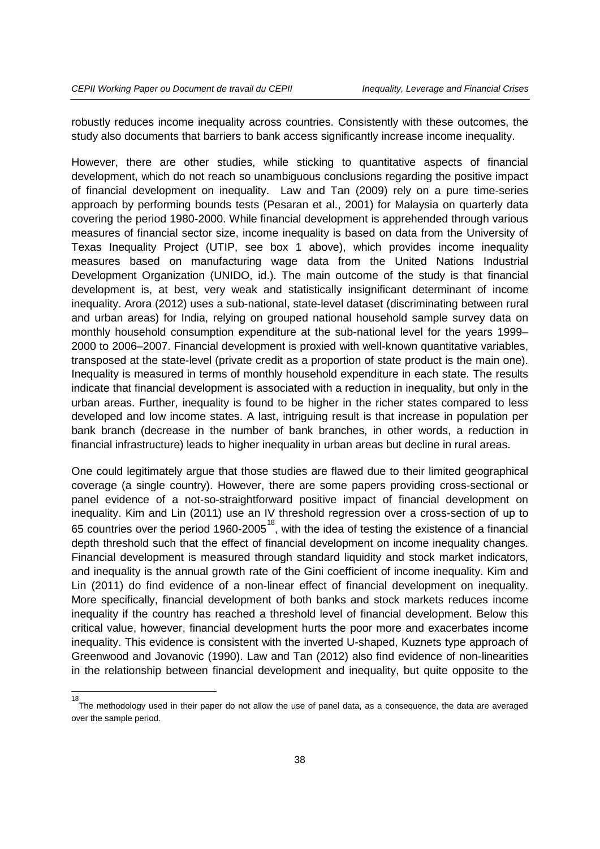robustly reduces income inequality across countries. Consistently with these outcomes, the study also documents that barriers to bank access significantly increase income inequality.

However, there are other studies, while sticking to quantitative aspects of financial development, which do not reach so unambiguous conclusions regarding the positive impact of financial development on inequality. Law and Tan (2009) rely on a pure time-series approach by performing bounds tests (Pesaran et al., 2001) for Malaysia on quarterly data covering the period 1980-2000. While financial development is apprehended through various measures of financial sector size, income inequality is based on data from the University of Texas Inequality Project (UTIP, see box 1 above), which provides income inequality measures based on manufacturing wage data from the United Nations Industrial Development Organization (UNIDO, id.). The main outcome of the study is that financial development is, at best, very weak and statistically insignificant determinant of income inequality. Arora (2012) uses a sub-national, state-level dataset (discriminating between rural and urban areas) for India, relying on grouped national household sample survey data on monthly household consumption expenditure at the sub-national level for the years 1999– 2000 to 2006–2007. Financial development is proxied with well-known quantitative variables, transposed at the state-level (private credit as a proportion of state product is the main one). Inequality is measured in terms of monthly household expenditure in each state. The results indicate that financial development is associated with a reduction in inequality, but only in the urban areas. Further, inequality is found to be higher in the richer states compared to less developed and low income states. A last, intriguing result is that increase in population per bank branch (decrease in the number of bank branches, in other words, a reduction in financial infrastructure) leads to higher inequality in urban areas but decline in rural areas.

One could legitimately argue that those studies are flawed due to their limited geographical coverage (a single country). However, there are some papers providing cross-sectional or panel evidence of a not-so-straightforward positive impact of financial development on inequality. Kim and Lin (2011) use an IV threshold regression over a cross-section of up to 65 countries over the period 1960-2005 $^{18}$  $^{18}$  $^{18}$ , with the idea of testing the existence of a financial depth threshold such that the effect of financial development on income inequality changes. Financial development is measured through standard liquidity and stock market indicators, and inequality is the annual growth rate of the Gini coefficient of income inequality. Kim and Lin (2011) do find evidence of a non-linear effect of financial development on inequality. More specifically, financial development of both banks and stock markets reduces income inequality if the country has reached a threshold level of financial development. Below this critical value, however, financial development hurts the poor more and exacerbates income inequality. This evidence is consistent with the inverted U-shaped, Kuznets type approach of Greenwood and Jovanovic (1990). Law and Tan (2012) also find evidence of non-linearities in the relationship between financial development and inequality, but quite opposite to the

<span id="page-37-0"></span> $\frac{1}{18}$ The methodology used in their paper do not allow the use of panel data, as a consequence, the data are averaged over the sample period.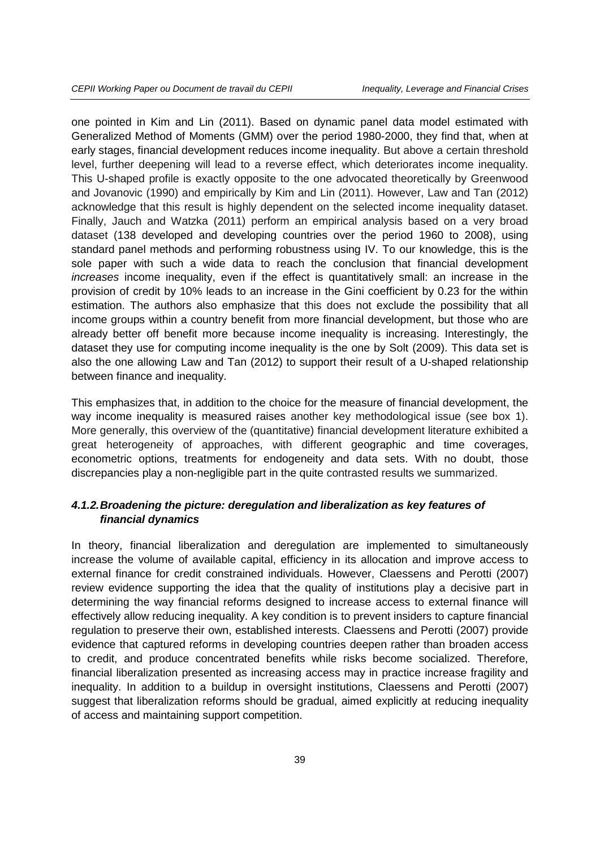one pointed in Kim and Lin (2011). Based on dynamic panel data model estimated with Generalized Method of Moments (GMM) over the period 1980-2000, they find that, when at early stages, financial development reduces income inequality. But above a certain threshold level, further deepening will lead to a reverse effect, which deteriorates income inequality. This U-shaped profile is exactly opposite to the one advocated theoretically by Greenwood and Jovanovic (1990) and empirically by Kim and Lin (2011). However, Law and Tan (2012) acknowledge that this result is highly dependent on the selected income inequality dataset. Finally, Jauch and Watzka (2011) perform an empirical analysis based on a very broad dataset (138 developed and developing countries over the period 1960 to 2008), using standard panel methods and performing robustness using IV. To our knowledge, this is the sole paper with such a wide data to reach the conclusion that financial development *increases* income inequality, even if the effect is quantitatively small: an increase in the provision of credit by 10% leads to an increase in the Gini coefficient by 0.23 for the within estimation. The authors also emphasize that this does not exclude the possibility that all income groups within a country benefit from more financial development, but those who are already better off benefit more because income inequality is increasing. Interestingly, the dataset they use for computing income inequality is the one by Solt (2009). This data set is also the one allowing Law and Tan (2012) to support their result of a U-shaped relationship between finance and inequality.

This emphasizes that, in addition to the choice for the measure of financial development, the way income inequality is measured raises another key methodological issue (see box 1). More generally, this overview of the (quantitative) financial development literature exhibited a great heterogeneity of approaches, with different geographic and time coverages, econometric options, treatments for endogeneity and data sets. With no doubt, those discrepancies play a non-negligible part in the quite contrasted results we summarized.

## *4.1.2.Broadening the picture: deregulation and liberalization as key features of financial dynamics*

In theory, financial liberalization and deregulation are implemented to simultaneously increase the volume of available capital, efficiency in its allocation and improve access to external finance for credit constrained individuals. However, Claessens and Perotti (2007) review evidence supporting the idea that the quality of institutions play a decisive part in determining the way financial reforms designed to increase access to external finance will effectively allow reducing inequality. A key condition is to prevent insiders to capture financial regulation to preserve their own, established interests. Claessens and Perotti (2007) provide evidence that captured reforms in developing countries deepen rather than broaden access to credit, and produce concentrated benefits while risks become socialized. Therefore, financial liberalization presented as increasing access may in practice increase fragility and inequality. In addition to a buildup in oversight institutions, Claessens and Perotti (2007) suggest that liberalization reforms should be gradual, aimed explicitly at reducing inequality of access and maintaining support competition.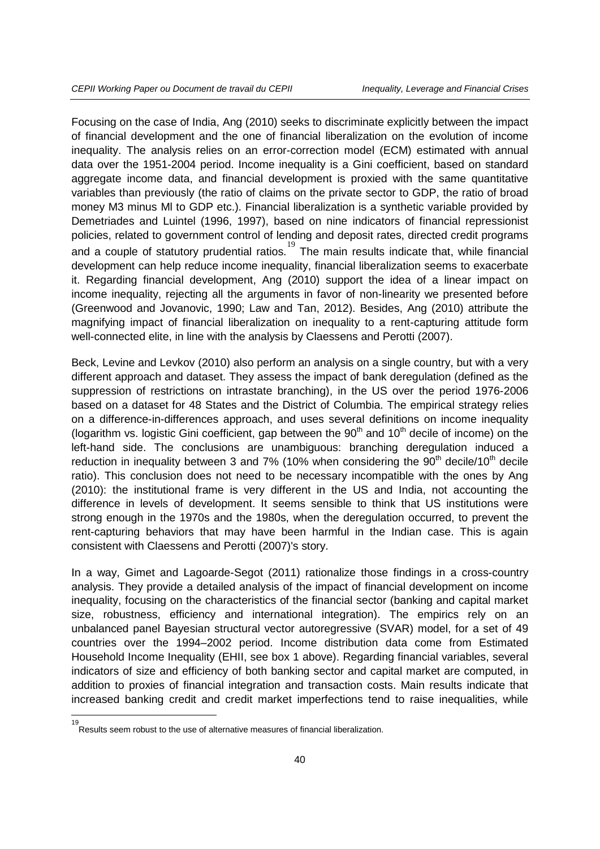Focusing on the case of India, Ang (2010) seeks to discriminate explicitly between the impact of financial development and the one of financial liberalization on the evolution of income inequality. The analysis relies on an error-correction model (ECM) estimated with annual data over the 1951-2004 period. Income inequality is a Gini coefficient, based on standard aggregate income data, and financial development is proxied with the same quantitative variables than previously (the ratio of claims on the private sector to GDP, the ratio of broad money M3 minus Ml to GDP etc.). Financial liberalization is a synthetic variable provided by Demetriades and Luintel (1996, 1997), based on nine indicators of financial repressionist policies, related to government control of lending and deposit rates, directed credit programs and a couple of statutory prudential ratios.<sup>[19](#page-39-0)</sup> The main results indicate that, while financial development can help reduce income inequality, financial liberalization seems to exacerbate it. Regarding financial development, Ang (2010) support the idea of a linear impact on income inequality, rejecting all the arguments in favor of non-linearity we presented before (Greenwood and Jovanovic, 1990; Law and Tan, 2012). Besides, Ang (2010) attribute the magnifying impact of financial liberalization on inequality to a rent-capturing attitude form well-connected elite, in line with the analysis by Claessens and Perotti (2007).

Beck, Levine and Levkov (2010) also perform an analysis on a single country, but with a very different approach and dataset. They assess the impact of bank deregulation (defined as the suppression of restrictions on intrastate branching), in the US over the period 1976-2006 based on a dataset for 48 States and the District of Columbia. The empirical strategy relies on a difference-in-differences approach, and uses several definitions on income inequality (logarithm vs. logistic Gini coefficient, gap between the  $90<sup>th</sup>$  and  $10<sup>th</sup>$  decile of income) on the left-hand side. The conclusions are unambiguous: branching deregulation induced a reduction in inequality between 3 and 7% (10% when considering the  $90<sup>th</sup>$  decile/10<sup>th</sup> decile ratio). This conclusion does not need to be necessary incompatible with the ones by Ang (2010): the institutional frame is very different in the US and India, not accounting the difference in levels of development. It seems sensible to think that US institutions were strong enough in the 1970s and the 1980s, when the deregulation occurred, to prevent the rent-capturing behaviors that may have been harmful in the Indian case. This is again consistent with Claessens and Perotti (2007)'s story.

In a way, Gimet and Lagoarde-Segot (2011) rationalize those findings in a cross-country analysis. They provide a detailed analysis of the impact of financial development on income inequality, focusing on the characteristics of the financial sector (banking and capital market size, robustness, efficiency and international integration). The empirics rely on an unbalanced panel Bayesian structural vector autoregressive (SVAR) model, for a set of 49 countries over the 1994–2002 period. Income distribution data come from Estimated Household Income Inequality (EHII, see box 1 above). Regarding financial variables, several indicators of size and efficiency of both banking sector and capital market are computed, in addition to proxies of financial integration and transaction costs. Main results indicate that increased banking credit and credit market imperfections tend to raise inequalities, while

<span id="page-39-0"></span>19

Results seem robust to the use of alternative measures of financial liberalization.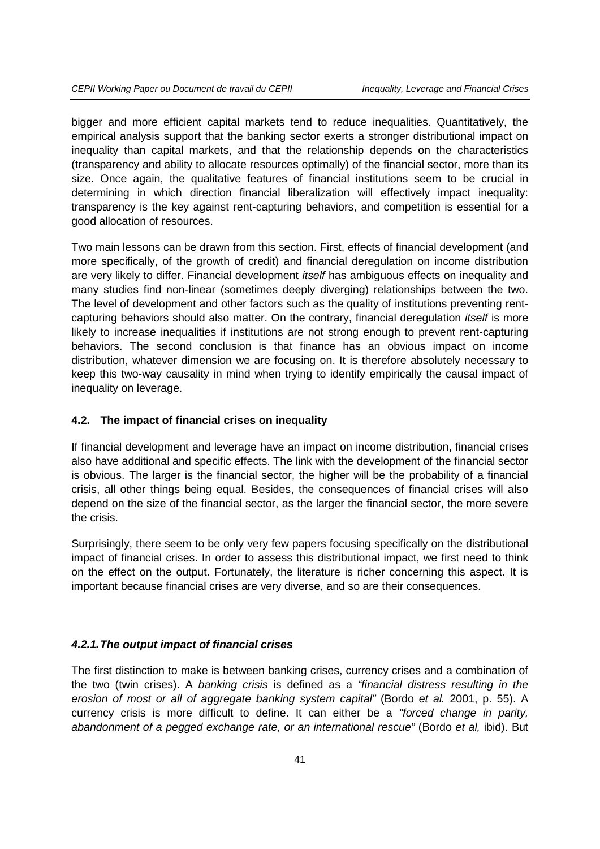bigger and more efficient capital markets tend to reduce inequalities. Quantitatively, the empirical analysis support that the banking sector exerts a stronger distributional impact on inequality than capital markets, and that the relationship depends on the characteristics (transparency and ability to allocate resources optimally) of the financial sector, more than its size. Once again, the qualitative features of financial institutions seem to be crucial in determining in which direction financial liberalization will effectively impact inequality: transparency is the key against rent-capturing behaviors, and competition is essential for a good allocation of resources.

Two main lessons can be drawn from this section. First, effects of financial development (and more specifically, of the growth of credit) and financial deregulation on income distribution are very likely to differ. Financial development *itself* has ambiguous effects on inequality and many studies find non-linear (sometimes deeply diverging) relationships between the two. The level of development and other factors such as the quality of institutions preventing rentcapturing behaviors should also matter. On the contrary, financial deregulation *itself* is more likely to increase inequalities if institutions are not strong enough to prevent rent-capturing behaviors. The second conclusion is that finance has an obvious impact on income distribution, whatever dimension we are focusing on. It is therefore absolutely necessary to keep this two-way causality in mind when trying to identify empirically the causal impact of inequality on leverage.

## **4.2. The impact of financial crises on inequality**

If financial development and leverage have an impact on income distribution, financial crises also have additional and specific effects. The link with the development of the financial sector is obvious. The larger is the financial sector, the higher will be the probability of a financial crisis, all other things being equal. Besides, the consequences of financial crises will also depend on the size of the financial sector, as the larger the financial sector, the more severe the crisis.

Surprisingly, there seem to be only very few papers focusing specifically on the distributional impact of financial crises. In order to assess this distributional impact, we first need to think on the effect on the output. Fortunately, the literature is richer concerning this aspect. It is important because financial crises are very diverse, and so are their consequences.

## *4.2.1.The output impact of financial crises*

The first distinction to make is between banking crises, currency crises and a combination of the two (twin crises). A *banking crisis* is defined as a *"financial distress resulting in the erosion of most or all of aggregate banking system capital"* (Bordo *et al.* 2001, p. 55). A currency crisis is more difficult to define. It can either be a *"forced change in parity, abandonment of a pegged exchange rate, or an international rescue"* (Bordo *et al,* ibid). But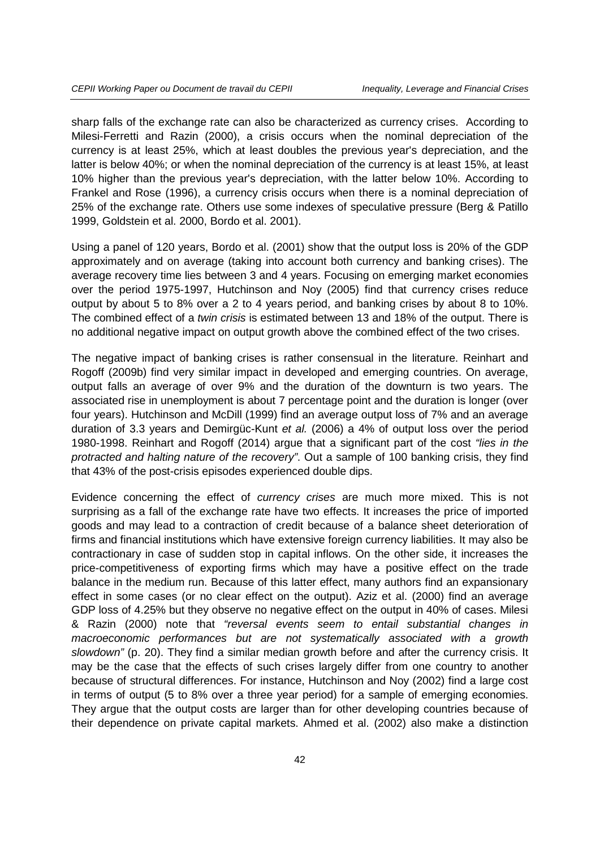sharp falls of the exchange rate can also be characterized as currency crises. According to Milesi-Ferretti and Razin (2000), a crisis occurs when the nominal depreciation of the currency is at least 25%, which at least doubles the previous year's depreciation, and the latter is below 40%; or when the nominal depreciation of the currency is at least 15%, at least 10% higher than the previous year's depreciation, with the latter below 10%. According to Frankel and Rose (1996), a currency crisis occurs when there is a nominal depreciation of 25% of the exchange rate. Others use some indexes of speculative pressure (Berg & Patillo 1999, Goldstein et al. 2000, Bordo et al. 2001).

Using a panel of 120 years, Bordo et al. (2001) show that the output loss is 20% of the GDP approximately and on average (taking into account both currency and banking crises). The average recovery time lies between 3 and 4 years. Focusing on emerging market economies over the period 1975-1997, Hutchinson and Noy (2005) find that currency crises reduce output by about 5 to 8% over a 2 to 4 years period, and banking crises by about 8 to 10%. The combined effect of a *twin crisis* is estimated between 13 and 18% of the output. There is no additional negative impact on output growth above the combined effect of the two crises.

The negative impact of banking crises is rather consensual in the literature. Reinhart and Rogoff (2009b) find very similar impact in developed and emerging countries. On average, output falls an average of over 9% and the duration of the downturn is two years. The associated rise in unemployment is about 7 percentage point and the duration is longer (over four years). Hutchinson and McDill (1999) find an average output loss of 7% and an average duration of 3.3 years and Demirgüc-Kunt *et al.* (2006) a 4% of output loss over the period 1980-1998. Reinhart and Rogoff (2014) argue that a significant part of the cost *"lies in the protracted and halting nature of the recovery"*. Out a sample of 100 banking crisis, they find that 43% of the post-crisis episodes experienced double dips.

Evidence concerning the effect of *currency crises* are much more mixed. This is not surprising as a fall of the exchange rate have two effects. It increases the price of imported goods and may lead to a contraction of credit because of a balance sheet deterioration of firms and financial institutions which have extensive foreign currency liabilities. It may also be contractionary in case of sudden stop in capital inflows. On the other side, it increases the price-competitiveness of exporting firms which may have a positive effect on the trade balance in the medium run. Because of this latter effect, many authors find an expansionary effect in some cases (or no clear effect on the output). Aziz et al. (2000) find an average GDP loss of 4.25% but they observe no negative effect on the output in 40% of cases. Milesi & Razin (2000) note that *"reversal events seem to entail substantial changes in*  macroeconomic performances but are not systematically associated with a growth *slowdown"* (p. 20). They find a similar median growth before and after the currency crisis. It may be the case that the effects of such crises largely differ from one country to another because of structural differences. For instance, Hutchinson and Noy (2002) find a large cost in terms of output (5 to 8% over a three year period) for a sample of emerging economies. They argue that the output costs are larger than for other developing countries because of their dependence on private capital markets. Ahmed et al. (2002) also make a distinction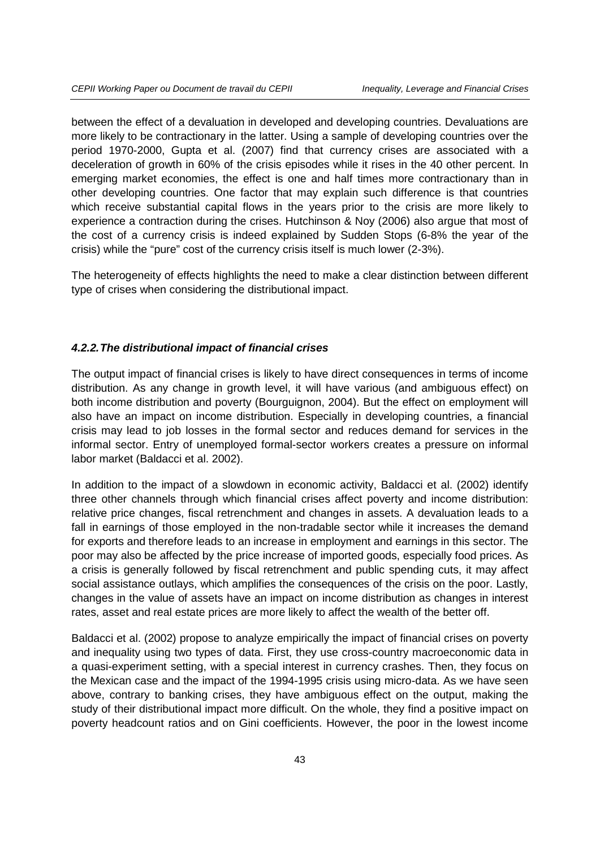between the effect of a devaluation in developed and developing countries. Devaluations are more likely to be contractionary in the latter. Using a sample of developing countries over the period 1970-2000, Gupta et al. (2007) find that currency crises are associated with a deceleration of growth in 60% of the crisis episodes while it rises in the 40 other percent. In emerging market economies, the effect is one and half times more contractionary than in other developing countries. One factor that may explain such difference is that countries which receive substantial capital flows in the years prior to the crisis are more likely to experience a contraction during the crises. Hutchinson & Noy (2006) also argue that most of the cost of a currency crisis is indeed explained by Sudden Stops (6-8% the year of the crisis) while the "pure" cost of the currency crisis itself is much lower (2-3%).

The heterogeneity of effects highlights the need to make a clear distinction between different type of crises when considering the distributional impact.

## *4.2.2.The distributional impact of financial crises*

The output impact of financial crises is likely to have direct consequences in terms of income distribution. As any change in growth level, it will have various (and ambiguous effect) on both income distribution and poverty (Bourguignon, 2004). But the effect on employment will also have an impact on income distribution. Especially in developing countries, a financial crisis may lead to job losses in the formal sector and reduces demand for services in the informal sector. Entry of unemployed formal-sector workers creates a pressure on informal labor market (Baldacci et al. 2002).

In addition to the impact of a slowdown in economic activity, Baldacci et al. (2002) identify three other channels through which financial crises affect poverty and income distribution: relative price changes, fiscal retrenchment and changes in assets. A devaluation leads to a fall in earnings of those employed in the non-tradable sector while it increases the demand for exports and therefore leads to an increase in employment and earnings in this sector. The poor may also be affected by the price increase of imported goods, especially food prices. As a crisis is generally followed by fiscal retrenchment and public spending cuts, it may affect social assistance outlays, which amplifies the consequences of the crisis on the poor. Lastly, changes in the value of assets have an impact on income distribution as changes in interest rates, asset and real estate prices are more likely to affect the wealth of the better off.

Baldacci et al. (2002) propose to analyze empirically the impact of financial crises on poverty and inequality using two types of data. First, they use cross-country macroeconomic data in a quasi-experiment setting, with a special interest in currency crashes. Then, they focus on the Mexican case and the impact of the 1994-1995 crisis using micro-data. As we have seen above, contrary to banking crises, they have ambiguous effect on the output, making the study of their distributional impact more difficult. On the whole, they find a positive impact on poverty headcount ratios and on Gini coefficients. However, the poor in the lowest income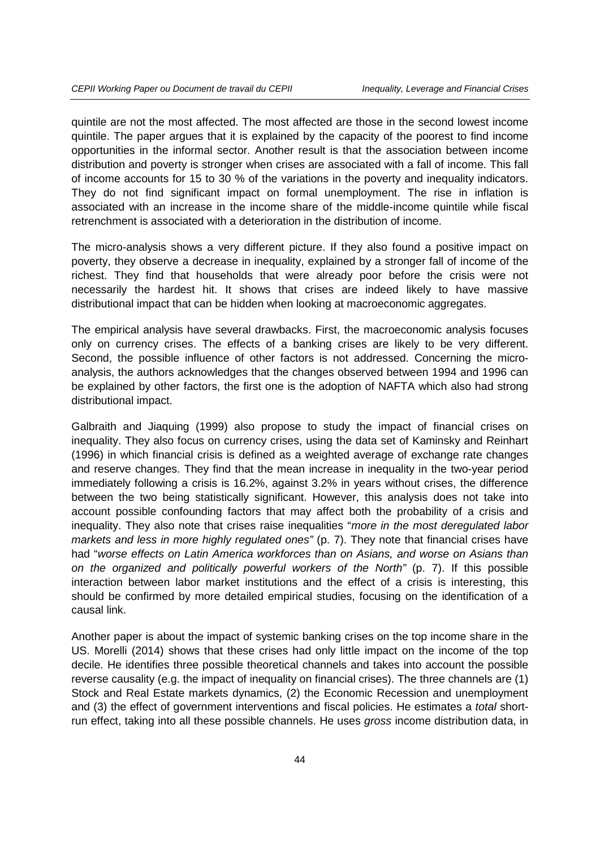quintile are not the most affected. The most affected are those in the second lowest income quintile. The paper argues that it is explained by the capacity of the poorest to find income opportunities in the informal sector. Another result is that the association between income distribution and poverty is stronger when crises are associated with a fall of income. This fall of income accounts for 15 to 30 % of the variations in the poverty and inequality indicators. They do not find significant impact on formal unemployment. The rise in inflation is associated with an increase in the income share of the middle-income quintile while fiscal retrenchment is associated with a deterioration in the distribution of income.

The micro-analysis shows a very different picture. If they also found a positive impact on poverty, they observe a decrease in inequality, explained by a stronger fall of income of the richest. They find that households that were already poor before the crisis were not necessarily the hardest hit. It shows that crises are indeed likely to have massive distributional impact that can be hidden when looking at macroeconomic aggregates.

The empirical analysis have several drawbacks. First, the macroeconomic analysis focuses only on currency crises. The effects of a banking crises are likely to be very different. Second, the possible influence of other factors is not addressed. Concerning the microanalysis, the authors acknowledges that the changes observed between 1994 and 1996 can be explained by other factors, the first one is the adoption of NAFTA which also had strong distributional impact.

Galbraith and Jiaquing (1999) also propose to study the impact of financial crises on inequality. They also focus on currency crises, using the data set of Kaminsky and Reinhart (1996) in which financial crisis is defined as a weighted average of exchange rate changes and reserve changes. They find that the mean increase in inequality in the two-year period immediately following a crisis is 16.2%, against 3.2% in years without crises, the difference between the two being statistically significant. However, this analysis does not take into account possible confounding factors that may affect both the probability of a crisis and inequality. They also note that crises raise inequalities "*more in the most deregulated labor markets and less in more highly regulated ones"* (p. 7). They note that financial crises have had "*worse effects on Latin America workforces than on Asians, and worse on Asians than on the organized and politically powerful workers of the North"* (p. 7). If this possible interaction between labor market institutions and the effect of a crisis is interesting, this should be confirmed by more detailed empirical studies, focusing on the identification of a causal link.

Another paper is about the impact of systemic banking crises on the top income share in the US. Morelli (2014) shows that these crises had only little impact on the income of the top decile. He identifies three possible theoretical channels and takes into account the possible reverse causality (e.g. the impact of inequality on financial crises). The three channels are (1) Stock and Real Estate markets dynamics, (2) the Economic Recession and unemployment and (3) the effect of government interventions and fiscal policies. He estimates a *total* shortrun effect, taking into all these possible channels. He uses *gross* income distribution data, in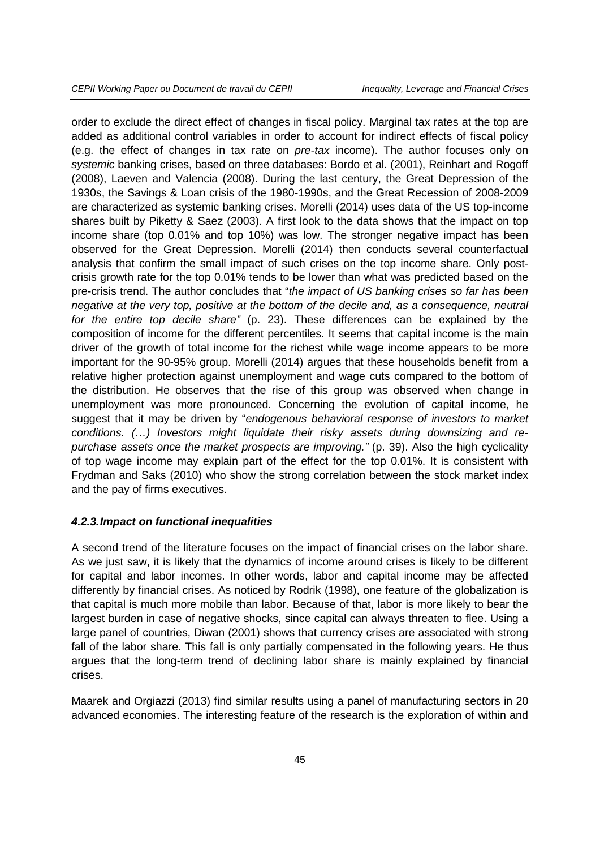order to exclude the direct effect of changes in fiscal policy. Marginal tax rates at the top are added as additional control variables in order to account for indirect effects of fiscal policy (e.g. the effect of changes in tax rate on *pre-tax* income). The author focuses only on *systemic* banking crises, based on three databases: Bordo et al. (2001), Reinhart and Rogoff (2008), Laeven and Valencia (2008). During the last century, the Great Depression of the 1930s, the Savings & Loan crisis of the 1980-1990s, and the Great Recession of 2008-2009 are characterized as systemic banking crises. Morelli (2014) uses data of the US top-income shares built by Piketty & Saez (2003). A first look to the data shows that the impact on top income share (top 0.01% and top 10%) was low. The stronger negative impact has been observed for the Great Depression. Morelli (2014) then conducts several counterfactual analysis that confirm the small impact of such crises on the top income share. Only postcrisis growth rate for the top 0.01% tends to be lower than what was predicted based on the pre-crisis trend. The author concludes that "*the impact of US banking crises so far has been negative at the very top, positive at the bottom of the decile and, as a consequence, neutral for the entire top decile share"* (p. 23). These differences can be explained by the composition of income for the different percentiles. It seems that capital income is the main driver of the growth of total income for the richest while wage income appears to be more important for the 90-95% group. Morelli (2014) argues that these households benefit from a relative higher protection against unemployment and wage cuts compared to the bottom of the distribution. He observes that the rise of this group was observed when change in unemployment was more pronounced. Concerning the evolution of capital income, he suggest that it may be driven by "*endogenous behavioral response of investors to market conditions. (…) Investors might liquidate their risky assets during downsizing and repurchase assets once the market prospects are improving."* (p. 39). Also the high cyclicality of top wage income may explain part of the effect for the top 0.01%. It is consistent with Frydman and Saks (2010) who show the strong correlation between the stock market index and the pay of firms executives.

#### *4.2.3.Impact on functional inequalities*

A second trend of the literature focuses on the impact of financial crises on the labor share. As we just saw, it is likely that the dynamics of income around crises is likely to be different for capital and labor incomes. In other words, labor and capital income may be affected differently by financial crises. As noticed by Rodrik (1998), one feature of the globalization is that capital is much more mobile than labor. Because of that, labor is more likely to bear the largest burden in case of negative shocks, since capital can always threaten to flee. Using a large panel of countries, Diwan (2001) shows that currency crises are associated with strong fall of the labor share. This fall is only partially compensated in the following years. He thus argues that the long-term trend of declining labor share is mainly explained by financial crises.

Maarek and Orgiazzi (2013) find similar results using a panel of manufacturing sectors in 20 advanced economies. The interesting feature of the research is the exploration of within and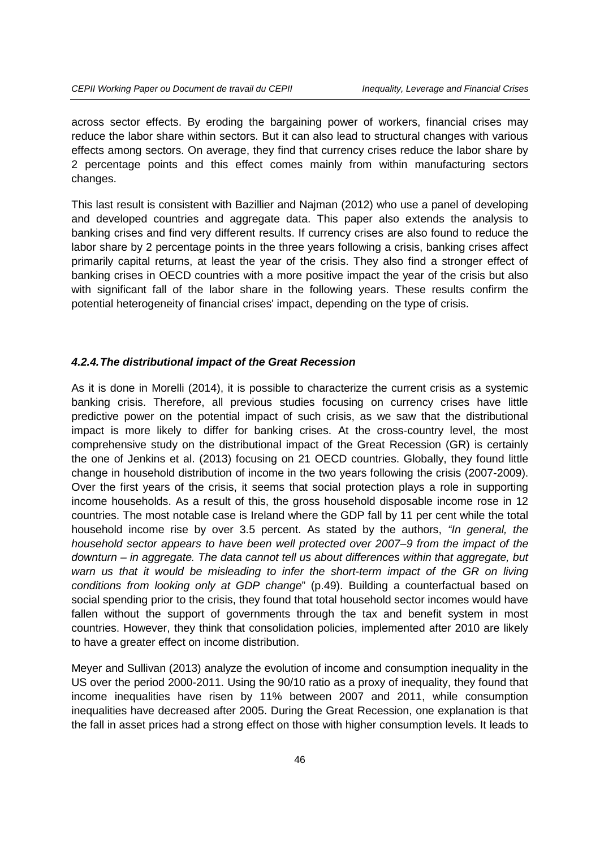across sector effects. By eroding the bargaining power of workers, financial crises may reduce the labor share within sectors. But it can also lead to structural changes with various effects among sectors. On average, they find that currency crises reduce the labor share by 2 percentage points and this effect comes mainly from within manufacturing sectors changes.

This last result is consistent with Bazillier and Najman (2012) who use a panel of developing and developed countries and aggregate data. This paper also extends the analysis to banking crises and find very different results. If currency crises are also found to reduce the labor share by 2 percentage points in the three years following a crisis, banking crises affect primarily capital returns, at least the year of the crisis. They also find a stronger effect of banking crises in OECD countries with a more positive impact the year of the crisis but also with significant fall of the labor share in the following years. These results confirm the potential heterogeneity of financial crises' impact, depending on the type of crisis.

#### *4.2.4.The distributional impact of the Great Recession*

As it is done in Morelli (2014), it is possible to characterize the current crisis as a systemic banking crisis. Therefore, all previous studies focusing on currency crises have little predictive power on the potential impact of such crisis, as we saw that the distributional impact is more likely to differ for banking crises. At the cross-country level, the most comprehensive study on the distributional impact of the Great Recession (GR) is certainly the one of Jenkins et al. (2013) focusing on 21 OECD countries. Globally, they found little change in household distribution of income in the two years following the crisis (2007-2009). Over the first years of the crisis, it seems that social protection plays a role in supporting income households. As a result of this, the gross household disposable income rose in 12 countries. The most notable case is Ireland where the GDP fall by 11 per cent while the total household income rise by over 3.5 percent. As stated by the authors, *"In general, the household sector appears to have been well protected over 2007–9 from the impact of the downturn – in aggregate. The data cannot tell us about differences within that aggregate, but*  warn us that it would be misleading to infer the short-term impact of the GR on living *conditions from looking only at GDP change*" (p.49). Building a counterfactual based on social spending prior to the crisis, they found that total household sector incomes would have fallen without the support of governments through the tax and benefit system in most countries. However, they think that consolidation policies, implemented after 2010 are likely to have a greater effect on income distribution.

Meyer and Sullivan (2013) analyze the evolution of income and consumption inequality in the US over the period 2000-2011. Using the 90/10 ratio as a proxy of inequality, they found that income inequalities have risen by 11% between 2007 and 2011, while consumption inequalities have decreased after 2005. During the Great Recession, one explanation is that the fall in asset prices had a strong effect on those with higher consumption levels. It leads to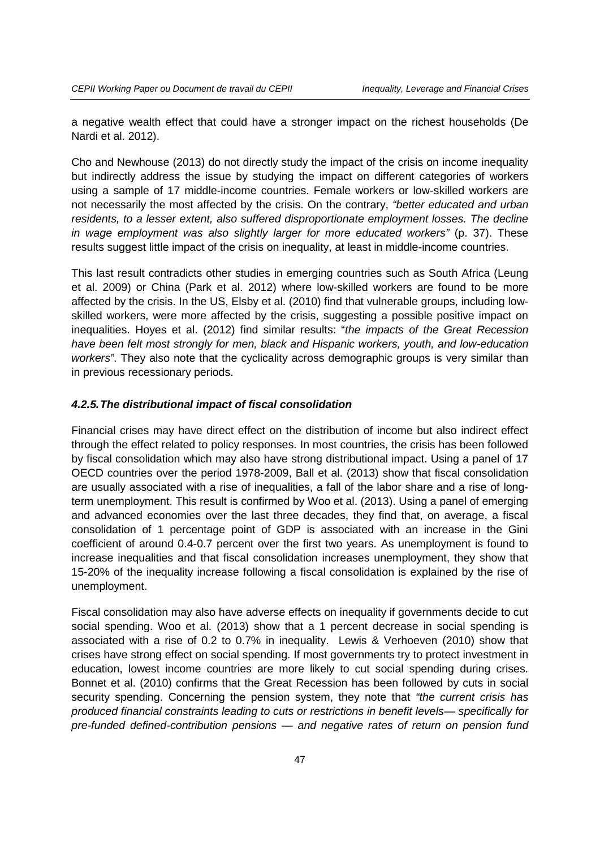a negative wealth effect that could have a stronger impact on the richest households (De Nardi et al. 2012).

Cho and Newhouse (2013) do not directly study the impact of the crisis on income inequality but indirectly address the issue by studying the impact on different categories of workers using a sample of 17 middle-income countries. Female workers or low-skilled workers are not necessarily the most affected by the crisis. On the contrary, *"better educated and urban residents, to a lesser extent, also suffered disproportionate employment losses. The decline in wage employment was also slightly larger for more educated workers*" (p. 37). These results suggest little impact of the crisis on inequality, at least in middle-income countries.

This last result contradicts other studies in emerging countries such as South Africa (Leung et al. 2009) or China (Park et al. 2012) where low-skilled workers are found to be more affected by the crisis. In the US, Elsby et al. (2010) find that vulnerable groups, including lowskilled workers, were more affected by the crisis, suggesting a possible positive impact on inequalities. Hoyes et al. (2012) find similar results: "*the impacts of the Great Recession have been felt most strongly for men, black and Hispanic workers, youth, and low-education workers"*. They also note that the cyclicality across demographic groups is very similar than in previous recessionary periods.

### *4.2.5.The distributional impact of fiscal consolidation*

Financial crises may have direct effect on the distribution of income but also indirect effect through the effect related to policy responses. In most countries, the crisis has been followed by fiscal consolidation which may also have strong distributional impact. Using a panel of 17 OECD countries over the period 1978-2009, Ball et al. (2013) show that fiscal consolidation are usually associated with a rise of inequalities, a fall of the labor share and a rise of longterm unemployment. This result is confirmed by Woo et al. (2013). Using a panel of emerging and advanced economies over the last three decades, they find that, on average, a fiscal consolidation of 1 percentage point of GDP is associated with an increase in the Gini coefficient of around 0.4-0.7 percent over the first two years. As unemployment is found to increase inequalities and that fiscal consolidation increases unemployment, they show that 15-20% of the inequality increase following a fiscal consolidation is explained by the rise of unemployment.

Fiscal consolidation may also have adverse effects on inequality if governments decide to cut social spending. Woo et al. (2013) show that a 1 percent decrease in social spending is associated with a rise of 0.2 to 0.7% in inequality. Lewis & Verhoeven (2010) show that crises have strong effect on social spending. If most governments try to protect investment in education, lowest income countries are more likely to cut social spending during crises. Bonnet et al. (2010) confirms that the Great Recession has been followed by cuts in social security spending. Concerning the pension system, they note that *"the current crisis has produced financial constraints leading to cuts or restrictions in benefit levels— specifically for pre-funded defined-contribution pensions — and negative rates of return on pension fund*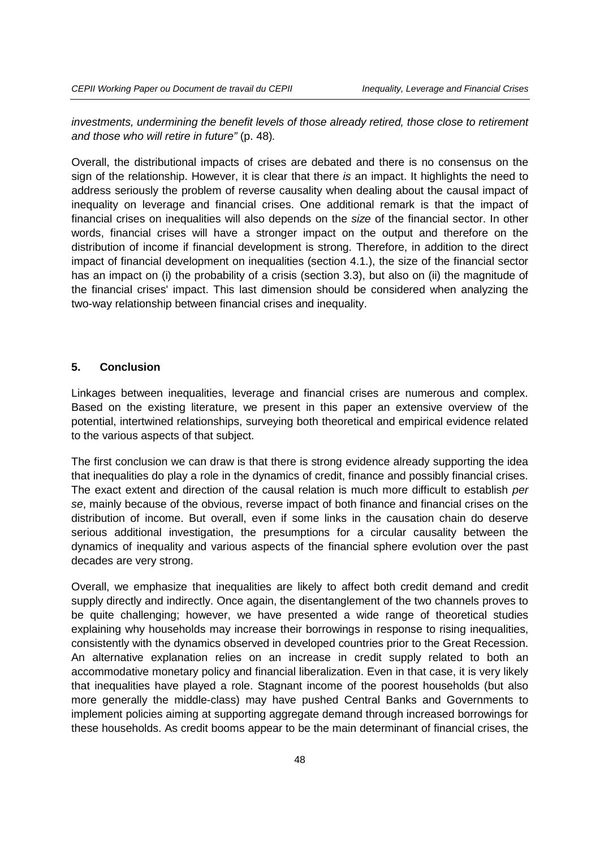*investments, undermining the benefit levels of those already retired, those close to retirement and those who will retire in future"* (p. 48)*.*

Overall, the distributional impacts of crises are debated and there is no consensus on the sign of the relationship. However, it is clear that there *is* an impact. It highlights the need to address seriously the problem of reverse causality when dealing about the causal impact of inequality on leverage and financial crises. One additional remark is that the impact of financial crises on inequalities will also depends on the *size* of the financial sector. In other words, financial crises will have a stronger impact on the output and therefore on the distribution of income if financial development is strong. Therefore, in addition to the direct impact of financial development on inequalities (section 4.1.), the size of the financial sector has an impact on (i) the probability of a crisis (section 3.3), but also on (ii) the magnitude of the financial crises' impact. This last dimension should be considered when analyzing the two-way relationship between financial crises and inequality.

## **5. Conclusion**

Linkages between inequalities, leverage and financial crises are numerous and complex. Based on the existing literature, we present in this paper an extensive overview of the potential, intertwined relationships, surveying both theoretical and empirical evidence related to the various aspects of that subject.

The first conclusion we can draw is that there is strong evidence already supporting the idea that inequalities do play a role in the dynamics of credit, finance and possibly financial crises. The exact extent and direction of the causal relation is much more difficult to establish *per se*, mainly because of the obvious, reverse impact of both finance and financial crises on the distribution of income. But overall, even if some links in the causation chain do deserve serious additional investigation, the presumptions for a circular causality between the dynamics of inequality and various aspects of the financial sphere evolution over the past decades are very strong.

Overall, we emphasize that inequalities are likely to affect both credit demand and credit supply directly and indirectly. Once again, the disentanglement of the two channels proves to be quite challenging; however, we have presented a wide range of theoretical studies explaining why households may increase their borrowings in response to rising inequalities, consistently with the dynamics observed in developed countries prior to the Great Recession. An alternative explanation relies on an increase in credit supply related to both an accommodative monetary policy and financial liberalization. Even in that case, it is very likely that inequalities have played a role. Stagnant income of the poorest households (but also more generally the middle-class) may have pushed Central Banks and Governments to implement policies aiming at supporting aggregate demand through increased borrowings for these households. As credit booms appear to be the main determinant of financial crises, the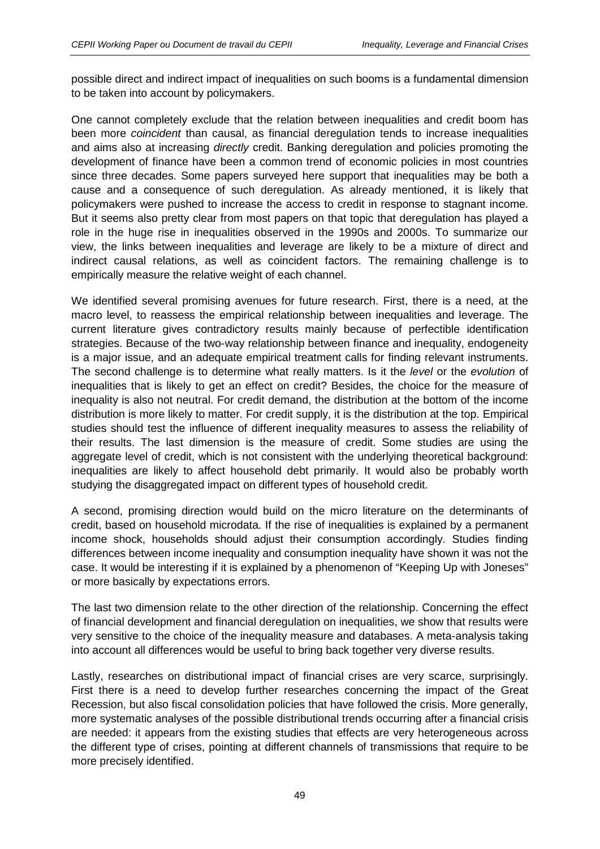possible direct and indirect impact of inequalities on such booms is a fundamental dimension to be taken into account by policymakers.

One cannot completely exclude that the relation between inequalities and credit boom has been more *coincident* than causal, as financial deregulation tends to increase inequalities and aims also at increasing *directly* credit. Banking deregulation and policies promoting the development of finance have been a common trend of economic policies in most countries since three decades. Some papers surveyed here support that inequalities may be both a cause and a consequence of such deregulation. As already mentioned, it is likely that policymakers were pushed to increase the access to credit in response to stagnant income. But it seems also pretty clear from most papers on that topic that deregulation has played a role in the huge rise in inequalities observed in the 1990s and 2000s. To summarize our view, the links between inequalities and leverage are likely to be a mixture of direct and indirect causal relations, as well as coincident factors. The remaining challenge is to empirically measure the relative weight of each channel.

We identified several promising avenues for future research. First, there is a need, at the macro level, to reassess the empirical relationship between inequalities and leverage. The current literature gives contradictory results mainly because of perfectible identification strategies. Because of the two-way relationship between finance and inequality, endogeneity is a major issue, and an adequate empirical treatment calls for finding relevant instruments. The second challenge is to determine what really matters. Is it the *level* or the *evolution* of inequalities that is likely to get an effect on credit? Besides, the choice for the measure of inequality is also not neutral. For credit demand, the distribution at the bottom of the income distribution is more likely to matter. For credit supply, it is the distribution at the top. Empirical studies should test the influence of different inequality measures to assess the reliability of their results. The last dimension is the measure of credit. Some studies are using the aggregate level of credit, which is not consistent with the underlying theoretical background: inequalities are likely to affect household debt primarily. It would also be probably worth studying the disaggregated impact on different types of household credit.

A second, promising direction would build on the micro literature on the determinants of credit, based on household microdata. If the rise of inequalities is explained by a permanent income shock, households should adjust their consumption accordingly. Studies finding differences between income inequality and consumption inequality have shown it was not the case. It would be interesting if it is explained by a phenomenon of "Keeping Up with Joneses" or more basically by expectations errors.

The last two dimension relate to the other direction of the relationship. Concerning the effect of financial development and financial deregulation on inequalities, we show that results were very sensitive to the choice of the inequality measure and databases. A meta-analysis taking into account all differences would be useful to bring back together very diverse results.

Lastly, researches on distributional impact of financial crises are very scarce, surprisingly. First there is a need to develop further researches concerning the impact of the Great Recession, but also fiscal consolidation policies that have followed the crisis. More generally, more systematic analyses of the possible distributional trends occurring after a financial crisis are needed: it appears from the existing studies that effects are very heterogeneous across the different type of crises, pointing at different channels of transmissions that require to be more precisely identified.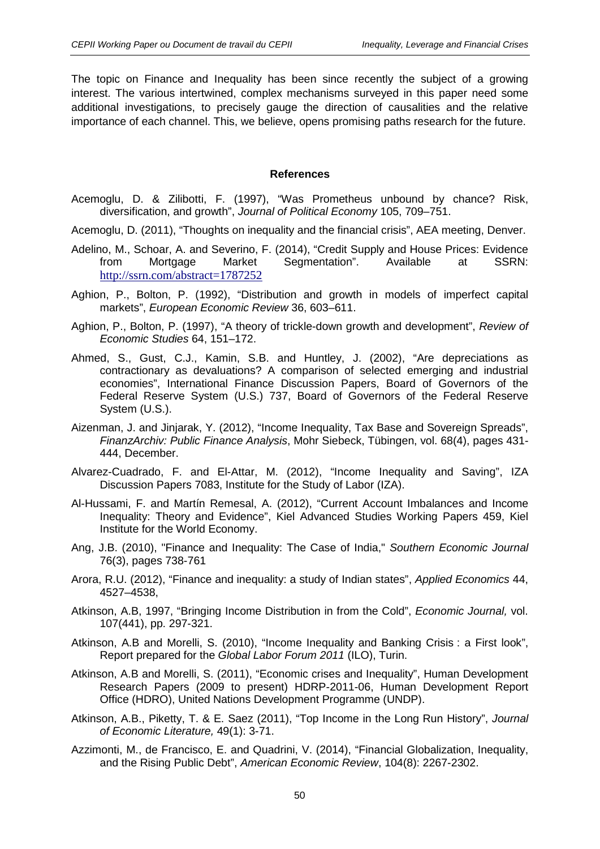The topic on Finance and Inequality has been since recently the subject of a growing interest. The various intertwined, complex mechanisms surveyed in this paper need some additional investigations, to precisely gauge the direction of causalities and the relative importance of each channel. This, we believe, opens promising paths research for the future.

## **References**

- Acemoglu, D. & Zilibotti, F. (1997), "Was Prometheus unbound by chance? Risk, diversification, and growth", *Journal of Political Economy* 105, 709–751.
- Acemoglu, D. (2011), "Thoughts on inequality and the financial crisis", AEA meeting, Denver.
- Adelino, M., Schoar, A. and Severino, F. (2014), "Credit Supply and House Prices: Evidence from Mortgage Market Segmentation". Available at SSRN: <http://ssrn.com/abstract=1787252>
- Aghion, P., Bolton, P. (1992), "Distribution and growth in models of imperfect capital markets", *European Economic Review* 36, 603–611.
- Aghion, P., Bolton, P. (1997), "A theory of trickle-down growth and development", *Review of Economic Studies* 64, 151–172.
- Ahmed, S., Gust, C.J., Kamin, S.B. and Huntley, J. (2002), "Are depreciations as contractionary as devaluations? A comparison of selected emerging and industrial economies", International Finance Discussion Papers, Board of Governors of the Federal Reserve System (U.S.) 737, Board of Governors of the Federal Reserve System (U.S.).
- Aizenman, J. and Jinjarak, Y. (2012), "Income Inequality, Tax Base and Sovereign Spreads", *FinanzArchiv: Public Finance Analysis*, Mohr Siebeck, Tübingen, vol. 68(4), pages 431- 444, December.
- Alvarez-Cuadrado, F. and El-Attar, M. (2012), "Income Inequality and Saving", IZA Discussion Papers 7083, Institute for the Study of Labor (IZA).
- Al-Hussami, F. and Martín Remesal, A. (2012), "Current Account Imbalances and Income Inequality: Theory and Evidence", Kiel Advanced Studies Working Papers 459, Kiel Institute for the World Economy.
- Ang, J.B. (2010), "Finance and Inequality: The Case of India," *Southern Economic Journal* 76(3), pages 738-761
- Arora, R.U. (2012), "Finance and inequality: a study of Indian states", *Applied Economics* 44, 4527–4538,
- Atkinson, A.B, 1997, "Bringing Income Distribution in from the Cold", *Economic Journal,* vol. 107(441), pp. 297-321.
- Atkinson, A.B and Morelli, S. (2010), "Income Inequality and Banking Crisis : a First look", Report prepared for the *Global Labor Forum 2011* (ILO), Turin.
- Atkinson, A.B and Morelli, S. (2011), "Economic crises and Inequality", Human Development Research Papers (2009 to present) HDRP-2011-06, Human Development Report Office (HDRO), United Nations Development Programme (UNDP).
- Atkinson, A.B., Piketty, T. & E. Saez (2011), "Top Income in the Long Run History", *Journal of Economic Literature,* 49(1): 3-71.
- Azzimonti, M., de Francisco, E. and Quadrini, V. (2014), "Financial Globalization, Inequality, and the Rising Public Debt", *American Economic Review*, 104(8): 2267-2302.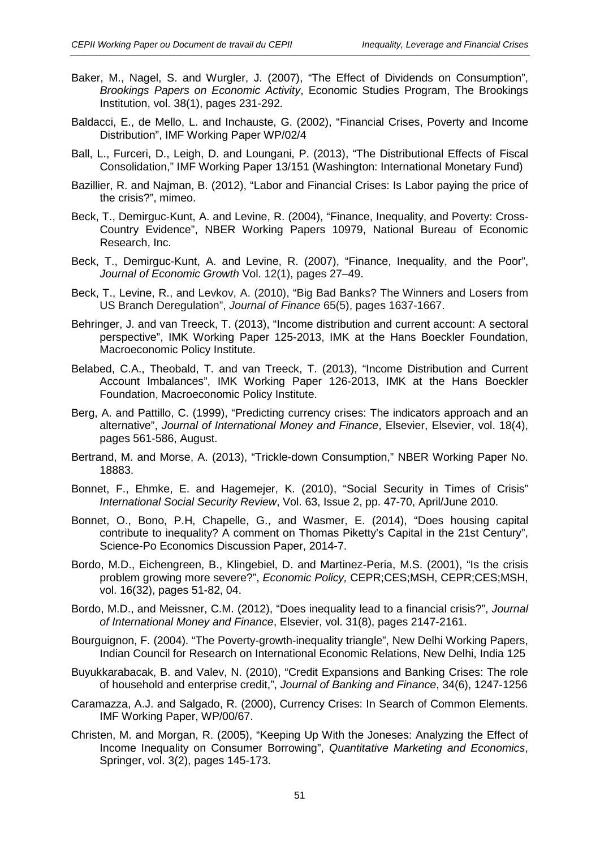- Baker, M., Nagel, S. and Wurgler, J. (2007), "The Effect of Dividends on Consumption", *Brookings Papers on Economic Activity*, Economic Studies Program, The Brookings Institution, vol. 38(1), pages 231-292.
- Baldacci, E., de Mello, L. and Inchauste, G. (2002), "Financial Crises, Poverty and Income Distribution", IMF Working Paper WP/02/4
- Ball, L., Furceri, D., Leigh, D. and Loungani, P. (2013), "The Distributional Effects of Fiscal Consolidation," IMF Working Paper 13/151 (Washington: International Monetary Fund)
- Bazillier, R. and Najman, B. (2012), "Labor and Financial Crises: Is Labor paying the price of the crisis?", mimeo.
- Beck, T., Demirguc-Kunt, A. and Levine, R. (2004), "Finance, Inequality, and Poverty: Cross-Country Evidence", NBER Working Papers 10979, National Bureau of Economic Research, Inc.
- Beck, T., Demirguc-Kunt, A. and Levine, R. (2007), "Finance, Inequality, and the Poor", *Journal of Economic Growth* Vol. 12(1), pages 27–49.
- Beck, T., Levine, R., and Levkov, A. (2010), "Big Bad Banks? The Winners and Losers from US Branch Deregulation", *Journal of Finance* 65(5), pages 1637-1667.
- Behringer, J. and van Treeck, T. (2013), "Income distribution and current account: A sectoral perspective", IMK Working Paper 125-2013, IMK at the Hans Boeckler Foundation, Macroeconomic Policy Institute.
- Belabed, C.A., Theobald, T. and van Treeck, T. (2013), "Income Distribution and Current Account Imbalances", IMK Working Paper 126-2013, IMK at the Hans Boeckler Foundation, Macroeconomic Policy Institute.
- Berg, A. and Pattillo, C. (1999), "Predicting currency crises: The indicators approach and an alternative", *Journal of International Money and Finance*, Elsevier, Elsevier, vol. 18(4), pages 561-586, August.
- Bertrand, M. and Morse, A. (2013), "Trickle-down Consumption," NBER Working Paper No. 18883.
- Bonnet, F., Ehmke, E. and Hagemejer, K. (2010), "Social Security in Times of Crisis" *International Social Security Review*, Vol. 63, Issue 2, pp. 47-70, April/June 2010.
- Bonnet, O., Bono, P.H, Chapelle, G., and Wasmer, E. (2014), "Does housing capital contribute to inequality? A comment on Thomas Piketty's Capital in the 21st Century", Science-Po Economics Discussion Paper, 2014-7.
- Bordo, M.D., Eichengreen, B., Klingebiel, D. and Martinez-Peria, M.S. (2001), "Is the crisis problem growing more severe?", *Economic Policy,* CEPR;CES;MSH, CEPR;CES;MSH, vol. 16(32), pages 51-82, 04.
- Bordo, M.D., and Meissner, C.M. (2012), "Does inequality lead to a financial crisis?", *Journal of International Money and Finance*, Elsevier, vol. 31(8), pages 2147-2161.
- Bourguignon, F. (2004). "The Poverty-growth-inequality triangle", New Delhi Working Papers, Indian Council for Research on International Economic Relations, New Delhi, India 125
- Buyukkarabacak, B. and Valev, N. (2010), "Credit Expansions and Banking Crises: The role of household and enterprise credit,", *Journal of Banking and Finance*, 34(6), 1247-1256
- Caramazza, A.J. and Salgado, R. (2000), Currency Crises: In Search of Common Elements. IMF Working Paper, WP/00/67.
- Christen, M. and Morgan, R. (2005), "Keeping Up With the Joneses: Analyzing the Effect of Income Inequality on Consumer Borrowing", *Quantitative Marketing and Economics*, Springer, vol. 3(2), pages 145-173.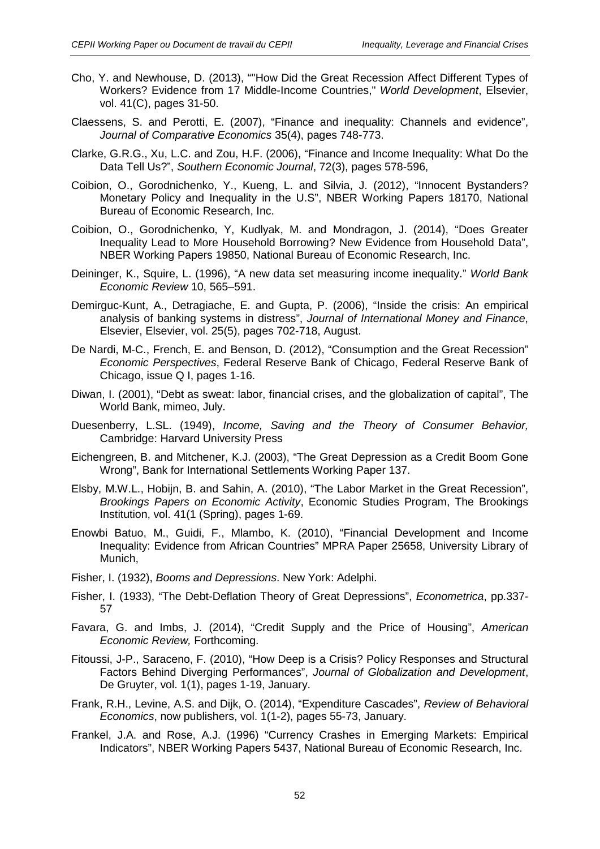- Cho, Y. and Newhouse, D. (2013), ""How Did the Great Recession Affect Different Types of Workers? Evidence from 17 Middle-Income Countries," *World Development*, Elsevier, vol. 41(C), pages 31-50.
- Claessens, S. and Perotti, E. (2007), "Finance and inequality: Channels and evidence", *Journal of Comparative Economics* 35(4), pages 748-773.
- Clarke, G.R.G., Xu, L.C. and Zou, H.F. (2006), "Finance and Income Inequality: What Do the Data Tell Us?", *Southern Economic Journal*, 72(3), pages 578-596,
- Coibion, O., Gorodnichenko, Y., Kueng, L. and Silvia, J. (2012), "Innocent Bystanders? Monetary Policy and Inequality in the U.S", NBER Working Papers 18170, National Bureau of Economic Research, Inc.
- Coibion, O., Gorodnichenko, Y, Kudlyak, M. and Mondragon, J. (2014), "Does Greater Inequality Lead to More Household Borrowing? New Evidence from Household Data", NBER Working Papers 19850, National Bureau of Economic Research, Inc.
- Deininger, K., Squire, L. (1996), "A new data set measuring income inequality." *World Bank Economic Review* 10, 565–591.
- Demirguc-Kunt, A., Detragiache, E. and Gupta, P. (2006), "Inside the crisis: An empirical analysis of banking systems in distress", *Journal of International Money and Finance*, Elsevier, Elsevier, vol. 25(5), pages 702-718, August.
- De Nardi, M-C., French, E. and Benson, D. (2012), "Consumption and the Great Recession" *Economic Perspectives*, Federal Reserve Bank of Chicago, Federal Reserve Bank of Chicago, issue Q I, pages 1-16.
- Diwan, I. (2001), "Debt as sweat: labor, financial crises, and the globalization of capital", The World Bank, mimeo, July.
- Duesenberry, L.SL. (1949), *Income, Saving and the Theory of Consumer Behavior,*  Cambridge: Harvard University Press
- Eichengreen, B. and Mitchener, K.J. (2003), "The Great Depression as a Credit Boom Gone Wrong", Bank for International Settlements Working Paper 137.
- Elsby, M.W.L., Hobijn, B. and Sahin, A. (2010), "The Labor Market in the Great Recession", *Brookings Papers on Economic Activity*, Economic Studies Program, The Brookings Institution, vol. 41(1 (Spring), pages 1-69.
- Enowbi Batuo, M., Guidi, F., Mlambo, K. (2010), "Financial Development and Income Inequality: Evidence from African Countries" MPRA Paper 25658, University Library of Munich,
- Fisher, I. (1932), *Booms and Depressions*. New York: Adelphi.
- Fisher, I. (1933), "The Debt-Deflation Theory of Great Depressions", *Econometrica*, pp.337- 57
- Favara, G. and Imbs, J. (2014), "Credit Supply and the Price of Housing", *American Economic Review,* Forthcoming.
- Fitoussi, J-P., Saraceno, F. (2010), "How Deep is a Crisis? Policy Responses and Structural Factors Behind Diverging Performances", *Journal of Globalization and Development*, De Gruyter, vol. 1(1), pages 1-19, January.
- Frank, R.H., Levine, A.S. and Dijk, O. (2014), "Expenditure Cascades", *Review of Behavioral Economics*, now publishers, vol. 1(1-2), pages 55-73, January.
- Frankel, J.A. and Rose, A.J. (1996) "Currency Crashes in Emerging Markets: Empirical Indicators", NBER Working Papers 5437, National Bureau of Economic Research, Inc.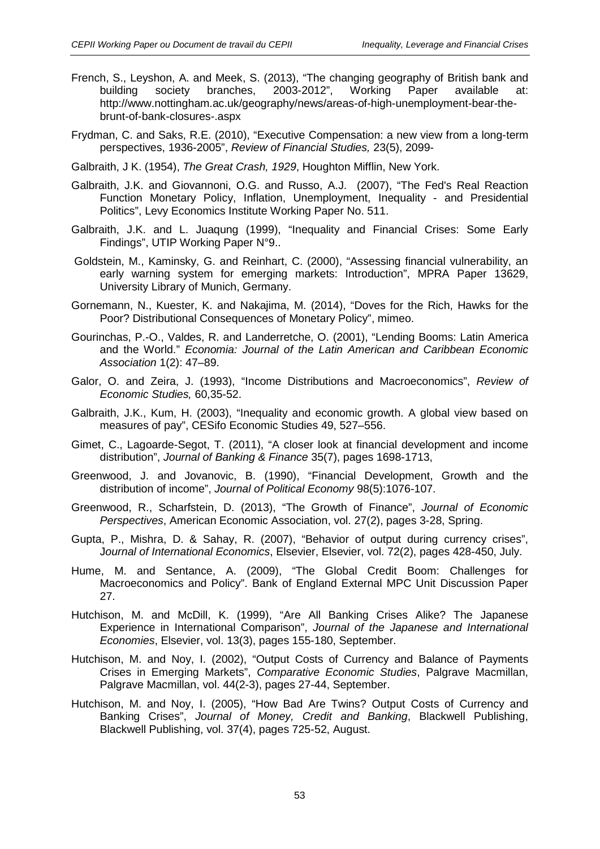- French, S., Leyshon, A. and Meek, S. (2013), "The changing geography of British bank and building society branches, 2003-2012", Working Paper available at: http://www.nottingham.ac.uk/geography/news/areas-of-high-unemployment-bear-thebrunt-of-bank-closures-.aspx
- Frydman, C. and Saks, R.E. (2010), "Executive Compensation: a new view from a long-term perspectives, 1936-2005", *Review of Financial Studies,* 23(5), 2099-
- Galbraith, J K. (1954), *The Great Crash, 1929*, Houghton Mifflin, New York.
- Galbraith, J.K. and Giovannoni, O.G. and Russo, A.J. (2007), "The Fed's Real Reaction Function Monetary Policy, Inflation, Unemployment, Inequality - and Presidential Politics", Levy Economics Institute Working Paper No. 511.
- Galbraith, J.K. and L. Juaqung (1999), "Inequality and Financial Crises: Some Early Findings", UTIP Working Paper N°9..
- Goldstein, M., Kaminsky, G. and Reinhart, C. (2000), "Assessing financial vulnerability, an early warning system for emerging markets: Introduction", MPRA Paper 13629, University Library of Munich, Germany.
- Gornemann, N., Kuester, K. and Nakajima, M. (2014), "Doves for the Rich, Hawks for the Poor? Distributional Consequences of Monetary Policy", mimeo.
- Gourinchas, P.-O., Valdes, R. and Landerretche, O. (2001), "Lending Booms: Latin America and the World." *Economia: Journal of the Latin American and Caribbean Economic Association* 1(2): 47–89.
- Galor, O. and Zeira, J. (1993), "Income Distributions and Macroeconomics", *Review of Economic Studies,* 60,35-52.
- Galbraith, J.K., Kum, H. (2003), "Inequality and economic growth. A global view based on measures of pay", CESifo Economic Studies 49, 527–556.
- Gimet, C., Lagoarde-Segot, T. (2011), "A closer look at financial development and income distribution", *Journal of Banking & Finance* 35(7), pages 1698-1713,
- Greenwood, J. and Jovanovic, B. (1990), "Financial Development, Growth and the distribution of income", *Journal of Political Economy* 98(5):1076-107.
- Greenwood, R., Scharfstein, D. (2013), "The Growth of Finance", *Journal of Economic Perspectives*, American Economic Association, vol. 27(2), pages 3-28, Spring.
- Gupta, P., Mishra, D. & Sahay, R. (2007), "Behavior of output during currency crises", J*ournal of International Economics*, Elsevier, Elsevier, vol. 72(2), pages 428-450, July.
- Hume, M. and Sentance, A. (2009), "The Global Credit Boom: Challenges for Macroeconomics and Policy". Bank of England External MPC Unit Discussion Paper 27.
- Hutchison, M. and McDill, K. (1999), "Are All Banking Crises Alike? The Japanese Experience in International Comparison", *Journal of the Japanese and International Economies*, Elsevier, vol. 13(3), pages 155-180, September.
- Hutchison, M. and Noy, I. (2002), "Output Costs of Currency and Balance of Payments Crises in Emerging Markets", *Comparative Economic Studies*, Palgrave Macmillan, Palgrave Macmillan, vol. 44(2-3), pages 27-44, September.
- Hutchison, M. and Noy, I. (2005), "How Bad Are Twins? Output Costs of Currency and Banking Crises", *Journal of Money, Credit and Banking*, Blackwell Publishing, Blackwell Publishing, vol. 37(4), pages 725-52, August.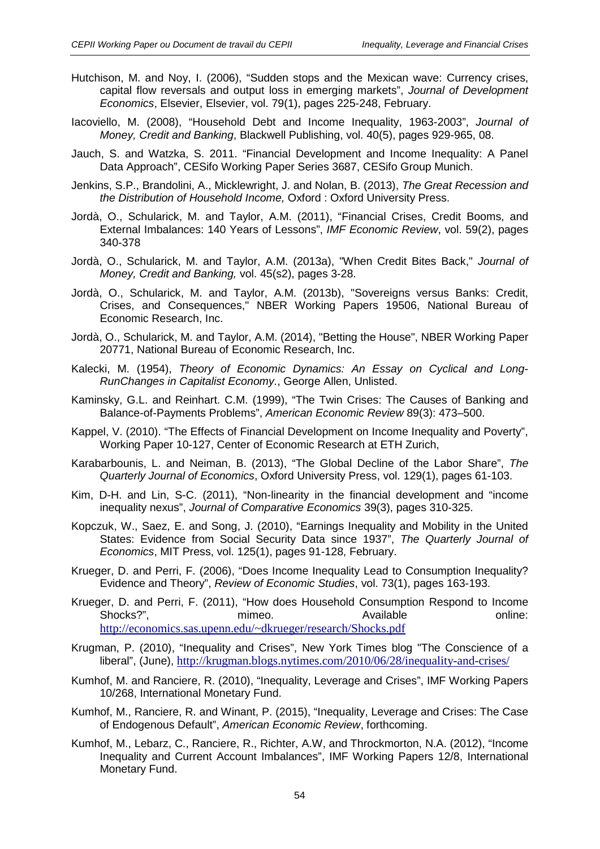- Hutchison, M. and Noy, I. (2006), "Sudden stops and the Mexican wave: Currency crises, capital flow reversals and output loss in emerging markets", *Journal of Development Economics*, Elsevier, Elsevier, vol. 79(1), pages 225-248, February.
- Iacoviello, M. (2008), "Household Debt and Income Inequality, 1963-2003", *Journal of Money, Credit and Banking*, Blackwell Publishing, vol. 40(5), pages 929-965, 08.
- Jauch, S. and Watzka, S. 2011. "Financial Development and Income Inequality: A Panel Data Approach", CESifo Working Paper Series 3687, CESifo Group Munich.
- Jenkins, S.P., Brandolini, A., Micklewright, J. and Nolan, B. (2013), *The Great Recession and the Distribution of Household Income,* Oxford : Oxford University Press.
- Jordà, O., Schularick, M. and Taylor, A.M. (2011), "Financial Crises, Credit Booms, and External Imbalances: 140 Years of Lessons", *IMF Economic Review*, vol. 59(2), pages 340-378
- Jordà, O., Schularick, M. and Taylor, A.M. (2013a), "When Credit Bites Back," *Journal of Money, Credit and Banking,* vol. 45(s2), pages 3-28.
- Jordà, O., Schularick, M. and Taylor, A.M. (2013b), "Sovereigns versus Banks: Credit, Crises, and Consequences," NBER Working Papers 19506, National Bureau of Economic Research, Inc.
- Jordà, O., Schularick, M. and Taylor, A.M. (2014), "Betting the House", NBER Working Paper 20771, National Bureau of Economic Research, Inc.
- Kalecki, M. (1954), *Theory of Economic Dynamics: An Essay on Cyclical and Long-RunChanges in Capitalist Economy.*, George Allen, Unlisted.
- Kaminsky, G.L. and Reinhart. C.M. (1999), "The Twin Crises: The Causes of Banking and Balance-of-Payments Problems", *American Economic Review* 89(3): 473–500.
- Kappel, V. (2010). "The Effects of Financial Development on Income Inequality and Poverty", Working Paper 10-127, Center of Economic Research at ETH Zurich,
- Karabarbounis, L. and Neiman, B. (2013), "The Global Decline of the Labor Share", *The Quarterly Journal of Economics*, Oxford University Press, vol. 129(1), pages 61-103.
- Kim, D-H. and Lin, S-C. (2011), "Non-linearity in the financial development and "income inequality nexus", *Journal of Comparative Economics* 39(3), pages 310-325.
- Kopczuk, W., Saez, E. and Song, J. (2010), "Earnings Inequality and Mobility in the United States: Evidence from Social Security Data since 1937", *The Quarterly Journal of Economics*, MIT Press, vol. 125(1), pages 91-128, February.
- Krueger, D. and Perri, F. (2006), "Does Income Inequality Lead to Consumption Inequality? Evidence and Theory", *Review of Economic Studies*, vol. 73(1), pages 163-193.
- Krueger, D. and Perri, F. (2011), "How does Household Consumption Respond to Income Shocks?", The mimeo. The available online: Available online: <http://economics.sas.upenn.edu/~dkrueger/research/Shocks.pdf>
- Krugman, P. (2010), "Inequality and Crises", New York Times blog "The Conscience of a liberal", (June), <http://krugman.blogs.nytimes.com/2010/06/28/inequality-and-crises/>
- Kumhof, M. and Ranciere, R. (2010), "Inequality, Leverage and Crises", IMF Working Papers 10/268, International Monetary Fund.
- Kumhof, M., Ranciere, R. and Winant, P. (2015), "Inequality, Leverage and Crises: The Case of Endogenous Default", *American Economic Review*, forthcoming.
- Kumhof, M., Lebarz, C., Ranciere, R., Richter, A.W, and Throckmorton, N.A. (2012), "Income Inequality and Current Account Imbalances", IMF Working Papers 12/8, International Monetary Fund.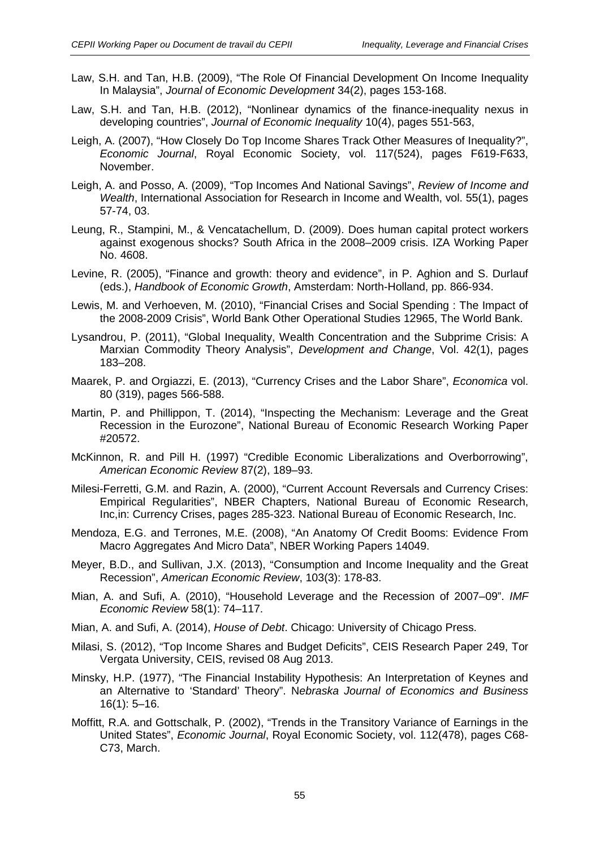- Law, S.H. and Tan, H.B. (2009), "The Role Of Financial Development On Income Inequality In Malaysia", *Journal of Economic Development* 34(2), pages 153-168.
- Law, S.H. and Tan, H.B. (2012), "Nonlinear dynamics of the finance-inequality nexus in developing countries", *Journal of Economic Inequality* 10(4), pages 551-563,
- Leigh, A. (2007), "How Closely Do Top Income Shares Track Other Measures of Inequality?", *Economic Journal*, Royal Economic Society, vol. 117(524), pages F619-F633, November.
- Leigh, A. and Posso, A. (2009), "Top Incomes And National Savings", *Review of Income and Wealth*, International Association for Research in Income and Wealth, vol. 55(1), pages 57-74, 03.
- Leung, R., Stampini, M., & Vencatachellum, D. (2009). Does human capital protect workers against exogenous shocks? South Africa in the 2008–2009 crisis. IZA Working Paper No. 4608.
- Levine, R. (2005), "Finance and growth: theory and evidence", in P. Aghion and S. Durlauf (eds.), *Handbook of Economic Growth*, Amsterdam: North-Holland, pp. 866-934.
- Lewis, M. and Verhoeven, M. (2010), "Financial Crises and Social Spending : The Impact of the 2008-2009 Crisis", World Bank Other Operational Studies 12965, The World Bank.
- Lysandrou, P. (2011), "Global Inequality, Wealth Concentration and the Subprime Crisis: A Marxian Commodity Theory Analysis", *Development and Change*, Vol. 42(1), pages 183–208.
- Maarek, P. and Orgiazzi, E. (2013), "Currency Crises and the Labor Share", *Economica* vol. 80 (319), pages 566-588.
- Martin, P. and Phillippon, T. (2014), "Inspecting the Mechanism: Leverage and the Great Recession in the Eurozone", National Bureau of Economic Research Working Paper #20572.
- McKinnon, R. and Pill H. (1997) "Credible Economic Liberalizations and Overborrowing", *American Economic Review* 87(2), 189–93.
- Milesi-Ferretti, G.M. and Razin, A. (2000), "Current Account Reversals and Currency Crises: Empirical Regularities", NBER Chapters, National Bureau of Economic Research, Inc,in: Currency Crises, pages 285-323. National Bureau of Economic Research, Inc.
- Mendoza, E.G. and Terrones, M.E. (2008), "An Anatomy Of Credit Booms: Evidence From Macro Aggregates And Micro Data", NBER Working Papers 14049.
- Meyer, B.D., and Sullivan, J.X. (2013), "Consumption and Income Inequality and the Great Recession", *American Economic Review*, 103(3): 178-83.
- Mian, A. and Sufi, A. (2010), "Household Leverage and the Recession of 2007–09". *IMF Economic Review* 58(1): 74–117.
- Mian, A. and Sufi, A. (2014), *House of Debt*. Chicago: University of Chicago Press.
- Milasi, S. (2012), "Top Income Shares and Budget Deficits", CEIS Research Paper 249, Tor Vergata University, CEIS, revised 08 Aug 2013.
- Minsky, H.P. (1977), "The Financial Instability Hypothesis: An Interpretation of Keynes and an Alternative to 'Standard' Theory". N*ebraska Journal of Economics and Business* 16(1): 5–16.
- Moffitt, R.A. and Gottschalk, P. (2002), "Trends in the Transitory Variance of Earnings in the United States", *Economic Journal*, Royal Economic Society, vol. 112(478), pages C68- C73, March.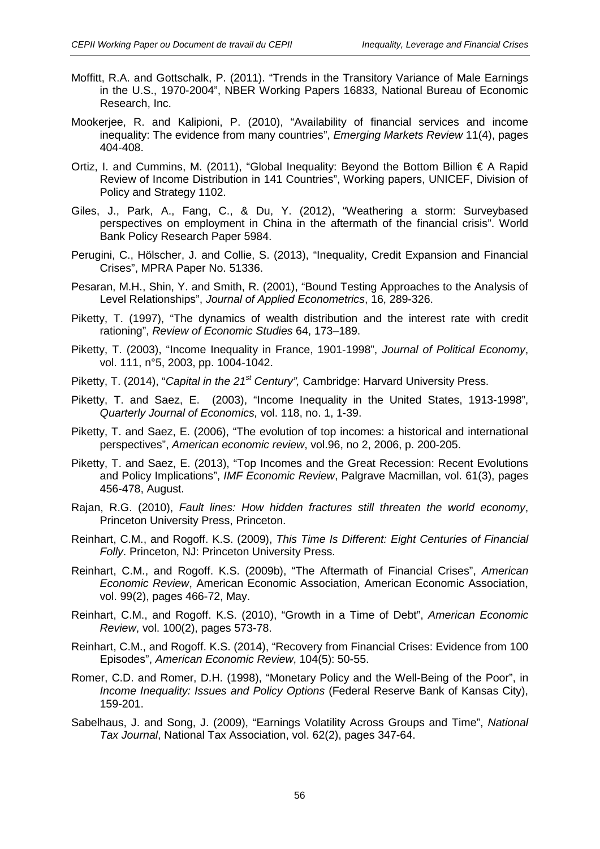- Moffitt, R.A. and Gottschalk, P. (2011). "Trends in the Transitory Variance of Male Earnings in the U.S., 1970-2004", NBER Working Papers 16833, National Bureau of Economic Research, Inc.
- Mookerjee, R. and Kalipioni, P. (2010), "Availability of financial services and income inequality: The evidence from many countries", *Emerging Markets Review* 11(4), pages 404-408.
- Ortiz, I. and Cummins, M. (2011), "Global Inequality: Beyond the Bottom Billion € A Rapid Review of Income Distribution in 141 Countries", Working papers, UNICEF, Division of Policy and Strategy 1102.
- Giles, J., Park, A., Fang, C., & Du, Y. (2012), "Weathering a storm: Surveybased perspectives on employment in China in the aftermath of the financial crisis". World Bank Policy Research Paper 5984.
- Perugini, C., Hölscher, J. and Collie, S. (2013), "Inequality, Credit Expansion and Financial Crises", MPRA Paper No. 51336.
- Pesaran, M.H., Shin, Y. and Smith, R. (2001), "Bound Testing Approaches to the Analysis of Level Relationships", *Journal of Applied Econometrics*, 16, 289-326.
- Piketty, T. (1997), "The dynamics of wealth distribution and the interest rate with credit rationing", *Review of Economic Studies* 64, 173–189.
- Piketty, T. (2003), "Income Inequality in France, 1901-1998", *Journal of Political Economy*, vol. 111, n°5, 2003, pp. 1004-1042.
- Piketty, T. (2014), "*Capital in the 21st Century",* Cambridge: Harvard University Press.
- Piketty, T. and Saez, E. (2003), "Income Inequality in the United States, 1913-1998", *Quarterly Journal of Economics,* vol. 118, no. 1, 1-39.
- Piketty, T. and Saez, E. (2006), "The evolution of top incomes: a historical and international perspectives", *American economic review*, vol.96, no 2, 2006, p. 200-205.
- Piketty, T. and Saez, E. (2013), "Top Incomes and the Great Recession: Recent Evolutions and Policy Implications", *IMF Economic Review*, Palgrave Macmillan, vol. 61(3), pages 456-478, August.
- Rajan, R.G. (2010), *Fault lines: How hidden fractures still threaten the world economy*, Princeton University Press, Princeton.
- Reinhart, C.M., and Rogoff. K.S. (2009), *This Time Is Different: Eight Centuries of Financial Folly*. Princeton, NJ: Princeton University Press.
- Reinhart, C.M., and Rogoff. K.S. (2009b), "The Aftermath of Financial Crises", *American Economic Review*, American Economic Association, American Economic Association, vol. 99(2), pages 466-72, May.
- Reinhart, C.M., and Rogoff. K.S. (2010), "Growth in a Time of Debt", *American Economic Review*, vol. 100(2), pages 573-78.
- Reinhart, C.M., and Rogoff. K.S. (2014), "Recovery from Financial Crises: Evidence from 100 Episodes", *American Economic Review*, 104(5): 50-55.
- Romer, C.D. and Romer, D.H. (1998), "Monetary Policy and the Well-Being of the Poor", in *Income Inequality: Issues and Policy Options* (Federal Reserve Bank of Kansas City), 159-201.
- Sabelhaus, J. and Song, J. (2009), "Earnings Volatility Across Groups and Time", *National Tax Journal*, National Tax Association, vol. 62(2), pages 347-64.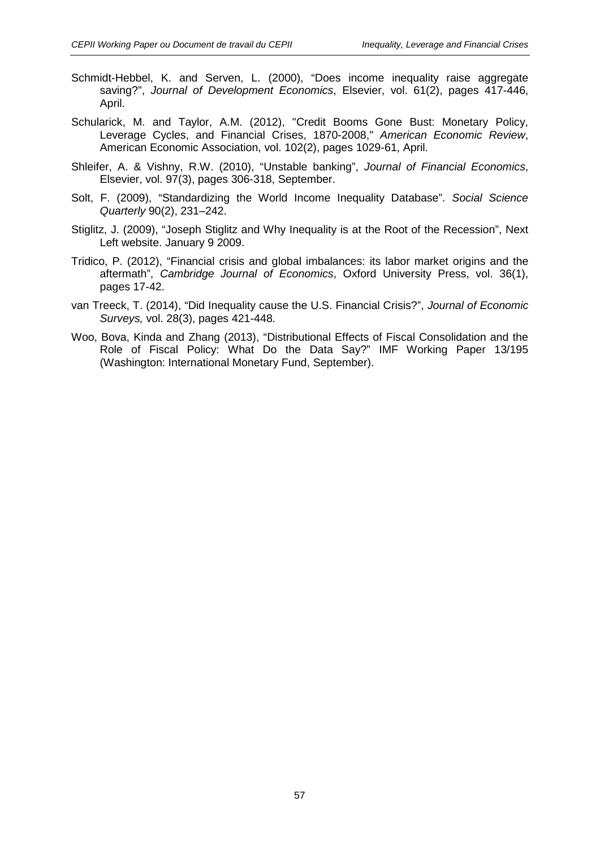- Schmidt-Hebbel, K. and Serven, L. (2000), "Does income inequality raise aggregate saving?", *Journal of Development Economics*, Elsevier, vol. 61(2), pages 417-446, April.
- Schularick, M. and Taylor, A.M. (2012), "Credit Booms Gone Bust: Monetary Policy, Leverage Cycles, and Financial Crises, 1870-2008," *American Economic Review*, American Economic Association, vol. 102(2), pages 1029-61, April.
- Shleifer, A. & Vishny, R.W. (2010), "Unstable banking", *Journal of Financial Economics*, Elsevier, vol. 97(3), pages 306-318, September.
- Solt, F. (2009), "Standardizing the World Income Inequality Database". *Social Science Quarterly* 90(2), 231–242.
- Stiglitz, J. (2009), "Joseph Stiglitz and Why Inequality is at the Root of the Recession", Next Left website. January 9 2009.
- Tridico, P. (2012), "Financial crisis and global imbalances: its labor market origins and the aftermath", *Cambridge Journal of Economics*, Oxford University Press, vol. 36(1), pages 17-42.
- van Treeck, T. (2014), "Did Inequality cause the U.S. Financial Crisis?", *Journal of Economic Surveys,* vol. 28(3), pages 421-448.
- Woo, Bova, Kinda and Zhang (2013), "Distributional Effects of Fiscal Consolidation and the Role of Fiscal Policy: What Do the Data Say?" IMF Working Paper 13/195 (Washington: International Monetary Fund, September).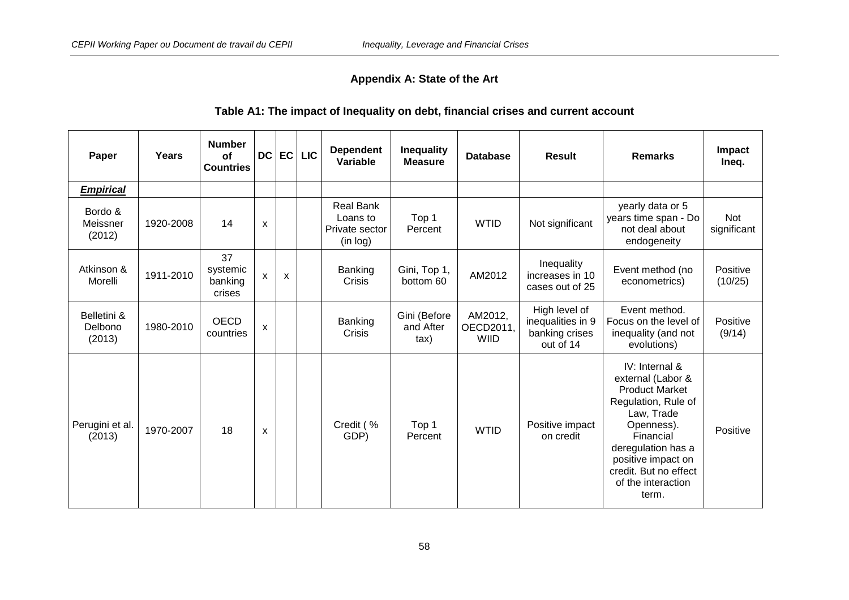# **Appendix A: State of the Art**

# **Table A1: The impact of Inequality on debt, financial crises and current account**

| Paper                            | Years     | <b>Number</b><br><b>of</b><br><b>Countries</b> | <b>DC</b>    | EC                        | <b>LIC</b> | <b>Dependent</b><br>Variable                        | Inequality<br><b>Measure</b>              | <b>Database</b>                     | Result                                                            | <b>Remarks</b>                                                                                                                                                                                                                   | Impact<br>Ineq.           |
|----------------------------------|-----------|------------------------------------------------|--------------|---------------------------|------------|-----------------------------------------------------|-------------------------------------------|-------------------------------------|-------------------------------------------------------------------|----------------------------------------------------------------------------------------------------------------------------------------------------------------------------------------------------------------------------------|---------------------------|
| <b>Empirical</b>                 |           |                                                |              |                           |            |                                                     |                                           |                                     |                                                                   |                                                                                                                                                                                                                                  |                           |
| Bordo &<br>Meissner<br>(2012)    | 1920-2008 | 14                                             | X            |                           |            | Real Bank<br>Loans to<br>Private sector<br>(in log) | Top 1<br>Percent                          | <b>WTID</b>                         | Not significant                                                   | yearly data or 5<br>years time span - Do<br>not deal about<br>endogeneity                                                                                                                                                        | <b>Not</b><br>significant |
| Atkinson &<br>Morelli            | 1911-2010 | 37<br>systemic<br>banking<br>crises            | $\mathsf{x}$ | $\boldsymbol{\mathsf{x}}$ |            | Banking<br>Crisis                                   | Gini, Top 1,<br>bottom 60                 | AM2012                              | Inequality<br>increases in 10<br>cases out of 25                  | Event method (no<br>econometrics)                                                                                                                                                                                                | Positive<br>(10/25)       |
| Belletini &<br>Delbono<br>(2013) | 1980-2010 | <b>OECD</b><br>countries                       | X            |                           |            | Banking<br>Crisis                                   | Gini (Before<br>and After<br>$\text{tax}$ | AM2012,<br>OECD2011,<br><b>WIID</b> | High level of<br>inequalities in 9<br>banking crises<br>out of 14 | Event method.<br>Focus on the level of<br>inequality (and not<br>evolutions)                                                                                                                                                     | Positive<br>(9/14)        |
| Perugini et al.<br>(2013)        | 1970-2007 | 18                                             | $\mathsf{x}$ |                           |            | Credit (%<br>GDP)                                   | Top 1<br>Percent                          | <b>WTID</b>                         | Positive impact<br>on credit                                      | IV: Internal &<br>external (Labor &<br><b>Product Market</b><br>Regulation, Rule of<br>Law, Trade<br>Openness).<br>Financial<br>deregulation has a<br>positive impact on<br>credit. But no effect<br>of the interaction<br>term. | Positive                  |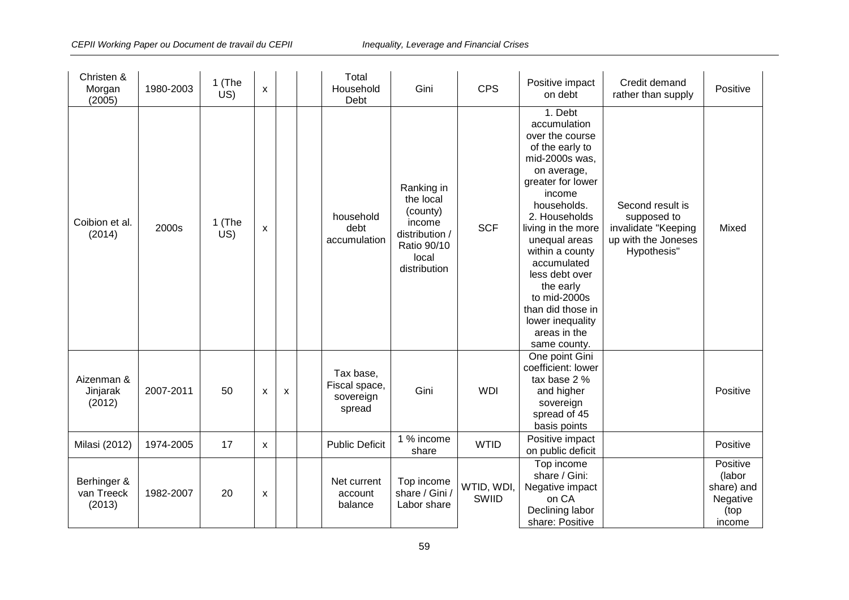| Christen &<br>Morgan<br>(2005)      | 1980-2003 | 1 (The<br>US) | $\pmb{\chi}$              |   | Total<br>Household<br>Debt                        | Gini                                                                                                    | <b>CPS</b>          | Positive impact<br>on debt                                                                                                                                                                                                                                                                                                                                     | Credit demand<br>rather than supply                                                          | Positive                                                       |
|-------------------------------------|-----------|---------------|---------------------------|---|---------------------------------------------------|---------------------------------------------------------------------------------------------------------|---------------------|----------------------------------------------------------------------------------------------------------------------------------------------------------------------------------------------------------------------------------------------------------------------------------------------------------------------------------------------------------------|----------------------------------------------------------------------------------------------|----------------------------------------------------------------|
| Coibion et al.<br>(2014)            | 2000s     | 1 (The<br>US) | $\pmb{\mathsf{X}}$        |   | household<br>debt<br>accumulation                 | Ranking in<br>the local<br>(county)<br>income<br>distribution /<br>Ratio 90/10<br>local<br>distribution | <b>SCF</b>          | 1. Debt<br>accumulation<br>over the course<br>of the early to<br>mid-2000s was,<br>on average,<br>greater for lower<br>income<br>households.<br>2. Households<br>living in the more<br>unequal areas<br>within a county<br>accumulated<br>less debt over<br>the early<br>to mid-2000s<br>than did those in<br>lower inequality<br>areas in the<br>same county. | Second result is<br>supposed to<br>invalidate "Keeping<br>up with the Joneses<br>Hypothesis" | Mixed                                                          |
| Aizenman &<br>Jinjarak<br>(2012)    | 2007-2011 | 50            | $\boldsymbol{\mathsf{x}}$ | X | Tax base,<br>Fiscal space,<br>sovereign<br>spread | Gini                                                                                                    | <b>WDI</b>          | One point Gini<br>coefficient: lower<br>tax base 2 %<br>and higher<br>sovereign<br>spread of 45<br>basis points                                                                                                                                                                                                                                                |                                                                                              | Positive                                                       |
| Milasi (2012)                       | 1974-2005 | 17            | X                         |   | <b>Public Deficit</b>                             | 1 % income<br>share                                                                                     | <b>WTID</b>         | Positive impact<br>on public deficit                                                                                                                                                                                                                                                                                                                           |                                                                                              | Positive                                                       |
| Berhinger &<br>van Treeck<br>(2013) | 1982-2007 | 20            | X                         |   | Net current<br>account<br>balance                 | Top income<br>share / Gini /<br>Labor share                                                             | WTID, WDI,<br>SWIID | Top income<br>share / Gini:<br>Negative impact<br>on CA<br>Declining labor<br>share: Positive                                                                                                                                                                                                                                                                  |                                                                                              | Positive<br>(labor<br>share) and<br>Negative<br>(top<br>income |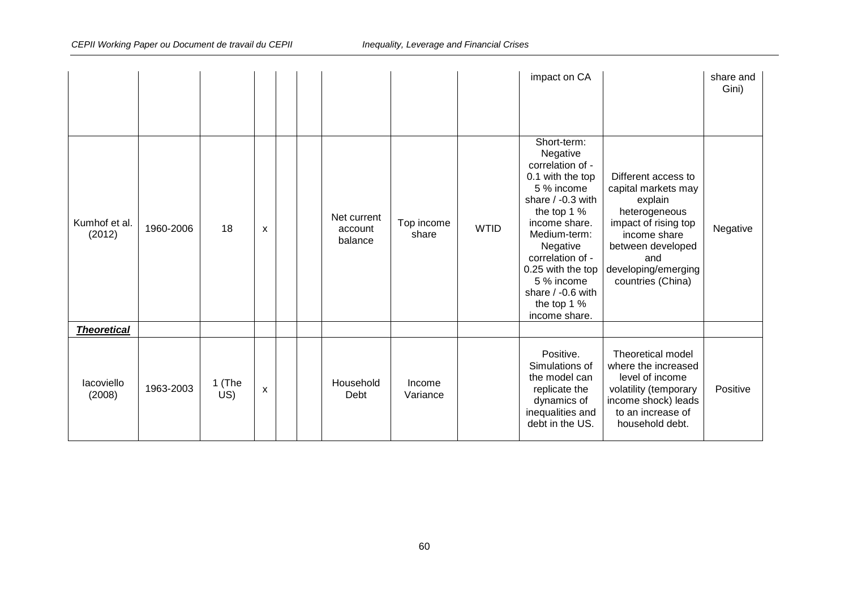|                         |           |                      |   |  |                                   |                     |             | impact on CA                                                                                                                                                                                                                                                                 |                                                                                                                                                                                        | share and<br>Gini) |
|-------------------------|-----------|----------------------|---|--|-----------------------------------|---------------------|-------------|------------------------------------------------------------------------------------------------------------------------------------------------------------------------------------------------------------------------------------------------------------------------------|----------------------------------------------------------------------------------------------------------------------------------------------------------------------------------------|--------------------|
| Kumhof et al.<br>(2012) | 1960-2006 | 18                   | X |  | Net current<br>account<br>balance | Top income<br>share | <b>WTID</b> | Short-term:<br>Negative<br>correlation of -<br>0.1 with the top<br>5 % income<br>share / -0.3 with<br>the top 1 %<br>income share.<br>Medium-term:<br>Negative<br>correlation of -<br>0.25 with the top<br>5 % income<br>share $/ -0.6$ with<br>the top 1 %<br>income share. | Different access to<br>capital markets may<br>explain<br>heterogeneous<br>impact of rising top<br>income share<br>between developed<br>and<br>developing/emerging<br>countries (China) | Negative           |
| <b>Theoretical</b>      |           |                      |   |  |                                   |                     |             |                                                                                                                                                                                                                                                                              |                                                                                                                                                                                        |                    |
| lacoviello<br>(2008)    | 1963-2003 | 1 (The<br>$\dot{US}$ | X |  | Household<br>Debt                 | Income<br>Variance  |             | Positive.<br>Simulations of<br>the model can<br>replicate the<br>dynamics of<br>inequalities and<br>debt in the US.                                                                                                                                                          | Theoretical model<br>where the increased<br>level of income<br>volatility (temporary<br>income shock) leads<br>to an increase of<br>household debt.                                    | Positive           |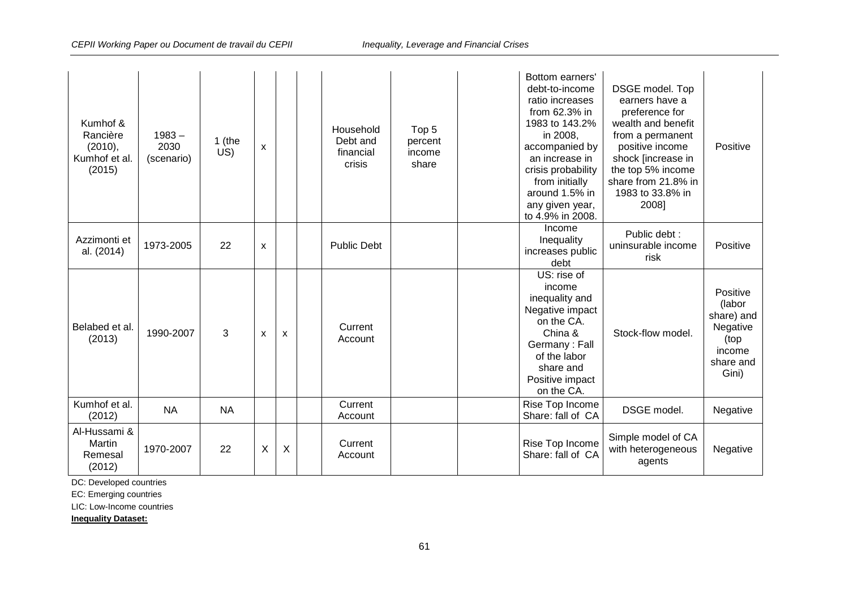| Kumhof &<br>Rancière<br>(2010),<br>Kumhof et al.<br>(2015) | $1983 -$<br>2030<br>(scenario) | 1 (the<br>US) | $\pmb{\chi}$ |                           | Household<br>Debt and<br>financial<br>crisis | Top <sub>5</sub><br>percent<br>income<br>share | Bottom earners'<br>debt-to-income<br>ratio increases<br>from 62.3% in<br>1983 to 143.2%<br>in 2008,<br>accompanied by<br>an increase in<br>crisis probability<br>from initially<br>around 1.5% in<br>any given year,<br>to 4.9% in 2008. | DSGE model. Top<br>earners have a<br>preference for<br>wealth and benefit<br>from a permanent<br>positive income<br>shock [increase in<br>the top 5% income<br>share from 21.8% in<br>1983 to 33.8% in<br>2008] | Positive                                                                             |
|------------------------------------------------------------|--------------------------------|---------------|--------------|---------------------------|----------------------------------------------|------------------------------------------------|------------------------------------------------------------------------------------------------------------------------------------------------------------------------------------------------------------------------------------------|-----------------------------------------------------------------------------------------------------------------------------------------------------------------------------------------------------------------|--------------------------------------------------------------------------------------|
| Azzimonti et<br>al. (2014)                                 | 1973-2005                      | 22            | X            |                           | <b>Public Debt</b>                           |                                                | Income<br>Inequality<br>increases public<br>debt                                                                                                                                                                                         | Public debt :<br>uninsurable income<br>risk                                                                                                                                                                     | Positive                                                                             |
| Belabed et al.<br>(2013)                                   | 1990-2007                      | 3             | X            | $\boldsymbol{\mathsf{x}}$ | Current<br>Account                           |                                                | $\overline{US}$ : rise of<br>income<br>inequality and<br>Negative impact<br>on the CA.<br>China &<br>Germany: Fall<br>of the labor<br>share and<br>Positive impact<br>on the CA.                                                         | Stock-flow model.                                                                                                                                                                                               | Positive<br>(labor<br>share) and<br>Negative<br>(top<br>income<br>share and<br>Gini) |
| Kumhof et al.<br>(2012)                                    | <b>NA</b>                      | <b>NA</b>     |              |                           | Current<br>Account                           |                                                | Rise Top Income<br>Share: fall of CA                                                                                                                                                                                                     | DSGE model.                                                                                                                                                                                                     | Negative                                                                             |
| Al-Hussami &<br>Martin<br>Remesal<br>(2012)                | 1970-2007                      | 22            | X            | X                         | Current<br>Account                           |                                                | Rise Top Income<br>Share: fall of CA                                                                                                                                                                                                     | Simple model of CA<br>with heterogeneous<br>agents                                                                                                                                                              | Negative                                                                             |

DC: Developed countries

EC: Emerging countries

LIC: Low-Income countries

**Inequality Dataset:**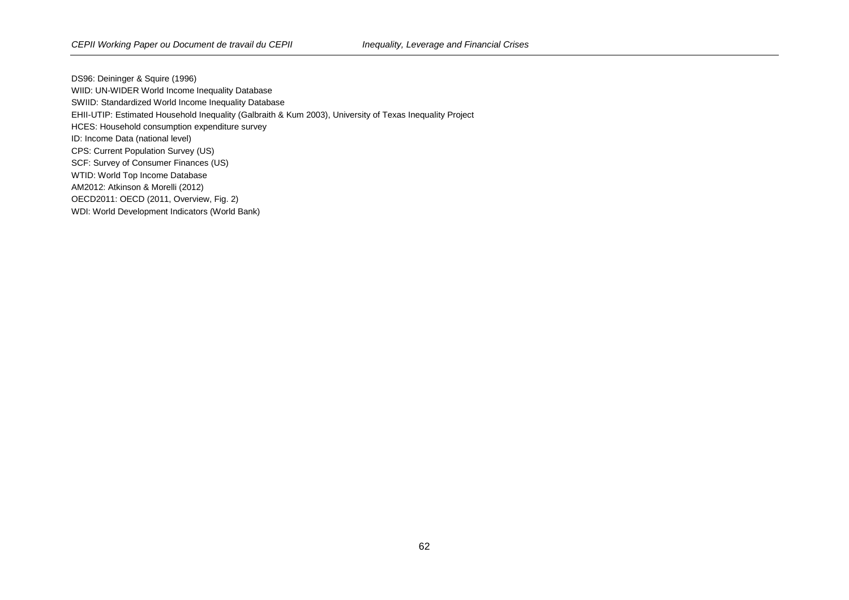DS96: Deininger & Squire (1996) WIID: UN-WIDER World Income Inequality Database SWIID: Standardized World Income Inequality Database EHII-UTIP: Estimated Household Inequality (Galbraith & Kum 2003), University of Texas Inequality Project HCES: Household consumption expenditure survey ID: Income Data (national level) CPS: Current Population Survey (US) SCF: Survey of Consumer Finances (US) WTID: World Top Income Database AM2012: Atkinson & Morelli (2012) OECD2011: OECD (2011, Overview, Fig. 2) WDI: World Development Indicators (World Bank)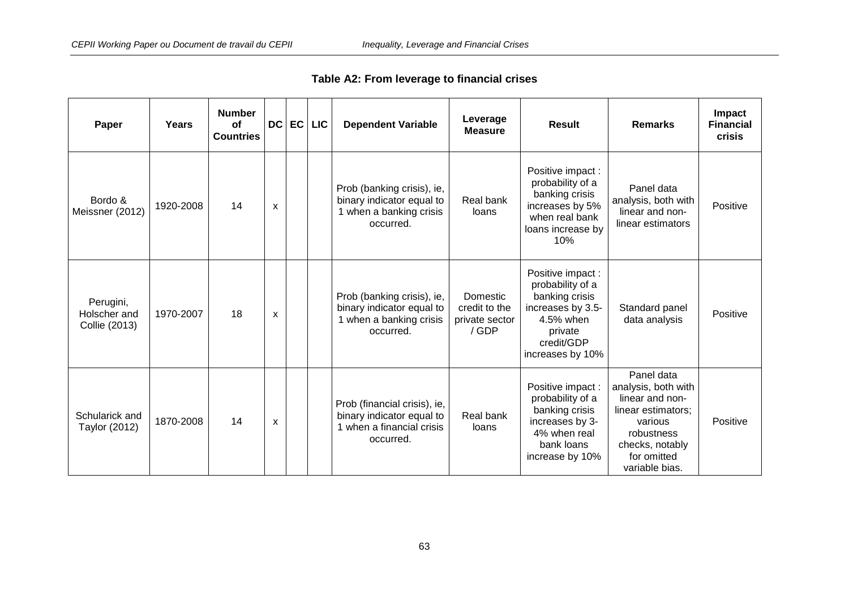| Table A2: From leverage to financial crises |  |  |  |
|---------------------------------------------|--|--|--|
|---------------------------------------------|--|--|--|

| Paper                                      | Years     | <b>Number</b><br>Οf<br><b>Countries</b> | <b>DC</b> | EC | <b>LIC</b> | <b>Dependent Variable</b>                                                                           | Leverage<br><b>Measure</b>                           | <b>Result</b>                                                                                                                         | <b>Remarks</b>                                                                                                                                          | Impact<br><b>Financial</b><br>crisis |
|--------------------------------------------|-----------|-----------------------------------------|-----------|----|------------|-----------------------------------------------------------------------------------------------------|------------------------------------------------------|---------------------------------------------------------------------------------------------------------------------------------------|---------------------------------------------------------------------------------------------------------------------------------------------------------|--------------------------------------|
| Bordo &<br>Meissner (2012)                 | 1920-2008 | 14                                      | X         |    |            | Prob (banking crisis), ie,<br>binary indicator equal to<br>1 when a banking crisis<br>occurred.     | Real bank<br>loans                                   | Positive impact:<br>probability of a<br>banking crisis<br>increases by 5%<br>when real bank<br>loans increase by<br>10%               | Panel data<br>analysis, both with<br>linear and non-<br>linear estimators                                                                               | Positive                             |
| Perugini,<br>Holscher and<br>Collie (2013) | 1970-2007 | 18                                      | X         |    |            | Prob (banking crisis), ie,<br>binary indicator equal to<br>1 when a banking crisis<br>occurred.     | Domestic<br>credit to the<br>private sector<br>/ GDP | Positive impact:<br>probability of a<br>banking crisis<br>increases by 3.5-<br>4.5% when<br>private<br>credit/GDP<br>increases by 10% | Standard panel<br>data analysis                                                                                                                         | Positive                             |
| Schularick and<br>Taylor (2012)            | 1870-2008 | 14                                      | X         |    |            | Prob (financial crisis), ie,<br>binary indicator equal to<br>1 when a financial crisis<br>occurred. | Real bank<br>loans                                   | Positive impact:<br>probability of a<br>banking crisis<br>increases by 3-<br>4% when real<br>bank loans<br>increase by 10%            | Panel data<br>analysis, both with<br>linear and non-<br>linear estimators;<br>various<br>robustness<br>checks, notably<br>for omitted<br>variable bias. | Positive                             |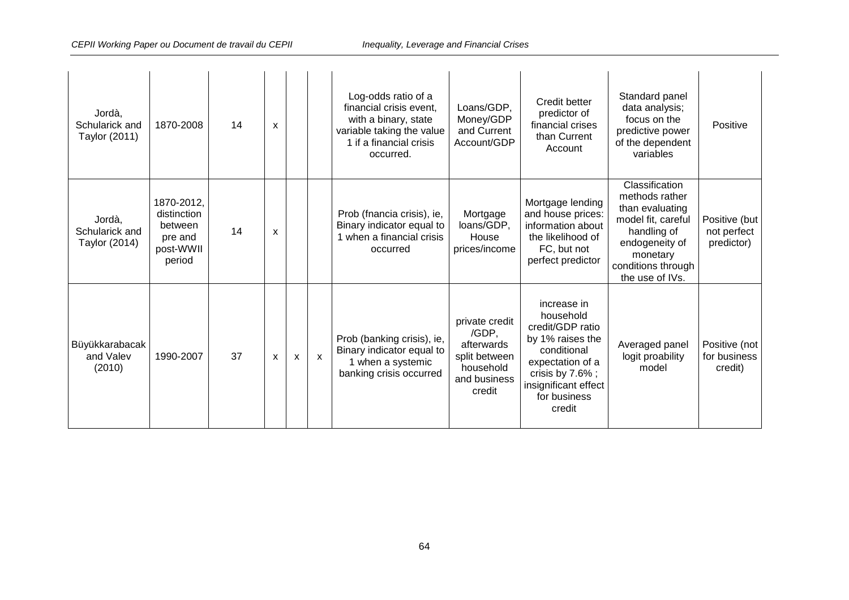| Jordà,<br>Schularick and<br>Taylor (2011) | 1870-2008                                                              | 14 | X |                           |   | Log-odds ratio of a<br>financial crisis event,<br>with a binary, state<br>variable taking the value<br>1 if a financial crisis<br>occurred. | Loans/GDP,<br>Money/GDP<br>and Current<br>Account/GDP                                         | Credit better<br>predictor of<br>financial crises<br>than Current<br>Account                                                                                                 | Standard panel<br>data analysis;<br>focus on the<br>predictive power<br>of the dependent<br>variables                                                           | Positive                                   |
|-------------------------------------------|------------------------------------------------------------------------|----|---|---------------------------|---|---------------------------------------------------------------------------------------------------------------------------------------------|-----------------------------------------------------------------------------------------------|------------------------------------------------------------------------------------------------------------------------------------------------------------------------------|-----------------------------------------------------------------------------------------------------------------------------------------------------------------|--------------------------------------------|
| Jordà,<br>Schularick and<br>Taylor (2014) | 1870-2012,<br>distinction<br>between<br>pre and<br>post-WWII<br>period | 14 | X |                           |   | Prob (fnancia crisis), ie,<br>Binary indicator equal to<br>1 when a financial crisis<br>occurred                                            | Mortgage<br>loans/GDP,<br>House<br>prices/income                                              | Mortgage lending<br>and house prices:<br>information about<br>the likelihood of<br>FC, but not<br>perfect predictor                                                          | Classification<br>methods rather<br>than evaluating<br>model fit, careful<br>handling of<br>endogeneity of<br>monetary<br>conditions through<br>the use of IVs. | Positive (but<br>not perfect<br>predictor) |
| Büyükkarabacak<br>and Valev<br>(2010)     | 1990-2007                                                              | 37 | X | $\boldsymbol{\mathsf{x}}$ | X | Prob (banking crisis), ie,<br>Binary indicator equal to<br>1 when a systemic<br>banking crisis occurred                                     | private credit<br>/GDP.<br>afterwards<br>split between<br>household<br>and business<br>credit | increase in<br>household<br>credit/GDP ratio<br>by 1% raises the<br>conditional<br>expectation of a<br>crisis by $7.6\%$ ;<br>insignificant effect<br>for business<br>credit | Averaged panel<br>logit proability<br>model                                                                                                                     | Positive (not<br>for business<br>credit)   |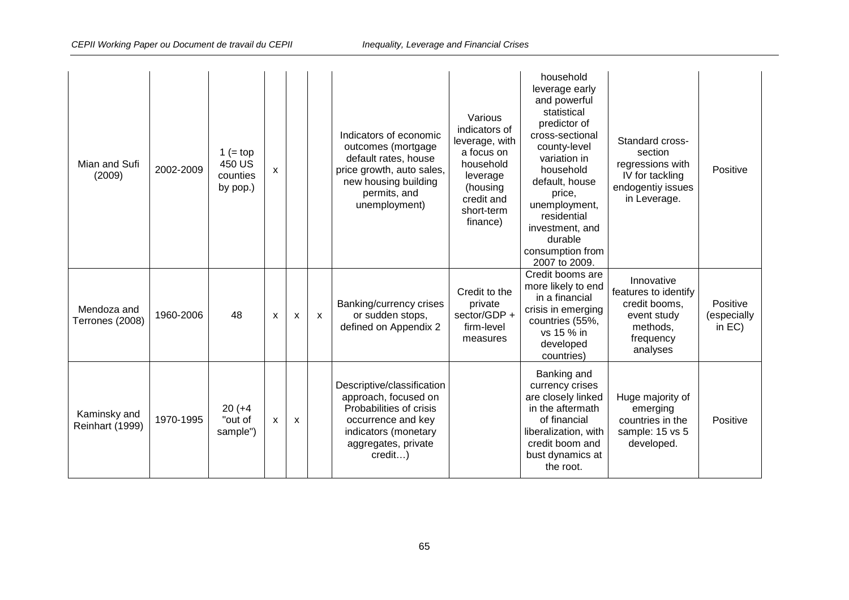| Mian and Sufi<br>(2009)         | 2002-2009 | 1 (= top<br>450 US<br>counties<br>by pop.) | X |   |   | Indicators of economic<br>outcomes (mortgage<br>default rates, house<br>price growth, auto sales,<br>new housing building<br>permits, and<br>unemployment)    | Various<br>indicators of<br>leverage, with<br>a focus on<br>household<br>leverage<br>(housing<br>credit and<br>short-term<br>finance) | household<br>leverage early<br>and powerful<br>statistical<br>predictor of<br>cross-sectional<br>county-level<br>variation in<br>household<br>default, house<br>price,<br>unemployment,<br>residential<br>investment, and<br>durable<br>consumption from<br>2007 to 2009. | Standard cross-<br>section<br>regressions with<br>IV for tackling<br>endogentiy issues<br>in Leverage.  | Positive                             |
|---------------------------------|-----------|--------------------------------------------|---|---|---|---------------------------------------------------------------------------------------------------------------------------------------------------------------|---------------------------------------------------------------------------------------------------------------------------------------|---------------------------------------------------------------------------------------------------------------------------------------------------------------------------------------------------------------------------------------------------------------------------|---------------------------------------------------------------------------------------------------------|--------------------------------------|
| Mendoza and<br>Terrones (2008)  | 1960-2006 | 48                                         | X | X | X | Banking/currency crises<br>or sudden stops,<br>defined on Appendix 2                                                                                          | Credit to the<br>private<br>sector/GDP +<br>firm-level<br>measures                                                                    | Credit booms are<br>more likely to end<br>in a financial<br>crisis in emerging<br>countries (55%,<br>vs 15 % in<br>developed<br>countries)                                                                                                                                | Innovative<br>features to identify<br>credit booms,<br>event study<br>methods.<br>frequency<br>analyses | Positive<br>(especially<br>in $EC$ ) |
| Kaminsky and<br>Reinhart (1999) | 1970-1995 | $20 (+4)$<br>"out of<br>sample")           | X | X |   | Descriptive/classification<br>approach, focused on<br>Probabilities of crisis<br>occurrence and key<br>indicators (monetary<br>aggregates, private<br>credit) |                                                                                                                                       | Banking and<br>currency crises<br>are closely linked<br>in the aftermath<br>of financial<br>liberalization, with<br>credit boom and<br>bust dynamics at<br>the root.                                                                                                      | Huge majority of<br>emerging<br>countries in the<br>sample: 15 vs 5<br>developed.                       | Positive                             |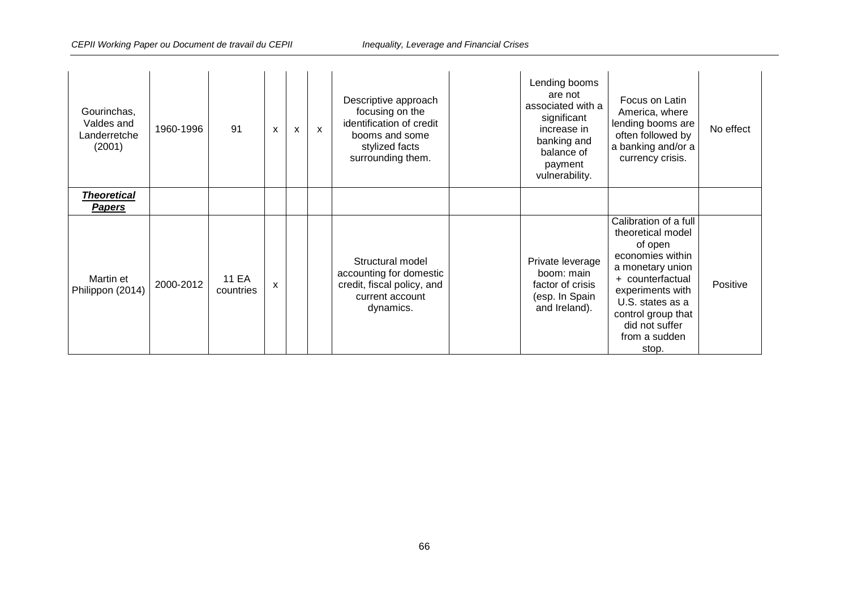| Gourinchas,<br>Valdes and<br>Landerretche<br>(2001) | 1960-1996 | 91                        | X | $\boldsymbol{\mathsf{x}}$ | $\mathsf{x}$ | Descriptive approach<br>focusing on the<br>identification of credit<br>booms and some<br>stylized facts<br>surrounding them. | Lending booms<br>are not<br>associated with a<br>significant<br>increase in<br>banking and<br>balance of<br>payment<br>vulnerability. | Focus on Latin<br>America, where<br>lending booms are<br>often followed by<br>a banking and/or a<br>currency crisis.                                                                                                        | No effect |
|-----------------------------------------------------|-----------|---------------------------|---|---------------------------|--------------|------------------------------------------------------------------------------------------------------------------------------|---------------------------------------------------------------------------------------------------------------------------------------|-----------------------------------------------------------------------------------------------------------------------------------------------------------------------------------------------------------------------------|-----------|
| <b>Theoretical</b><br><b>Papers</b>                 |           |                           |   |                           |              |                                                                                                                              |                                                                                                                                       |                                                                                                                                                                                                                             |           |
| Martin et<br>Philippon (2014)                       | 2000-2012 | <b>11 EA</b><br>countries | X |                           |              | Structural model<br>accounting for domestic<br>credit, fiscal policy, and<br>current account<br>dynamics.                    | Private leverage<br>boom: main<br>factor of crisis<br>(esp. In Spain<br>and Ireland).                                                 | Calibration of a full<br>theoretical model<br>of open<br>economies within<br>a monetary union<br>+ counterfactual<br>experiments with<br>U.S. states as a<br>control group that<br>did not suffer<br>from a sudden<br>stop. | Positive  |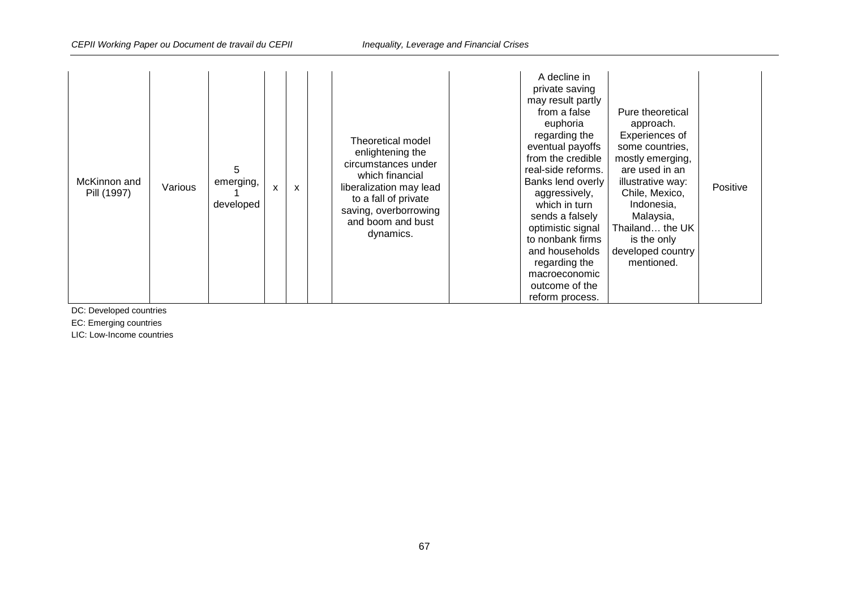| McKinnon and<br>Pill (1997) | Various | 5<br>emerging,<br>developed | X | X |  | Theoretical model<br>enlightening the<br>circumstances under<br>which financial<br>liberalization may lead<br>to a fall of private<br>saving, overborrowing<br>and boom and bust<br>dynamics. | A decline in<br>private saving<br>may result partly<br>from a false<br>euphoria<br>regarding the<br>eventual payoffs<br>from the credible<br>real-side reforms.<br>Banks lend overly<br>aggressively,<br>which in turn<br>sends a falsely<br>optimistic signal<br>to nonbank firms<br>and households<br>regarding the<br>macroeconomic<br>outcome of the<br>reform process. | Pure theoretical<br>approach.<br>Experiences of<br>some countries,<br>mostly emerging,<br>are used in an<br>illustrative way:<br>Chile, Mexico,<br>Indonesia,<br>Malaysia,<br>Thailand the UK<br>is the only<br>developed country<br>mentioned. | Positive |  |
|-----------------------------|---------|-----------------------------|---|---|--|-----------------------------------------------------------------------------------------------------------------------------------------------------------------------------------------------|-----------------------------------------------------------------------------------------------------------------------------------------------------------------------------------------------------------------------------------------------------------------------------------------------------------------------------------------------------------------------------|-------------------------------------------------------------------------------------------------------------------------------------------------------------------------------------------------------------------------------------------------|----------|--|
|-----------------------------|---------|-----------------------------|---|---|--|-----------------------------------------------------------------------------------------------------------------------------------------------------------------------------------------------|-----------------------------------------------------------------------------------------------------------------------------------------------------------------------------------------------------------------------------------------------------------------------------------------------------------------------------------------------------------------------------|-------------------------------------------------------------------------------------------------------------------------------------------------------------------------------------------------------------------------------------------------|----------|--|

DC: Developed countries

EC: Emerging countries

LIC: Low-Income countries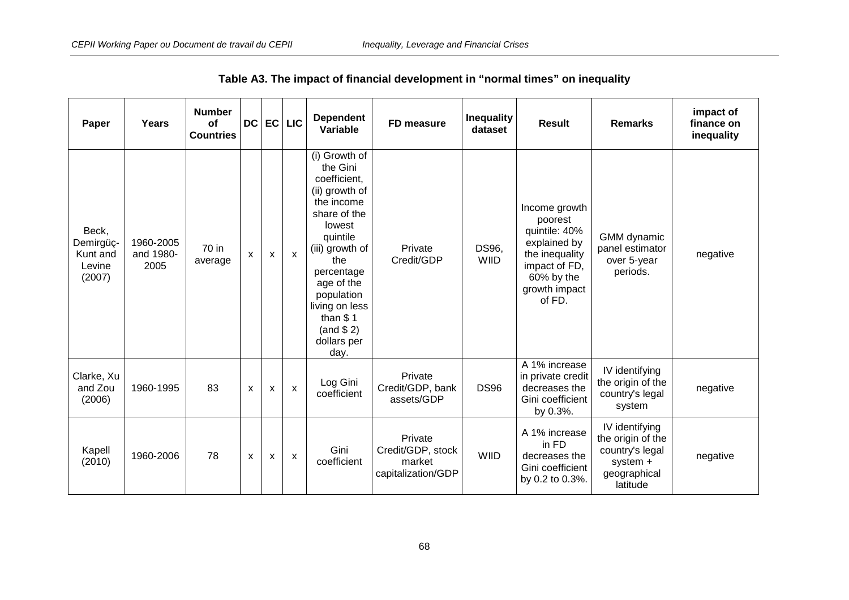| Paper                                              | Years                          | <b>Number</b><br>of<br><b>Countries</b> | <b>DC</b>    | EC                        | <b>LIC</b>   | <b>Dependent</b><br>Variable                                                                                                                                                                                                                           | FD measure                                                   | <b>Inequality</b><br>dataset | <b>Result</b>                                                                                                                         | <b>Remarks</b>                                                                                 | impact of<br>finance on<br>inequality |
|----------------------------------------------------|--------------------------------|-----------------------------------------|--------------|---------------------------|--------------|--------------------------------------------------------------------------------------------------------------------------------------------------------------------------------------------------------------------------------------------------------|--------------------------------------------------------------|------------------------------|---------------------------------------------------------------------------------------------------------------------------------------|------------------------------------------------------------------------------------------------|---------------------------------------|
| Beck,<br>Demirgüç-<br>Kunt and<br>Levine<br>(2007) | 1960-2005<br>and 1980-<br>2005 | 70 in<br>average                        | X            | X                         | $\mathsf{x}$ | (i) Growth of<br>the Gini<br>coefficient,<br>(ii) growth of<br>the income<br>share of the<br>lowest<br>quintile<br>(iii) growth of<br>the<br>percentage<br>age of the<br>population<br>living on less<br>than $$1$<br>(and \$2)<br>dollars per<br>day. | Private<br>Credit/GDP                                        | DS96,<br><b>WIID</b>         | Income growth<br>poorest<br>quintile: 40%<br>explained by<br>the inequality<br>impact of FD,<br>60% by the<br>growth impact<br>of FD. | GMM dynamic<br>panel estimator<br>over 5-year<br>periods.                                      | negative                              |
| Clarke, Xu<br>and Zou<br>(2006)                    | 1960-1995                      | 83                                      | X            | $\boldsymbol{\mathsf{x}}$ | $\mathsf{x}$ | Log Gini<br>coefficient                                                                                                                                                                                                                                | Private<br>Credit/GDP, bank<br>assets/GDP                    | <b>DS96</b>                  | A 1% increase<br>in private credit<br>decreases the<br>Gini coefficient<br>by 0.3%.                                                   | IV identifying<br>the origin of the<br>country's legal<br>system                               | negative                              |
| Kapell<br>(2010)                                   | 1960-2006                      | 78                                      | $\mathsf{x}$ | X                         | X            | Gini<br>coefficient                                                                                                                                                                                                                                    | Private<br>Credit/GDP, stock<br>market<br>capitalization/GDP | <b>WIID</b>                  | A 1% increase<br>in FD<br>decreases the<br>Gini coefficient<br>by 0.2 to 0.3%.                                                        | IV identifying<br>the origin of the<br>country's legal<br>system +<br>geographical<br>latitude | negative                              |

**Table A3. The impact of financial development in "normal times" on inequality**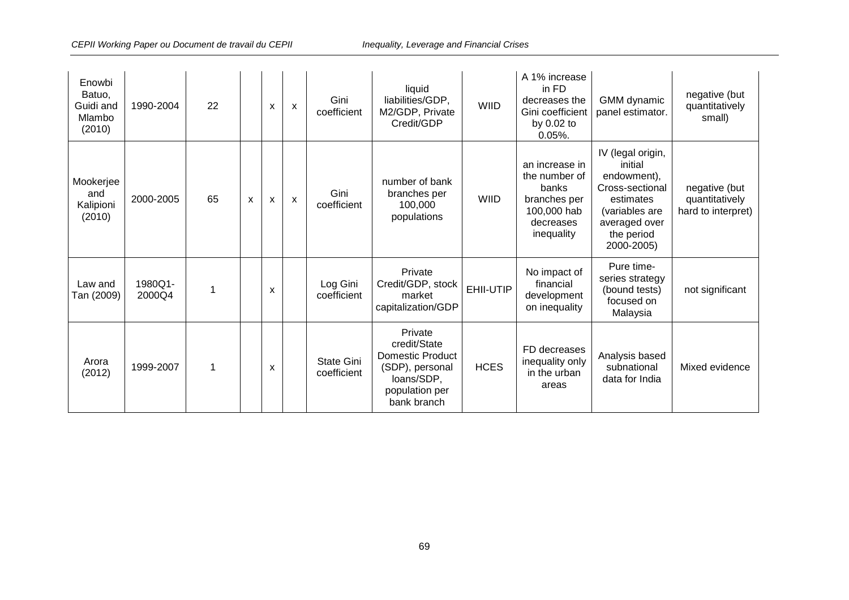| Enowbi<br>Batuo,<br>Guidi and<br>Mlambo<br>(2010) | 1990-2004         | 22 |   | X                         | $\boldsymbol{\mathsf{x}}$ | Gini<br>coefficient       | liquid<br>liabilities/GDP,<br>M2/GDP, Private<br>Credit/GDP                                                          | <b>WIID</b> | A 1% increase<br>in FD<br>decreases the<br>Gini coefficient<br>by 0.02 to<br>$0.05%$ .             | GMM dynamic<br>panel estimator.                                                                                                            | negative (but<br>quantitatively<br>small)             |
|---------------------------------------------------|-------------------|----|---|---------------------------|---------------------------|---------------------------|----------------------------------------------------------------------------------------------------------------------|-------------|----------------------------------------------------------------------------------------------------|--------------------------------------------------------------------------------------------------------------------------------------------|-------------------------------------------------------|
| Mookerjee<br>and<br>Kalipioni<br>(2010)           | 2000-2005         | 65 | x | $\boldsymbol{\mathsf{x}}$ | X                         | Gini<br>coefficient       | number of bank<br>branches per<br>100,000<br>populations                                                             | <b>WIID</b> | an increase in<br>the number of<br>banks<br>branches per<br>100,000 hab<br>decreases<br>inequality | IV (legal origin,<br>initial<br>endowment),<br>Cross-sectional<br>estimates<br>(variables are<br>averaged over<br>the period<br>2000-2005) | negative (but<br>quantitatively<br>hard to interpret) |
| Law and<br>Tan (2009)                             | 1980Q1-<br>2000Q4 | 1  |   | X                         |                           | Log Gini<br>coefficient   | Private<br>Credit/GDP, stock<br>market<br>capitalization/GDP                                                         | EHII-UTIP   | No impact of<br>financial<br>development<br>on inequality                                          | Pure time-<br>series strategy<br>(bound tests)<br>focused on<br>Malaysia                                                                   | not significant                                       |
| Arora<br>(2012)                                   | 1999-2007         | 1  |   | X                         |                           | State Gini<br>coefficient | Private<br>credit/State<br><b>Domestic Product</b><br>(SDP), personal<br>loans/SDP,<br>population per<br>bank branch | <b>HCES</b> | FD decreases<br>inequality only<br>in the urban<br>areas                                           | Analysis based<br>subnational<br>data for India                                                                                            | Mixed evidence                                        |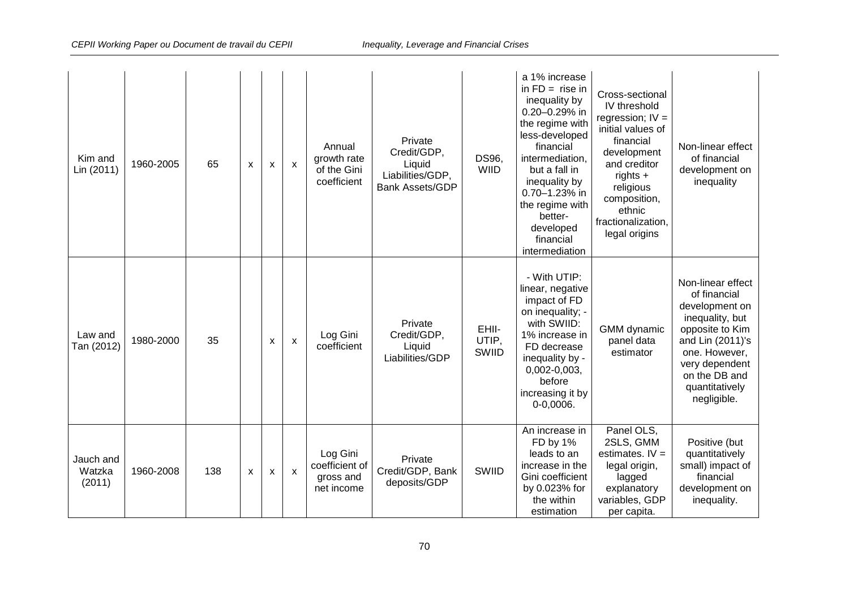| Kim and<br>Lin (2011)         | 1960-2005 | 65  | $\mathsf{x}$ | X | $\mathsf{x}$              | Annual<br>growth rate<br>of the Gini<br>coefficient   | Private<br>Credit/GDP,<br>Liquid<br>Liabilities/GDP,<br><b>Bank Assets/GDP</b> | DS96,<br><b>WIID</b>    | a 1% increase<br>in $FD =$ rise in<br>inequality by<br>0.20-0.29% in<br>the regime with<br>less-developed<br>financial<br>intermediation.<br>but a fall in<br>inequality by<br>0.70-1.23% in<br>the regime with<br>better-<br>developed<br>financial<br>intermediation | Cross-sectional<br>IV threshold<br>regression; $IV =$<br>initial values of<br>financial<br>development<br>and creditor<br>$rights +$<br>religious<br>composition,<br>ethnic<br>fractionalization,<br>legal origins | Non-linear effect<br>of financial<br>development on<br>inequality                                                                                                                                  |
|-------------------------------|-----------|-----|--------------|---|---------------------------|-------------------------------------------------------|--------------------------------------------------------------------------------|-------------------------|------------------------------------------------------------------------------------------------------------------------------------------------------------------------------------------------------------------------------------------------------------------------|--------------------------------------------------------------------------------------------------------------------------------------------------------------------------------------------------------------------|----------------------------------------------------------------------------------------------------------------------------------------------------------------------------------------------------|
| Law and<br>Tan (2012)         | 1980-2000 | 35  |              | X | X                         | Log Gini<br>coefficient                               | Private<br>Credit/GDP,<br>Liquid<br>Liabilities/GDP                            | EHII-<br>UTIP,<br>SWIID | - With UTIP:<br>linear, negative<br>impact of FD<br>on inequality; -<br>with SWIID:<br>1% increase in<br>FD decrease<br>inequality by -<br>$0,002-0,003,$<br>before<br>increasing it by<br>$0 - 0,0006.$                                                               | <b>GMM</b> dynamic<br>panel data<br>estimator                                                                                                                                                                      | Non-linear effect<br>of financial<br>development on<br>inequality, but<br>opposite to Kim<br>and Lin (2011)'s<br>one. However,<br>very dependent<br>on the DB and<br>quantitatively<br>negligible. |
| Jauch and<br>Watzka<br>(2011) | 1960-2008 | 138 | X            | X | $\boldsymbol{\mathsf{x}}$ | Log Gini<br>coefficient of<br>gross and<br>net income | Private<br>Credit/GDP, Bank<br>deposits/GDP                                    | SWIID                   | An increase in<br>FD by 1%<br>leads to an<br>increase in the<br>Gini coefficient<br>by 0.023% for<br>the within<br>estimation                                                                                                                                          | Panel OLS,<br>2SLS, GMM<br>estimates. $IV =$<br>legal origin,<br>lagged<br>explanatory<br>variables, GDP<br>per capita.                                                                                            | Positive (but<br>quantitatively<br>small) impact of<br>financial<br>development on<br>inequality.                                                                                                  |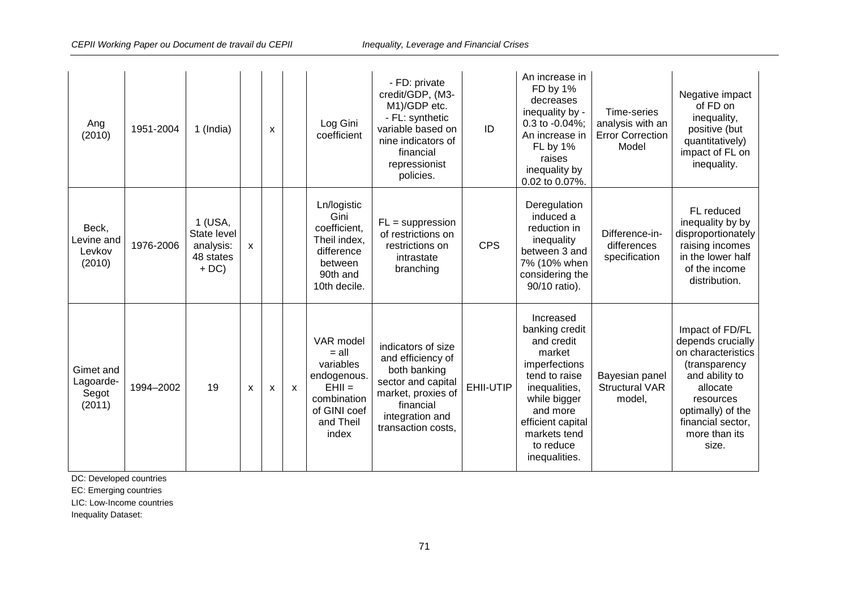| Ang<br>(2010)                             | 1951-2004 | 1 (India)                                                 |   | $\boldsymbol{\mathsf{x}}$ |              | Log Gini<br>coefficient                                                                                           | - FD: private<br>credit/GDP, (M3-<br>M1)/GDP etc.<br>- FL: synthetic<br>variable based on<br>nine indicators of<br>financial<br>repressionist<br>policies. | ID         | An increase in<br>FD by 1%<br>decreases<br>inequality by -<br>0.3 to -0.04%;<br>An increase in<br>FL by 1%<br>raises<br>inequality by<br>0.02 to 0.07%.                                               | Time-series<br>analysis with an<br><b>Error Correction</b><br>Model | Negative impact<br>of FD on<br>inequality,<br>positive (but<br>quantitatively)<br>impact of FL on<br>inequality.                                                                           |
|-------------------------------------------|-----------|-----------------------------------------------------------|---|---------------------------|--------------|-------------------------------------------------------------------------------------------------------------------|------------------------------------------------------------------------------------------------------------------------------------------------------------|------------|-------------------------------------------------------------------------------------------------------------------------------------------------------------------------------------------------------|---------------------------------------------------------------------|--------------------------------------------------------------------------------------------------------------------------------------------------------------------------------------------|
| Beck,<br>Levine and<br>Levkov<br>(2010)   | 1976-2006 | 1 (USA,<br>State level<br>analysis:<br>48 states<br>$+DC$ | X |                           |              | Ln/logistic<br>Gini<br>coefficient,<br>Theil index,<br>difference<br>between<br>90th and<br>10th decile.          | $FL = suppression$<br>of restrictions on<br>restrictions on<br>intrastate<br>branching                                                                     | <b>CPS</b> | Deregulation<br>induced a<br>reduction in<br>inequality<br>between 3 and<br>7% (10% when<br>considering the<br>90/10 ratio).                                                                          | Difference-in-<br>differences<br>specification                      | FL reduced<br>inequality by by<br>disproportionately<br>raising incomes<br>in the lower half<br>of the income<br>distribution.                                                             |
| Gimet and<br>Lagoarde-<br>Segot<br>(2011) | 1994-2002 | 19                                                        | X | X                         | $\mathsf{x}$ | VAR model<br>$=$ all<br>variables<br>endogenous.<br>$EHII =$<br>combination<br>of GINI coef<br>and Theil<br>index | indicators of size<br>and efficiency of<br>both banking<br>sector and capital<br>market, proxies of<br>financial<br>integration and<br>transaction costs,  | EHII-UTIP  | Increased<br>banking credit<br>and credit<br>market<br>imperfections<br>tend to raise<br>inequalities,<br>while bigger<br>and more<br>efficient capital<br>markets tend<br>to reduce<br>inequalities. | Bayesian panel<br><b>Structural VAR</b><br>model,                   | Impact of FD/FL<br>depends crucially<br>on characteristics<br>(transparency<br>and ability to<br>allocate<br>resources<br>optimally) of the<br>financial sector,<br>more than its<br>size. |

DC: Developed countries

EC: Emerging countries

LIC: Low-Income countries

Inequality Dataset: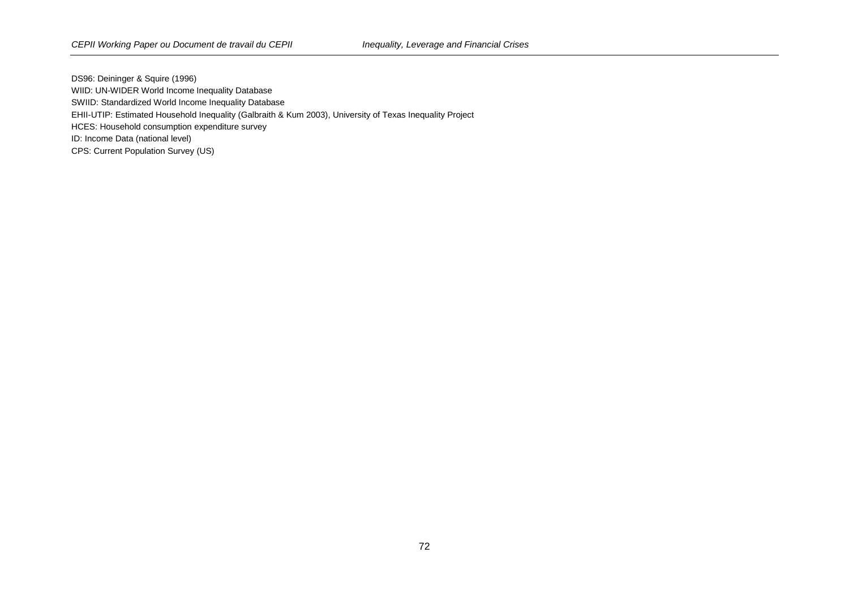DS96: Deininger & Squire (1996) WIID: UN-WIDER World Income Inequality Database SWIID: Standardized World Income Inequality Database EHII-UTIP: Estimated Household Inequality (Galbraith & Kum 2003), University of Texas Inequality Project HCES: Household consumption expenditure survey ID: Income Data (national level) CPS: Current Population Survey (US)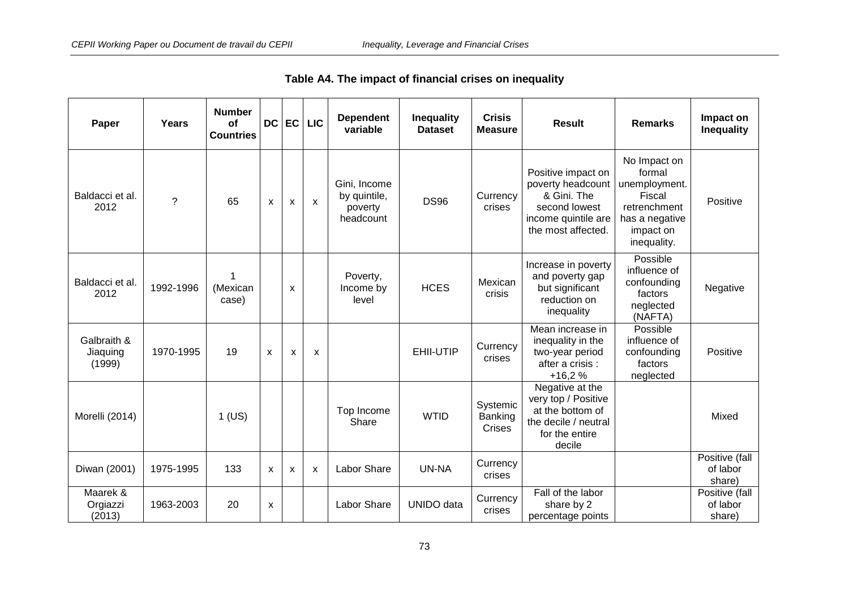| Paper                             | Years       | <b>Number</b><br>of<br><b>Countries</b> | DC | EC                        | <b>LIC</b>                | <b>Dependent</b><br>variable                         | <b>Inequality</b><br><b>Dataset</b> | <b>Crisis</b><br><b>Measure</b> | <b>Result</b>                                                                                                        | <b>Remarks</b>                                                                                                  | Impact on<br><b>Inequality</b>       |
|-----------------------------------|-------------|-----------------------------------------|----|---------------------------|---------------------------|------------------------------------------------------|-------------------------------------|---------------------------------|----------------------------------------------------------------------------------------------------------------------|-----------------------------------------------------------------------------------------------------------------|--------------------------------------|
| Baldacci et al.<br>2012           | $\tilde{?}$ | 65                                      | X  | X                         | X                         | Gini, Income<br>by quintile,<br>poverty<br>headcount | <b>DS96</b>                         | Currency<br>crises              | Positive impact on<br>poverty headcount<br>& Gini. The<br>second lowest<br>income quintile are<br>the most affected. | No Impact on<br>formal<br>unemployment.<br>Fiscal<br>retrenchment<br>has a negative<br>impact on<br>inequality. | Positive                             |
| Baldacci et al.<br>2012           | 1992-1996   | (Mexican<br>case)                       |    | X                         |                           | Poverty,<br>Income by<br>level                       | <b>HCES</b>                         | Mexican<br>crisis               | Increase in poverty<br>and poverty gap<br>but significant<br>reduction on<br>inequality                              | Possible<br>influence of<br>confounding<br>factors<br>neglected<br>(NAFTA)                                      | Negative                             |
| Galbraith &<br>Jiaquing<br>(1999) | 1970-1995   | 19                                      | X  | $\mathsf{x}$              | X                         |                                                      | EHII-UTIP                           | Currency<br>crises              | Mean increase in<br>inequality in the<br>two-year period<br>after a crisis :<br>$+16,2%$                             | Possible<br>influence of<br>confounding<br>factors<br>neglected                                                 | Positive                             |
| Morelli (2014)                    |             | $1$ (US)                                |    |                           |                           | Top Income<br>Share                                  | <b>WTID</b>                         | Systemic<br>Banking<br>Crises   | Negative at the<br>very top / Positive<br>at the bottom of<br>the decile / neutral<br>for the entire<br>decile       |                                                                                                                 | Mixed                                |
| Diwan (2001)                      | 1975-1995   | 133                                     | X  | $\boldsymbol{\mathsf{x}}$ | $\boldsymbol{\mathsf{x}}$ | Labor Share                                          | UN-NA                               | Currency<br>crises              |                                                                                                                      |                                                                                                                 | Positive (fall<br>of labor<br>share) |
| Maarek &<br>Orgiazzi<br>(2013)    | 1963-2003   | 20                                      | X  |                           |                           | Labor Share                                          | <b>UNIDO</b> data                   | Currency<br>crises              | Fall of the labor<br>share by 2<br>percentage points                                                                 |                                                                                                                 | Positive (fall<br>of labor<br>share) |

**Table A4. The impact of financial crises on inequality**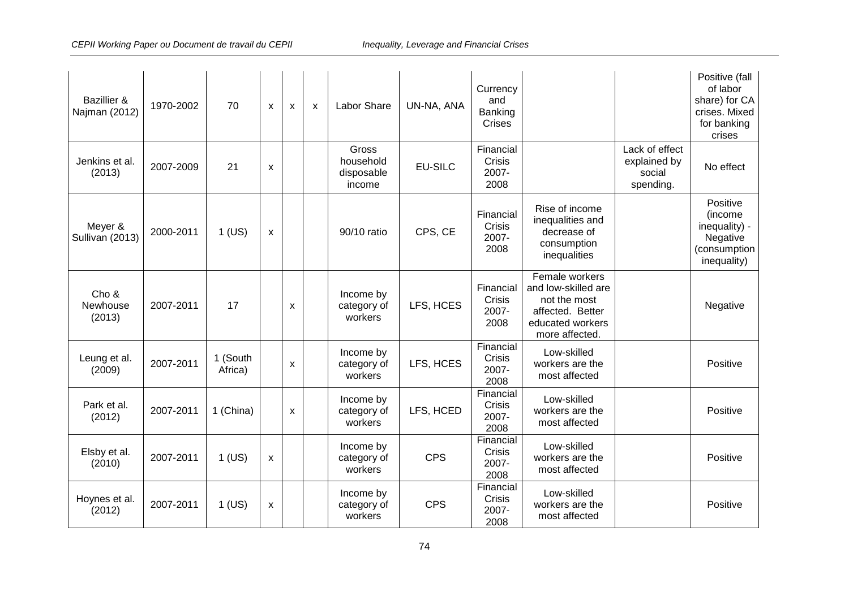| <b>Bazillier &amp;</b><br>Najman (2012) | 1970-2002 | 70                  | x | $\boldsymbol{\mathsf{x}}$ | $\boldsymbol{\mathsf{x}}$ | Labor Share                                | UN-NA, ANA     | Currency<br>and<br>Banking<br>Crises |                                                                                                                |                                                       | Positive (fall<br>of labor<br>share) for CA<br>crises. Mixed<br>for banking<br>crises |
|-----------------------------------------|-----------|---------------------|---|---------------------------|---------------------------|--------------------------------------------|----------------|--------------------------------------|----------------------------------------------------------------------------------------------------------------|-------------------------------------------------------|---------------------------------------------------------------------------------------|
| Jenkins et al.<br>(2013)                | 2007-2009 | 21                  | X |                           |                           | Gross<br>household<br>disposable<br>income | <b>EU-SILC</b> | Financial<br>Crisis<br>2007-<br>2008 |                                                                                                                | Lack of effect<br>explained by<br>social<br>spending. | No effect                                                                             |
| Meyer &<br>Sullivan (2013)              | 2000-2011 | $1$ (US)            | X |                           |                           | 90/10 ratio                                | CPS, CE        | Financial<br>Crisis<br>2007-<br>2008 | Rise of income<br>inequalities and<br>decrease of<br>consumption<br>inequalities                               |                                                       | Positive<br>(income<br>inequality) -<br>Negative<br>(consumption<br>inequality)       |
| Cho &<br>Newhouse<br>(2013)             | 2007-2011 | 17                  |   | X                         |                           | Income by<br>category of<br>workers        | LFS, HCES      | Financial<br>Crisis<br>2007-<br>2008 | Female workers<br>and low-skilled are<br>not the most<br>affected. Better<br>educated workers<br>more affected |                                                       | Negative                                                                              |
| Leung et al.<br>(2009)                  | 2007-2011 | 1 (South<br>Africa) |   | X                         |                           | Income by<br>category of<br>workers        | LFS, HCES      | Financial<br>Crisis<br>2007-<br>2008 | Low-skilled<br>workers are the<br>most affected                                                                |                                                       | Positive                                                                              |
| Park et al.<br>(2012)                   | 2007-2011 | 1 (China)           |   | X                         |                           | Income by<br>category of<br>workers        | LFS, HCED      | Financial<br>Crisis<br>2007-<br>2008 | Low-skilled<br>workers are the<br>most affected                                                                |                                                       | Positive                                                                              |
| Elsby et al.<br>(2010)                  | 2007-2011 | $1$ (US)            | X |                           |                           | Income by<br>category of<br>workers        | <b>CPS</b>     | Financial<br>Crisis<br>2007-<br>2008 | Low-skilled<br>workers are the<br>most affected                                                                |                                                       | Positive                                                                              |
| Hoynes et al.<br>(2012)                 | 2007-2011 | $1$ (US)            | X |                           |                           | Income by<br>category of<br>workers        | <b>CPS</b>     | Financial<br>Crisis<br>2007-<br>2008 | Low-skilled<br>workers are the<br>most affected                                                                |                                                       | Positive                                                                              |